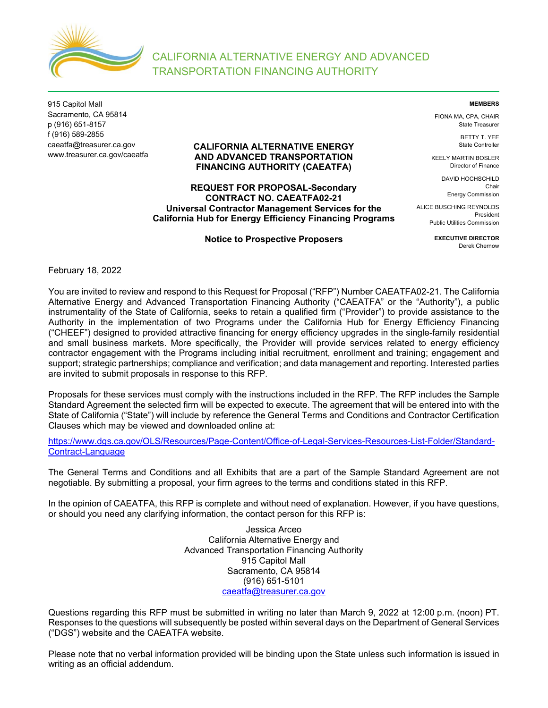

915 Capitol Mall Sacramento, CA 95814 p (916) 651-8157 f (916) 589-2855 caeatfa@treasurer.ca.gov www.treasurer.ca.gov/caeatfa

# **CALIFORNIA ALTERNATIVE ENERGY AND ADVANCED TRANSPORTATION FINANCING AUTHORITY (CAEATFA)**

# **REQUEST FOR PROPOSAL-Secondary CONTRACT NO. CAEATFA02-21 Universal Contractor Management Services for the California Hub for Energy Efficiency Financing Programs**

**Notice to Prospective Proposers** 

**MEMBERS** 

FIONA MA, CPA, CHAIR State Treasurer

> BETTY T. YEE State Controller

KEELY MARTIN BOSLER Director of Finance

> DAVID HOCHSCHILD Chair Energy Commission

ALICE BUSCHING REYNOLDS President Public Utilities Commission

> **EXECUTIVE DIRECTOR**  Derek Chernow

February 18, 2022

You are invited to review and respond to this Request for Proposal ("RFP") Number CAEATFA02-21. The California Alternative Energy and Advanced Transportation Financing Authority ("CAEATFA" or the "Authority"), a public instrumentality of the State of California, seeks to retain a qualified firm ("Provider") to provide assistance to the Authority in the implementation of two Programs under the California Hub for Energy Efficiency Financing ("CHEEF") designed to provided attractive financing for energy efficiency upgrades in the single-family residential and small business markets. More specifically, the Provider will provide services related to energy efficiency contractor engagement with the Programs including initial recruitment, enrollment and training; engagement and support; strategic partnerships; compliance and verification; and data management and reporting. Interested parties are invited to submit proposals in response to this RFP.

Proposals for these services must comply with the instructions included in the RFP. The RFP includes the Sample Standard Agreement the selected firm will be expected to execute. The agreement that will be entered into with the State of California ("State") will include by reference the General Terms and Conditions and Contractor Certification Clauses which may be viewed and downloaded online at:

https://www.dgs.ca.gov/OLS/Resources/Page-Content/Office-of-Legal-Services-Resources-List-Folder/Standard-Contract-Language

The General Terms and Conditions and all Exhibits that are a part of the Sample Standard Agreement are not negotiable. By submitting a proposal, your firm agrees to the terms and conditions stated in this RFP.

In the opinion of CAEATFA, this RFP is complete and without need of explanation. However, if you have questions, or should you need any clarifying information, the contact person for this RFP is:

> Jessica Arceo California Alternative Energy and Advanced Transportation Financing Authority 915 Capitol Mall Sacramento, CA 95814 (916) 651-5101 caeatfa@treasurer.ca.gov

Questions regarding this RFP must be submitted in writing no later than March 9, 2022 at 12:00 p.m. (noon) PT. Responses to the questions will subsequently be posted within several days on the Department of General Services ("DGS") website and the CAEATFA website.

Please note that no verbal information provided will be binding upon the State unless such information is issued in writing as an official addendum.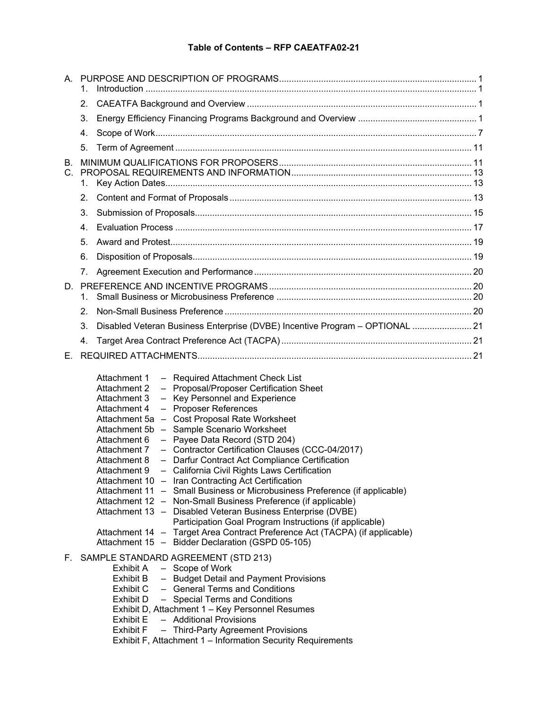# **Table of Contents – RFP CAEATFA02-21**

|         | 1.                                                                                                                                                                                                                                                                                                                                                                                                                                                                                                                                                                                                                                                                                                                                                                                                                                                                                                                                                                                                                           |  |
|---------|------------------------------------------------------------------------------------------------------------------------------------------------------------------------------------------------------------------------------------------------------------------------------------------------------------------------------------------------------------------------------------------------------------------------------------------------------------------------------------------------------------------------------------------------------------------------------------------------------------------------------------------------------------------------------------------------------------------------------------------------------------------------------------------------------------------------------------------------------------------------------------------------------------------------------------------------------------------------------------------------------------------------------|--|
|         | 2.                                                                                                                                                                                                                                                                                                                                                                                                                                                                                                                                                                                                                                                                                                                                                                                                                                                                                                                                                                                                                           |  |
|         | 3.                                                                                                                                                                                                                                                                                                                                                                                                                                                                                                                                                                                                                                                                                                                                                                                                                                                                                                                                                                                                                           |  |
|         | 4.                                                                                                                                                                                                                                                                                                                                                                                                                                                                                                                                                                                                                                                                                                                                                                                                                                                                                                                                                                                                                           |  |
|         | 5.                                                                                                                                                                                                                                                                                                                                                                                                                                                                                                                                                                                                                                                                                                                                                                                                                                                                                                                                                                                                                           |  |
| В.      |                                                                                                                                                                                                                                                                                                                                                                                                                                                                                                                                                                                                                                                                                                                                                                                                                                                                                                                                                                                                                              |  |
| $C_{-}$ |                                                                                                                                                                                                                                                                                                                                                                                                                                                                                                                                                                                                                                                                                                                                                                                                                                                                                                                                                                                                                              |  |
|         | 1.                                                                                                                                                                                                                                                                                                                                                                                                                                                                                                                                                                                                                                                                                                                                                                                                                                                                                                                                                                                                                           |  |
|         | 2.                                                                                                                                                                                                                                                                                                                                                                                                                                                                                                                                                                                                                                                                                                                                                                                                                                                                                                                                                                                                                           |  |
|         | 3.                                                                                                                                                                                                                                                                                                                                                                                                                                                                                                                                                                                                                                                                                                                                                                                                                                                                                                                                                                                                                           |  |
|         | 4.<br>5.                                                                                                                                                                                                                                                                                                                                                                                                                                                                                                                                                                                                                                                                                                                                                                                                                                                                                                                                                                                                                     |  |
|         |                                                                                                                                                                                                                                                                                                                                                                                                                                                                                                                                                                                                                                                                                                                                                                                                                                                                                                                                                                                                                              |  |
|         | 6.                                                                                                                                                                                                                                                                                                                                                                                                                                                                                                                                                                                                                                                                                                                                                                                                                                                                                                                                                                                                                           |  |
|         | 7.                                                                                                                                                                                                                                                                                                                                                                                                                                                                                                                                                                                                                                                                                                                                                                                                                                                                                                                                                                                                                           |  |
|         | 1.                                                                                                                                                                                                                                                                                                                                                                                                                                                                                                                                                                                                                                                                                                                                                                                                                                                                                                                                                                                                                           |  |
|         | 2.                                                                                                                                                                                                                                                                                                                                                                                                                                                                                                                                                                                                                                                                                                                                                                                                                                                                                                                                                                                                                           |  |
|         | Disabled Veteran Business Enterprise (DVBE) Incentive Program - OPTIONAL  21<br>3.                                                                                                                                                                                                                                                                                                                                                                                                                                                                                                                                                                                                                                                                                                                                                                                                                                                                                                                                           |  |
|         | 4.                                                                                                                                                                                                                                                                                                                                                                                                                                                                                                                                                                                                                                                                                                                                                                                                                                                                                                                                                                                                                           |  |
| Е.      |                                                                                                                                                                                                                                                                                                                                                                                                                                                                                                                                                                                                                                                                                                                                                                                                                                                                                                                                                                                                                              |  |
|         | Attachment 1<br>- Required Attachment Check List<br>- Proposal/Proposer Certification Sheet<br>Attachment 2<br>- Key Personnel and Experience<br>Attachment 3<br>- Proposer References<br>Attachment 4<br>Attachment 5a - Cost Proposal Rate Worksheet<br>Attachment 5b - Sample Scenario Worksheet<br>- Payee Data Record (STD 204)<br>Attachment 6<br>- Contractor Certification Clauses (CCC-04/2017)<br>Attachment 7<br>- Darfur Contract Act Compliance Certification<br>Attachment 8<br>- California Civil Rights Laws Certification<br>Attachment 9<br>Attachment 10 - Iran Contracting Act Certification<br>Attachment 11 - Small Business or Microbusiness Preference (if applicable)<br>Attachment 12 - Non-Small Business Preference (if applicable)<br>Attachment 13 - Disabled Veteran Business Enterprise (DVBE)<br>Participation Goal Program Instructions (if applicable)<br>Attachment 14 - Target Area Contract Preference Act (TACPA) (if applicable)<br>Attachment 15 - Bidder Declaration (GSPD 05-105) |  |
| F.      | SAMPLE STANDARD AGREEMENT (STD 213)<br>Exhibit A - Scope of Work<br>- Budget Detail and Payment Provisions<br>Exhibit B<br>Exhibit C - General Terms and Conditions<br>Exhibit D<br>- Special Terms and Conditions<br>Exhibit D, Attachment 1 - Key Personnel Resumes<br>- Additional Provisions<br><b>Exhibit E</b><br><b>Exhibit F</b><br>- Third-Party Agreement Provisions<br>Exhibit F, Attachment 1 - Information Security Requirements                                                                                                                                                                                                                                                                                                                                                                                                                                                                                                                                                                                |  |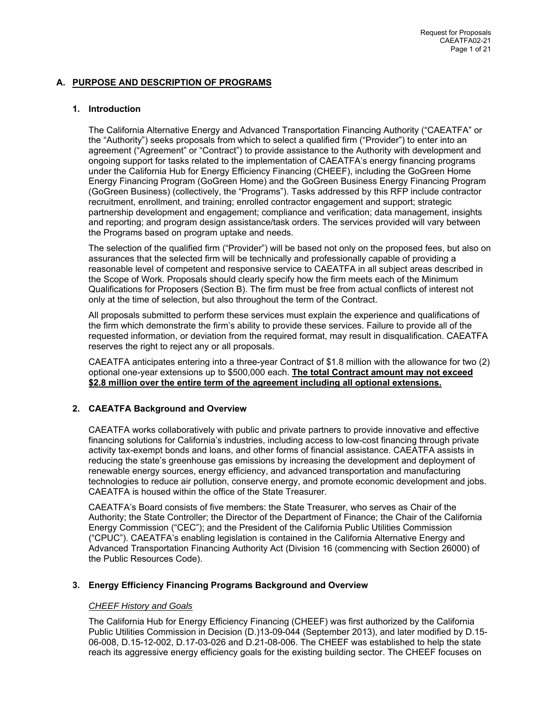# **A. PURPOSE AND DESCRIPTION OF PROGRAMS**

# **1. Introduction**

The California Alternative Energy and Advanced Transportation Financing Authority ("CAEATFA" or the "Authority") seeks proposals from which to select a qualified firm ("Provider") to enter into an agreement ("Agreement" or "Contract") to provide assistance to the Authority with development and ongoing support for tasks related to the implementation of CAEATFA's energy financing programs under the California Hub for Energy Efficiency Financing (CHEEF), including the GoGreen Home Energy Financing Program (GoGreen Home) and the GoGreen Business Energy Financing Program (GoGreen Business) (collectively, the "Programs"). Tasks addressed by this RFP include contractor recruitment, enrollment, and training; enrolled contractor engagement and support; strategic partnership development and engagement; compliance and verification; data management, insights and reporting; and program design assistance/task orders. The services provided will vary between the Programs based on program uptake and needs.

The selection of the qualified firm ("Provider") will be based not only on the proposed fees, but also on assurances that the selected firm will be technically and professionally capable of providing a reasonable level of competent and responsive service to CAEATFA in all subject areas described in the Scope of Work. Proposals should clearly specify how the firm meets each of the Minimum Qualifications for Proposers (Section B). The firm must be free from actual conflicts of interest not only at the time of selection, but also throughout the term of the Contract.

All proposals submitted to perform these services must explain the experience and qualifications of the firm which demonstrate the firm's ability to provide these services. Failure to provide all of the requested information, or deviation from the required format, may result in disqualification. CAEATFA reserves the right to reject any or all proposals.

CAEATFA anticipates entering into a three-year Contract of \$1.8 million with the allowance for two (2) optional one-year extensions up to \$500,000 each. **The total Contract amount may not exceed \$2.8 million over the entire term of the agreement including all optional extensions.**

# **2. CAEATFA Background and Overview**

CAEATFA works collaboratively with public and private partners to provide innovative and effective financing solutions for California's industries, including access to low-cost financing through private activity tax-exempt bonds and loans, and other forms of financial assistance. CAEATFA assists in reducing the state's greenhouse gas emissions by increasing the development and deployment of renewable energy sources, energy efficiency, and advanced transportation and manufacturing technologies to reduce air pollution, conserve energy, and promote economic development and jobs. CAEATFA is housed within the office of the State Treasurer.

CAEATFA's Board consists of five members: the State Treasurer, who serves as Chair of the Authority; the State Controller; the Director of the Department of Finance; the Chair of the California Energy Commission ("CEC"); and the President of the California Public Utilities Commission ("CPUC"). CAEATFA's enabling legislation is contained in the California Alternative Energy and Advanced Transportation Financing Authority Act (Division 16 (commencing with Section 26000) of the Public Resources Code).

# **3. Energy Efficiency Financing Programs Background and Overview**

# *CHEEF History and Goals*

The California Hub for Energy Efficiency Financing (CHEEF) was first authorized by the California Public Utilities Commission in Decision (D.)13-09-044 (September 2013), and later modified by D.15- 06-008, D.15-12-002, D.17-03-026 and D.21-08-006. The CHEEF was established to help the state reach its aggressive energy efficiency goals for the existing building sector. The CHEEF focuses on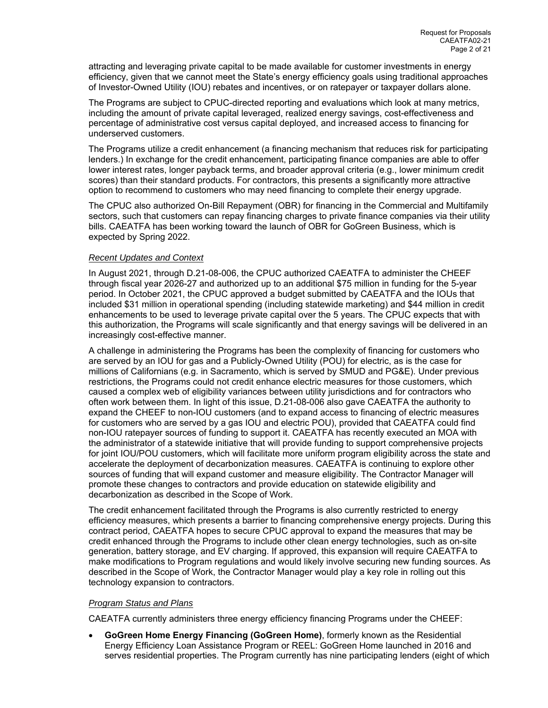attracting and leveraging private capital to be made available for customer investments in energy efficiency, given that we cannot meet the State's energy efficiency goals using traditional approaches of Investor-Owned Utility (IOU) rebates and incentives, or on ratepayer or taxpayer dollars alone.

The Programs are subject to CPUC-directed reporting and evaluations which look at many metrics, including the amount of private capital leveraged, realized energy savings, cost-effectiveness and percentage of administrative cost versus capital deployed, and increased access to financing for underserved customers.

The Programs utilize a credit enhancement (a financing mechanism that reduces risk for participating lenders.) In exchange for the credit enhancement, participating finance companies are able to offer lower interest rates, longer payback terms, and broader approval criteria (e.g., lower minimum credit scores) than their standard products. For contractors, this presents a significantly more attractive option to recommend to customers who may need financing to complete their energy upgrade.

The CPUC also authorized On-Bill Repayment (OBR) for financing in the Commercial and Multifamily sectors, such that customers can repay financing charges to private finance companies via their utility bills. CAEATFA has been working toward the launch of OBR for GoGreen Business, which is expected by Spring 2022.

# *Recent Updates and Context*

In August 2021, through D.21-08-006, the CPUC authorized CAEATFA to administer the CHEEF through fiscal year 2026-27 and authorized up to an additional \$75 million in funding for the 5-year period. In October 2021, the CPUC approved a budget submitted by CAEATFA and the IOUs that included \$31 million in operational spending (including statewide marketing) and \$44 million in credit enhancements to be used to leverage private capital over the 5 years. The CPUC expects that with this authorization, the Programs will scale significantly and that energy savings will be delivered in an increasingly cost-effective manner.

A challenge in administering the Programs has been the complexity of financing for customers who are served by an IOU for gas and a Publicly-Owned Utility (POU) for electric, as is the case for millions of Californians (e.g. in Sacramento, which is served by SMUD and PG&E). Under previous restrictions, the Programs could not credit enhance electric measures for those customers, which caused a complex web of eligibility variances between utility jurisdictions and for contractors who often work between them. In light of this issue, D.21-08-006 also gave CAEATFA the authority to expand the CHEEF to non-IOU customers (and to expand access to financing of electric measures for customers who are served by a gas IOU and electric POU), provided that CAEATFA could find non-IOU ratepayer sources of funding to support it. CAEATFA has recently executed an MOA with the administrator of a statewide initiative that will provide funding to support comprehensive projects for joint IOU/POU customers, which will facilitate more uniform program eligibility across the state and accelerate the deployment of decarbonization measures. CAEATFA is continuing to explore other sources of funding that will expand customer and measure eligibility. The Contractor Manager will promote these changes to contractors and provide education on statewide eligibility and decarbonization as described in the Scope of Work.

The credit enhancement facilitated through the Programs is also currently restricted to energy efficiency measures, which presents a barrier to financing comprehensive energy projects. During this contract period, CAEATFA hopes to secure CPUC approval to expand the measures that may be credit enhanced through the Programs to include other clean energy technologies, such as on-site generation, battery storage, and EV charging. If approved, this expansion will require CAEATFA to make modifications to Program regulations and would likely involve securing new funding sources. As described in the Scope of Work, the Contractor Manager would play a key role in rolling out this technology expansion to contractors.

# *Program Status and Plans*

CAEATFA currently administers three energy efficiency financing Programs under the CHEEF:

 **GoGreen Home Energy Financing (GoGreen Home)**, formerly known as the Residential Energy Efficiency Loan Assistance Program or REEL: GoGreen Home launched in 2016 and serves residential properties. The Program currently has nine participating lenders (eight of which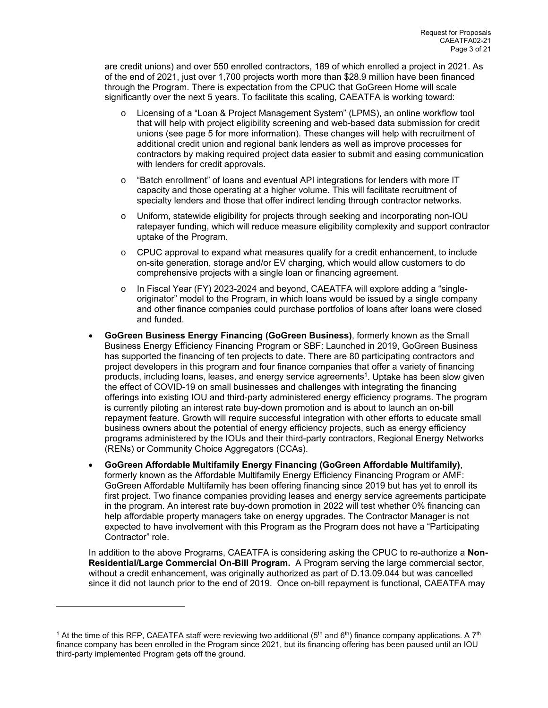are credit unions) and over 550 enrolled contractors, 189 of which enrolled a project in 2021. As of the end of 2021, just over 1,700 projects worth more than \$28.9 million have been financed through the Program. There is expectation from the CPUC that GoGreen Home will scale significantly over the next 5 years. To facilitate this scaling, CAEATFA is working toward:

- Licensing of a "Loan & Project Management System" (LPMS), an online workflow tool that will help with project eligibility screening and web-based data submission for credit unions (see page 5 for more information). These changes will help with recruitment of additional credit union and regional bank lenders as well as improve processes for contractors by making required project data easier to submit and easing communication with lenders for credit approvals.
- o "Batch enrollment" of loans and eventual API integrations for lenders with more IT capacity and those operating at a higher volume. This will facilitate recruitment of specialty lenders and those that offer indirect lending through contractor networks.
- o Uniform, statewide eligibility for projects through seeking and incorporating non-IOU ratepayer funding, which will reduce measure eligibility complexity and support contractor uptake of the Program.
- $\circ$  CPUC approval to expand what measures qualify for a credit enhancement, to include on-site generation, storage and/or EV charging, which would allow customers to do comprehensive projects with a single loan or financing agreement.
- o In Fiscal Year (FY) 2023-2024 and beyond, CAEATFA will explore adding a "singleoriginator" model to the Program, in which loans would be issued by a single company and other finance companies could purchase portfolios of loans after loans were closed and funded.
- **GoGreen Business Energy Financing (GoGreen Business)**, formerly known as the Small Business Energy Efficiency Financing Program or SBF: Launched in 2019, GoGreen Business has supported the financing of ten projects to date. There are 80 participating contractors and project developers in this program and four finance companies that offer a variety of financing products, including loans, leases, and energy service agreements<sup>1</sup>. Uptake has been slow given the effect of COVID-19 on small businesses and challenges with integrating the financing offerings into existing IOU and third-party administered energy efficiency programs. The program is currently piloting an interest rate buy-down promotion and is about to launch an on-bill repayment feature. Growth will require successful integration with other efforts to educate small business owners about the potential of energy efficiency projects, such as energy efficiency programs administered by the IOUs and their third-party contractors, Regional Energy Networks (RENs) or Community Choice Aggregators (CCAs).
- **GoGreen Affordable Multifamily Energy Financing (GoGreen Affordable Multifamily)**, formerly known as the Affordable Multifamily Energy Efficiency Financing Program or AMF: GoGreen Affordable Multifamily has been offering financing since 2019 but has yet to enroll its first project. Two finance companies providing leases and energy service agreements participate in the program. An interest rate buy-down promotion in 2022 will test whether 0% financing can help affordable property managers take on energy upgrades. The Contractor Manager is not expected to have involvement with this Program as the Program does not have a "Participating Contractor" role.

In addition to the above Programs, CAEATFA is considering asking the CPUC to re-authorize a **Non-Residential/Large Commercial On-Bill Program.** A Program serving the large commercial sector, without a credit enhancement, was originally authorized as part of D.13.09.044 but was cancelled since it did not launch prior to the end of 2019. Once on-bill repayment is functional, CAEATFA may

<sup>&</sup>lt;sup>1</sup> At the time of this RFP, CAEATFA staff were reviewing two additional (5<sup>th</sup> and 6<sup>th</sup>) finance company applications. A 7<sup>th</sup> finance company has been enrolled in the Program since 2021, but its financing offering has been paused until an IOU third-party implemented Program gets off the ground.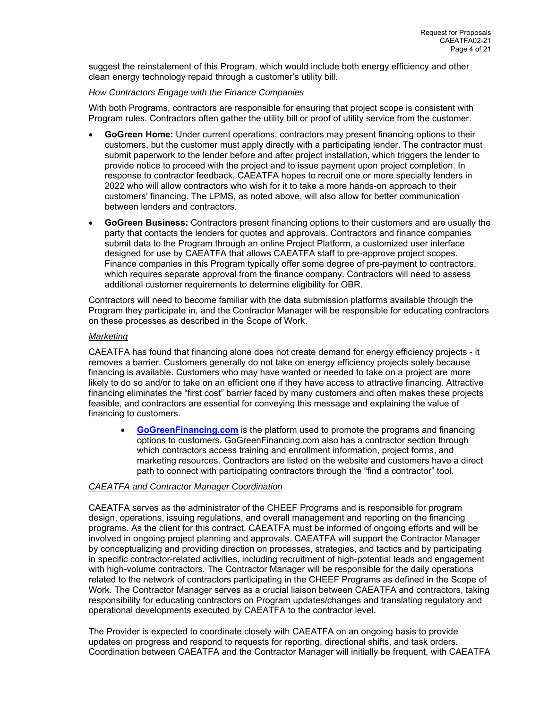suggest the reinstatement of this Program, which would include both energy efficiency and other clean energy technology repaid through a customer's utility bill.

# *How Contractors Engage with the Finance Companies*

With both Programs, contractors are responsible for ensuring that project scope is consistent with Program rules. Contractors often gather the utility bill or proof of utility service from the customer.

- **GoGreen Home:** Under current operations, contractors may present financing options to their customers, but the customer must apply directly with a participating lender. The contractor must submit paperwork to the lender before and after project installation, which triggers the lender to provide notice to proceed with the project and to issue payment upon project completion. In response to contractor feedback, CAEATFA hopes to recruit one or more specialty lenders in 2022 who will allow contractors who wish for it to take a more hands-on approach to their customers' financing. The LPMS, as noted above, will also allow for better communication between lenders and contractors.
- **GoGreen Business:** Contractors present financing options to their customers and are usually the party that contacts the lenders for quotes and approvals. Contractors and finance companies submit data to the Program through an online Project Platform, a customized user interface designed for use by CAEATFA that allows CAEATFA staff to pre-approve project scopes. Finance companies in this Program typically offer some degree of pre-payment to contractors, which requires separate approval from the finance company. Contractors will need to assess additional customer requirements to determine eligibility for OBR.

Contractors will need to become familiar with the data submission platforms available through the Program they participate in, and the Contractor Manager will be responsible for educating contractors on these processes as described in the Scope of Work.

# *Marketing*

CAEATFA has found that financing alone does not create demand for energy efficiency projects - it removes a barrier. Customers generally do not take on energy efficiency projects solely because financing is available. Customers who may have wanted or needed to take on a project are more likely to do so and/or to take on an efficient one if they have access to attractive financing. Attractive financing eliminates the "first cost" barrier faced by many customers and often makes these projects feasible, and contractors are essential for conveying this message and explaining the value of financing to customers.

 **GoGreenFinancing.com** is the platform used to promote the programs and financing options to customers. GoGreenFinancing.com also has a contractor section through which contractors access training and enrollment information, project forms, and marketing resources. Contractors are listed on the website and customers have a direct path to connect with participating contractors through the "find a contractor" tool.

# *CAEATFA and Contractor Manager Coordination*

CAEATFA serves as the administrator of the CHEEF Programs and is responsible for program design, operations, issuing regulations, and overall management and reporting on the financing programs. As the client for this contract, CAEATFA must be informed of ongoing efforts and will be involved in ongoing project planning and approvals. CAEATFA will support the Contractor Manager by conceptualizing and providing direction on processes, strategies, and tactics and by participating in specific contractor-related activities, including recruitment of high-potential leads and engagement with high-volume contractors. The Contractor Manager will be responsible for the daily operations related to the network of contractors participating in the CHEEF Programs as defined in the Scope of Work. The Contractor Manager serves as a crucial liaison between CAEATFA and contractors, taking responsibility for educating contractors on Program updates/changes and translating regulatory and operational developments executed by CAEATFA to the contractor level.

The Provider is expected to coordinate closely with CAEATFA on an ongoing basis to provide updates on progress and respond to requests for reporting, directional shifts, and task orders. Coordination between CAEATFA and the Contractor Manager will initially be frequent, with CAEATFA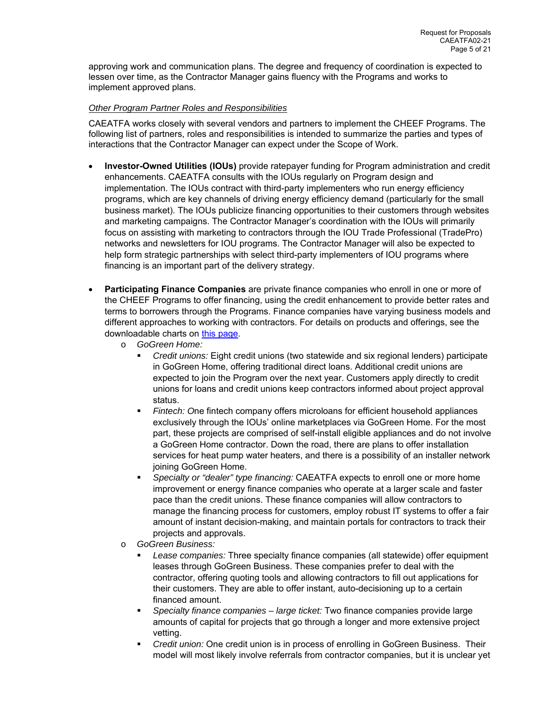approving work and communication plans. The degree and frequency of coordination is expected to lessen over time, as the Contractor Manager gains fluency with the Programs and works to implement approved plans.

# *Other Program Partner Roles and Responsibilities*

CAEATFA works closely with several vendors and partners to implement the CHEEF Programs. The following list of partners, roles and responsibilities is intended to summarize the parties and types of interactions that the Contractor Manager can expect under the Scope of Work.

- **Investor-Owned Utilities (IOUs)** provide ratepayer funding for Program administration and credit enhancements. CAEATFA consults with the IOUs regularly on Program design and implementation. The IOUs contract with third-party implementers who run energy efficiency programs, which are key channels of driving energy efficiency demand (particularly for the small business market). The IOUs publicize financing opportunities to their customers through websites and marketing campaigns. The Contractor Manager's coordination with the IOUs will primarily focus on assisting with marketing to contractors through the IOU Trade Professional (TradePro) networks and newsletters for IOU programs. The Contractor Manager will also be expected to help form strategic partnerships with select third-party implementers of IOU programs where financing is an important part of the delivery strategy.
- **Participating Finance Companies** are private finance companies who enroll in one or more of the CHEEF Programs to offer financing, using the credit enhancement to provide better rates and terms to borrowers through the Programs. Finance companies have varying business models and different approaches to working with contractors. For details on products and offerings, see the downloadable charts on this page.
	- o *GoGreen Home:*
		- *Credit unions:* Eight credit unions (two statewide and six regional lenders) participate in GoGreen Home, offering traditional direct loans. Additional credit unions are expected to join the Program over the next year. Customers apply directly to credit unions for loans and credit unions keep contractors informed about project approval status.
		- *Fintech: O*ne fintech company offers microloans for efficient household appliances exclusively through the IOUs' online marketplaces via GoGreen Home. For the most part, these projects are comprised of self-install eligible appliances and do not involve a GoGreen Home contractor. Down the road, there are plans to offer installation services for heat pump water heaters, and there is a possibility of an installer network joining GoGreen Home.
		- *Specialty or "dealer" type financing:* CAEATFA expects to enroll one or more home improvement or energy finance companies who operate at a larger scale and faster pace than the credit unions. These finance companies will allow contractors to manage the financing process for customers, employ robust IT systems to offer a fair amount of instant decision-making, and maintain portals for contractors to track their projects and approvals.
	- o *GoGreen Business:*
		- *Lease companies:* Three specialty finance companies (all statewide) offer equipment leases through GoGreen Business. These companies prefer to deal with the contractor, offering quoting tools and allowing contractors to fill out applications for their customers. They are able to offer instant, auto-decisioning up to a certain financed amount.
		- *Specialty finance companies large ticket:* Two finance companies provide large amounts of capital for projects that go through a longer and more extensive project vetting.
		- *Credit union:* One credit union is in process of enrolling in GoGreen Business. Their model will most likely involve referrals from contractor companies, but it is unclear yet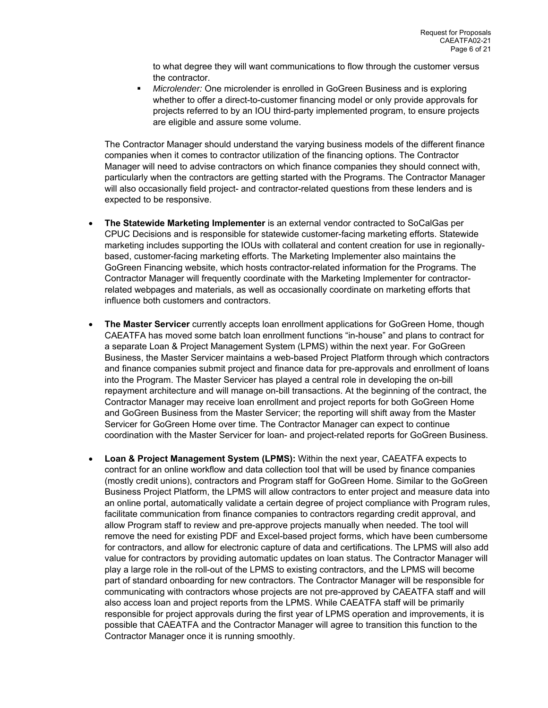to what degree they will want communications to flow through the customer versus the contractor.

 *Microlender:* One microlender is enrolled in GoGreen Business and is exploring whether to offer a direct-to-customer financing model or only provide approvals for projects referred to by an IOU third-party implemented program, to ensure projects are eligible and assure some volume.

The Contractor Manager should understand the varying business models of the different finance companies when it comes to contractor utilization of the financing options. The Contractor Manager will need to advise contractors on which finance companies they should connect with, particularly when the contractors are getting started with the Programs. The Contractor Manager will also occasionally field project- and contractor-related questions from these lenders and is expected to be responsive.

- **The Statewide Marketing Implementer** is an external vendor contracted to SoCalGas per CPUC Decisions and is responsible for statewide customer-facing marketing efforts. Statewide marketing includes supporting the IOUs with collateral and content creation for use in regionallybased, customer-facing marketing efforts. The Marketing Implementer also maintains the GoGreen Financing website, which hosts contractor-related information for the Programs. The Contractor Manager will frequently coordinate with the Marketing Implementer for contractorrelated webpages and materials, as well as occasionally coordinate on marketing efforts that influence both customers and contractors.
- **The Master Servicer** currently accepts loan enrollment applications for GoGreen Home, though CAEATFA has moved some batch loan enrollment functions "in-house" and plans to contract for a separate Loan & Project Management System (LPMS) within the next year. For GoGreen Business, the Master Servicer maintains a web-based Project Platform through which contractors and finance companies submit project and finance data for pre-approvals and enrollment of loans into the Program. The Master Servicer has played a central role in developing the on-bill repayment architecture and will manage on-bill transactions. At the beginning of the contract, the Contractor Manager may receive loan enrollment and project reports for both GoGreen Home and GoGreen Business from the Master Servicer; the reporting will shift away from the Master Servicer for GoGreen Home over time. The Contractor Manager can expect to continue coordination with the Master Servicer for loan- and project-related reports for GoGreen Business.
- **Loan & Project Management System (LPMS):** Within the next year, CAEATFA expects to contract for an online workflow and data collection tool that will be used by finance companies (mostly credit unions), contractors and Program staff for GoGreen Home. Similar to the GoGreen Business Project Platform, the LPMS will allow contractors to enter project and measure data into an online portal, automatically validate a certain degree of project compliance with Program rules, facilitate communication from finance companies to contractors regarding credit approval, and allow Program staff to review and pre-approve projects manually when needed. The tool will remove the need for existing PDF and Excel-based project forms, which have been cumbersome for contractors, and allow for electronic capture of data and certifications. The LPMS will also add value for contractors by providing automatic updates on loan status. The Contractor Manager will play a large role in the roll-out of the LPMS to existing contractors, and the LPMS will become part of standard onboarding for new contractors. The Contractor Manager will be responsible for communicating with contractors whose projects are not pre-approved by CAEATFA staff and will also access loan and project reports from the LPMS. While CAEATFA staff will be primarily responsible for project approvals during the first year of LPMS operation and improvements, it is possible that CAEATFA and the Contractor Manager will agree to transition this function to the Contractor Manager once it is running smoothly.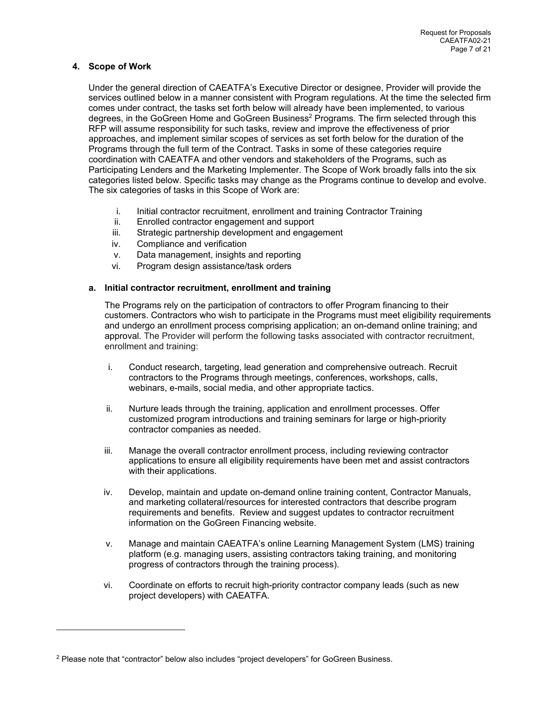# **4. Scope of Work**

Under the general direction of CAEATFA's Executive Director or designee, Provider will provide the services outlined below in a manner consistent with Program regulations. At the time the selected firm comes under contract, the tasks set forth below will already have been implemented, to various degrees, in the GoGreen Home and GoGreen Business<sup>2</sup> Programs. The firm selected through this RFP will assume responsibility for such tasks, review and improve the effectiveness of prior approaches, and implement similar scopes of services as set forth below for the duration of the Programs through the full term of the Contract. Tasks in some of these categories require coordination with CAEATFA and other vendors and stakeholders of the Programs, such as Participating Lenders and the Marketing Implementer. The Scope of Work broadly falls into the six categories listed below. Specific tasks may change as the Programs continue to develop and evolve. The six categories of tasks in this Scope of Work are:

- i. Initial contractor recruitment, enrollment and training Contractor Training
- Enrolled contractor engagement and support
- iii. Strategic partnership development and engagement
- iv. Compliance and verification
- v. Data management, insights and reporting
- vi. Program design assistance/task orders

# **a. Initial contractor recruitment, enrollment and training**

The Programs rely on the participation of contractors to offer Program financing to their customers. Contractors who wish to participate in the Programs must meet eligibility requirements and undergo an enrollment process comprising application; an on-demand online training; and approval. The Provider will perform the following tasks associated with contractor recruitment, enrollment and training:

- i. Conduct research, targeting, lead generation and comprehensive outreach. Recruit contractors to the Programs through meetings, conferences, workshops, calls, webinars, e-mails, social media, and other appropriate tactics.
- ii. Nurture leads through the training, application and enrollment processes. Offer customized program introductions and training seminars for large or high-priority contractor companies as needed.
- iii. Manage the overall contractor enrollment process, including reviewing contractor applications to ensure all eligibility requirements have been met and assist contractors with their applications.
- iv. Develop, maintain and update on-demand online training content, Contractor Manuals, and marketing collateral/resources for interested contractors that describe program requirements and benefits. Review and suggest updates to contractor recruitment information on the GoGreen Financing website.
- v. Manage and maintain CAEATFA's online Learning Management System (LMS) training platform (e.g. managing users, assisting contractors taking training, and monitoring progress of contractors through the training process).
- vi. Coordinate on efforts to recruit high-priority contractor company leads (such as new project developers) with CAEATFA.

 $2$  Please note that "contractor" below also includes "project developers" for GoGreen Business.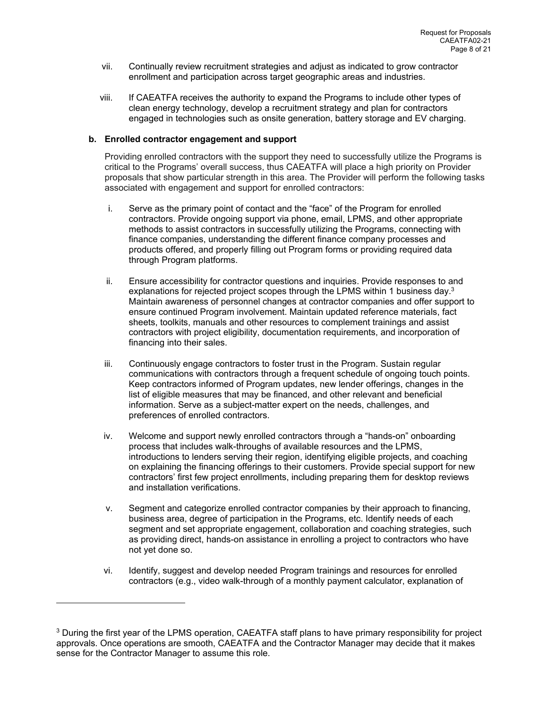- vii. Continually review recruitment strategies and adjust as indicated to grow contractor enrollment and participation across target geographic areas and industries.
- viii. If CAEATFA receives the authority to expand the Programs to include other types of clean energy technology, develop a recruitment strategy and plan for contractors engaged in technologies such as onsite generation, battery storage and EV charging.

#### **b. Enrolled contractor engagement and support**

Providing enrolled contractors with the support they need to successfully utilize the Programs is critical to the Programs' overall success, thus CAEATFA will place a high priority on Provider proposals that show particular strength in this area. The Provider will perform the following tasks associated with engagement and support for enrolled contractors:

- i. Serve as the primary point of contact and the "face" of the Program for enrolled contractors. Provide ongoing support via phone, email, LPMS, and other appropriate methods to assist contractors in successfully utilizing the Programs, connecting with finance companies, understanding the different finance company processes and products offered, and properly filling out Program forms or providing required data through Program platforms.
- ii. Ensure accessibility for contractor questions and inquiries. Provide responses to and explanations for rejected project scopes through the LPMS within 1 business day. $3$ Maintain awareness of personnel changes at contractor companies and offer support to ensure continued Program involvement. Maintain updated reference materials, fact sheets, toolkits, manuals and other resources to complement trainings and assist contractors with project eligibility, documentation requirements, and incorporation of financing into their sales.
- iii. Continuously engage contractors to foster trust in the Program. Sustain regular communications with contractors through a frequent schedule of ongoing touch points. Keep contractors informed of Program updates, new lender offerings, changes in the list of eligible measures that may be financed, and other relevant and beneficial information. Serve as a subject-matter expert on the needs, challenges, and preferences of enrolled contractors.
- iv. Welcome and support newly enrolled contractors through a "hands-on" onboarding process that includes walk-throughs of available resources and the LPMS, introductions to lenders serving their region, identifying eligible projects, and coaching on explaining the financing offerings to their customers. Provide special support for new contractors' first few project enrollments, including preparing them for desktop reviews and installation verifications.
- v. Segment and categorize enrolled contractor companies by their approach to financing, business area, degree of participation in the Programs, etc. Identify needs of each segment and set appropriate engagement, collaboration and coaching strategies, such as providing direct, hands-on assistance in enrolling a project to contractors who have not yet done so.
- vi. Identify, suggest and develop needed Program trainings and resources for enrolled contractors (e.g., video walk-through of a monthly payment calculator, explanation of

<sup>&</sup>lt;sup>3</sup> During the first year of the LPMS operation, CAEATFA staff plans to have primary responsibility for project approvals. Once operations are smooth, CAEATFA and the Contractor Manager may decide that it makes sense for the Contractor Manager to assume this role.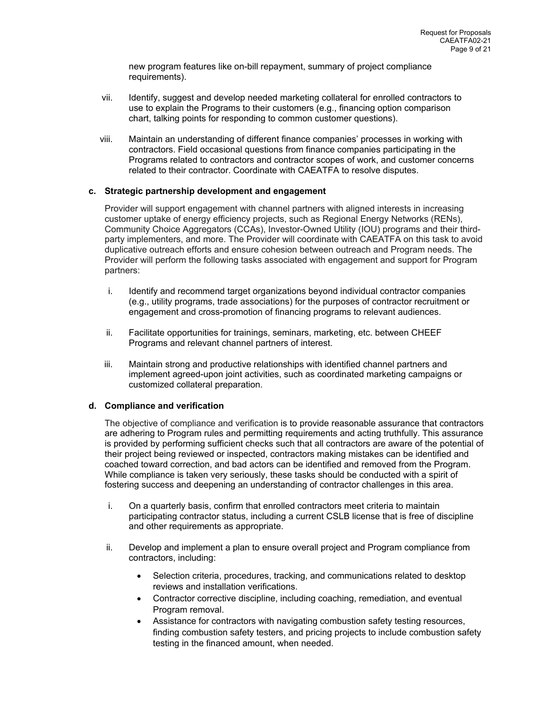new program features like on-bill repayment, summary of project compliance requirements).

- vii. Identify, suggest and develop needed marketing collateral for enrolled contractors to use to explain the Programs to their customers (e.g., financing option comparison chart, talking points for responding to common customer questions).
- viii. Maintain an understanding of different finance companies' processes in working with contractors. Field occasional questions from finance companies participating in the Programs related to contractors and contractor scopes of work, and customer concerns related to their contractor. Coordinate with CAEATFA to resolve disputes.

# **c. Strategic partnership development and engagement**

Provider will support engagement with channel partners with aligned interests in increasing customer uptake of energy efficiency projects, such as Regional Energy Networks (RENs), Community Choice Aggregators (CCAs), Investor-Owned Utility (IOU) programs and their thirdparty implementers, and more. The Provider will coordinate with CAEATFA on this task to avoid duplicative outreach efforts and ensure cohesion between outreach and Program needs. The Provider will perform the following tasks associated with engagement and support for Program partners:

- i. Identify and recommend target organizations beyond individual contractor companies (e.g., utility programs, trade associations) for the purposes of contractor recruitment or engagement and cross-promotion of financing programs to relevant audiences.
- ii. Facilitate opportunities for trainings, seminars, marketing, etc. between CHEEF Programs and relevant channel partners of interest.
- iii. Maintain strong and productive relationships with identified channel partners and implement agreed-upon joint activities, such as coordinated marketing campaigns or customized collateral preparation.

# **d. Compliance and verification**

The objective of compliance and verification is to provide reasonable assurance that contractors are adhering to Program rules and permitting requirements and acting truthfully. This assurance is provided by performing sufficient checks such that all contractors are aware of the potential of their project being reviewed or inspected, contractors making mistakes can be identified and coached toward correction, and bad actors can be identified and removed from the Program. While compliance is taken very seriously, these tasks should be conducted with a spirit of fostering success and deepening an understanding of contractor challenges in this area.

- i. On a quarterly basis, confirm that enrolled contractors meet criteria to maintain participating contractor status, including a current CSLB license that is free of discipline and other requirements as appropriate.
- ii. Develop and implement a plan to ensure overall project and Program compliance from contractors, including:
	- Selection criteria, procedures, tracking, and communications related to desktop reviews and installation verifications.
	- Contractor corrective discipline, including coaching, remediation, and eventual Program removal.
	- Assistance for contractors with navigating combustion safety testing resources, finding combustion safety testers, and pricing projects to include combustion safety testing in the financed amount, when needed.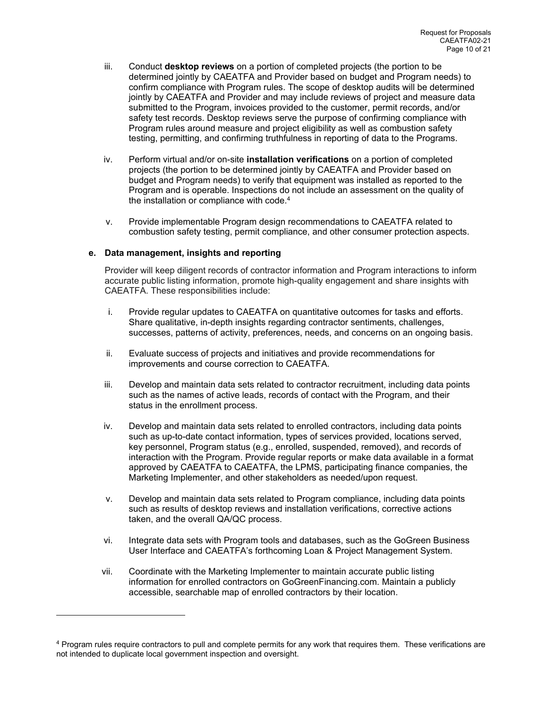- iii. Conduct **desktop reviews** on a portion of completed projects (the portion to be determined jointly by CAEATFA and Provider based on budget and Program needs) to confirm compliance with Program rules. The scope of desktop audits will be determined jointly by CAEATFA and Provider and may include reviews of project and measure data submitted to the Program, invoices provided to the customer, permit records, and/or safety test records. Desktop reviews serve the purpose of confirming compliance with Program rules around measure and project eligibility as well as combustion safety testing, permitting, and confirming truthfulness in reporting of data to the Programs.
- iv. Perform virtual and/or on-site **installation verifications** on a portion of completed projects (the portion to be determined jointly by CAEATFA and Provider based on budget and Program needs) to verify that equipment was installed as reported to the Program and is operable. Inspections do not include an assessment on the quality of the installation or compliance with code.<sup>4</sup>
- v. Provide implementable Program design recommendations to CAEATFA related to combustion safety testing, permit compliance, and other consumer protection aspects.

# **e. Data management, insights and reporting**

Provider will keep diligent records of contractor information and Program interactions to inform accurate public listing information, promote high-quality engagement and share insights with CAEATFA. These responsibilities include:

- i. Provide regular updates to CAEATFA on quantitative outcomes for tasks and efforts. Share qualitative, in-depth insights regarding contractor sentiments, challenges, successes, patterns of activity, preferences, needs, and concerns on an ongoing basis.
- ii. Evaluate success of projects and initiatives and provide recommendations for improvements and course correction to CAEATFA.
- iii. Develop and maintain data sets related to contractor recruitment, including data points such as the names of active leads, records of contact with the Program, and their status in the enrollment process.
- iv. Develop and maintain data sets related to enrolled contractors, including data points such as up-to-date contact information, types of services provided, locations served, key personnel, Program status (e.g., enrolled, suspended, removed), and records of interaction with the Program. Provide regular reports or make data available in a format approved by CAEATFA to CAEATFA, the LPMS, participating finance companies, the Marketing Implementer, and other stakeholders as needed/upon request.
- v. Develop and maintain data sets related to Program compliance, including data points such as results of desktop reviews and installation verifications, corrective actions taken, and the overall QA/QC process.
- vi. Integrate data sets with Program tools and databases, such as the GoGreen Business User Interface and CAEATFA's forthcoming Loan & Project Management System.
- vii. Coordinate with the Marketing Implementer to maintain accurate public listing information for enrolled contractors on GoGreenFinancing.com. Maintain a publicly accessible, searchable map of enrolled contractors by their location.

<sup>&</sup>lt;sup>4</sup> Program rules require contractors to pull and complete permits for any work that requires them. These verifications are not intended to duplicate local government inspection and oversight.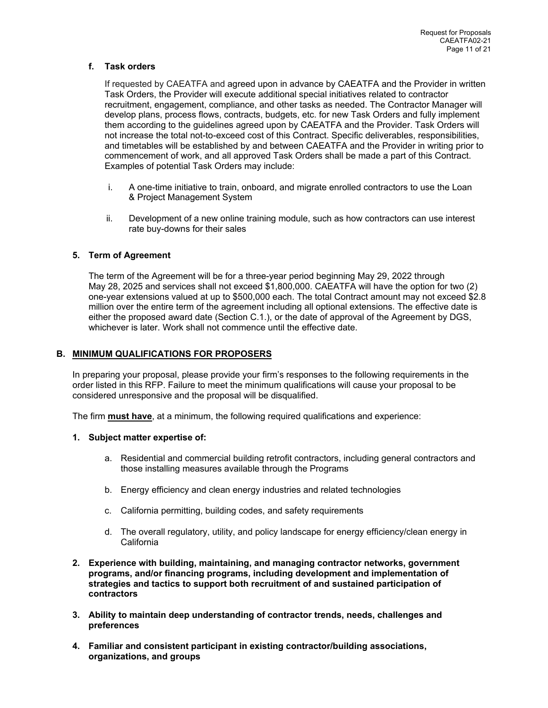# **f. Task orders**

If requested by CAEATFA and agreed upon in advance by CAEATFA and the Provider in written Task Orders, the Provider will execute additional special initiatives related to contractor recruitment, engagement, compliance, and other tasks as needed. The Contractor Manager will develop plans, process flows, contracts, budgets, etc. for new Task Orders and fully implement them according to the guidelines agreed upon by CAEATFA and the Provider. Task Orders will not increase the total not-to-exceed cost of this Contract. Specific deliverables, responsibilities, and timetables will be established by and between CAEATFA and the Provider in writing prior to commencement of work, and all approved Task Orders shall be made a part of this Contract. Examples of potential Task Orders may include:

- i. A one-time initiative to train, onboard, and migrate enrolled contractors to use the Loan & Project Management System
- ii. Development of a new online training module, such as how contractors can use interest rate buy-downs for their sales

# **5. Term of Agreement**

The term of the Agreement will be for a three-year period beginning May 29, 2022 through May 28, 2025 and services shall not exceed \$1,800,000. CAEATFA will have the option for two (2) one-year extensions valued at up to \$500,000 each. The total Contract amount may not exceed \$2.8 million over the entire term of the agreement including all optional extensions. The effective date is either the proposed award date (Section C.1.), or the date of approval of the Agreement by DGS, whichever is later. Work shall not commence until the effective date.

# **B. MINIMUM QUALIFICATIONS FOR PROPOSERS**

In preparing your proposal, please provide your firm's responses to the following requirements in the order listed in this RFP. Failure to meet the minimum qualifications will cause your proposal to be considered unresponsive and the proposal will be disqualified.

The firm **must have**, at a minimum, the following required qualifications and experience:

# **1. Subject matter expertise of:**

- a. Residential and commercial building retrofit contractors, including general contractors and those installing measures available through the Programs
- b. Energy efficiency and clean energy industries and related technologies
- c. California permitting, building codes, and safety requirements
- d. The overall regulatory, utility, and policy landscape for energy efficiency/clean energy in **California**
- **2. Experience with building, maintaining, and managing contractor networks, government programs, and/or financing programs, including development and implementation of strategies and tactics to support both recruitment of and sustained participation of contractors**
- **3. Ability to maintain deep understanding of contractor trends, needs, challenges and preferences**
- **4. Familiar and consistent participant in existing contractor/building associations, organizations, and groups**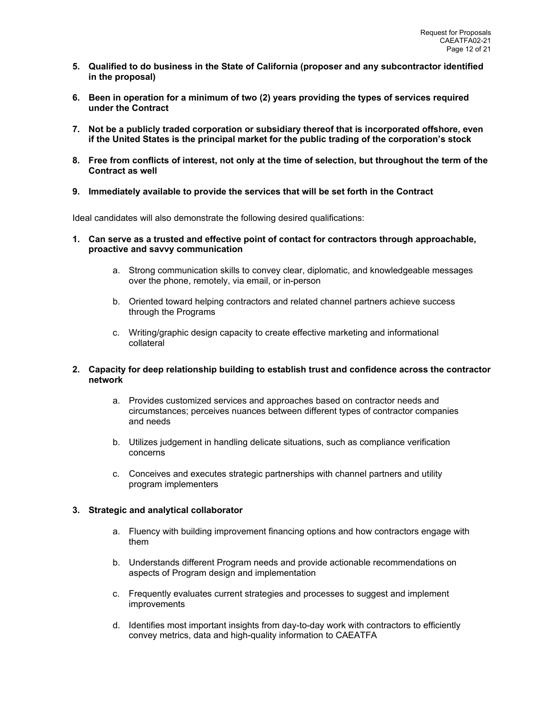- **5. Qualified to do business in the State of California (proposer and any subcontractor identified in the proposal)**
- **6. Been in operation for a minimum of two (2) years providing the types of services required under the Contract**
- **7. Not be a publicly traded corporation or subsidiary thereof that is incorporated offshore, even if the United States is the principal market for the public trading of the corporation's stock**
- **8. Free from conflicts of interest, not only at the time of selection, but throughout the term of the Contract as well**
- **9. Immediately available to provide the services that will be set forth in the Contract**

Ideal candidates will also demonstrate the following desired qualifications:

- **1. Can serve as a trusted and effective point of contact for contractors through approachable, proactive and savvy communication** 
	- a. Strong communication skills to convey clear, diplomatic, and knowledgeable messages over the phone, remotely, via email, or in-person
	- b. Oriented toward helping contractors and related channel partners achieve success through the Programs
	- c. Writing/graphic design capacity to create effective marketing and informational collateral

# **2. Capacity for deep relationship building to establish trust and confidence across the contractor network**

- a. Provides customized services and approaches based on contractor needs and circumstances; perceives nuances between different types of contractor companies and needs
- b. Utilizes judgement in handling delicate situations, such as compliance verification concerns
- c. Conceives and executes strategic partnerships with channel partners and utility program implementers

# **3. Strategic and analytical collaborator**

- a. Fluency with building improvement financing options and how contractors engage with them
- b. Understands different Program needs and provide actionable recommendations on aspects of Program design and implementation
- c. Frequently evaluates current strategies and processes to suggest and implement improvements
- d. Identifies most important insights from day-to-day work with contractors to efficiently convey metrics, data and high-quality information to CAEATFA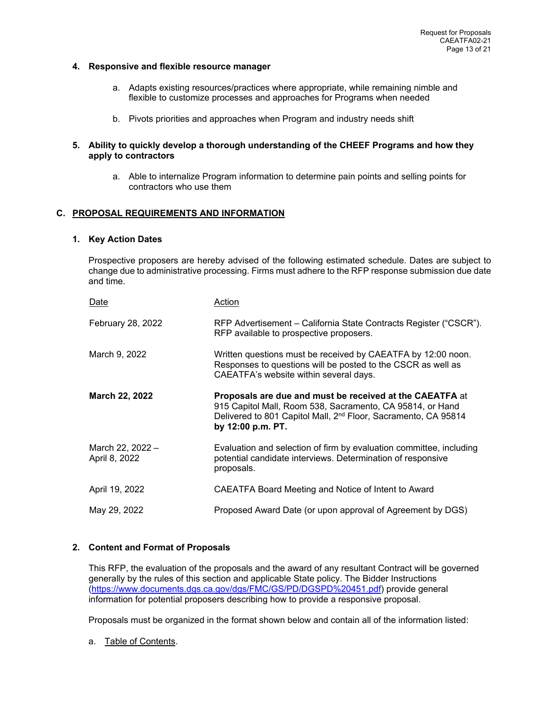#### **4. Responsive and flexible resource manager**

- a. Adapts existing resources/practices where appropriate, while remaining nimble and flexible to customize processes and approaches for Programs when needed
- b. Pivots priorities and approaches when Program and industry needs shift
- **5. Ability to quickly develop a thorough understanding of the CHEEF Programs and how they apply to contractors** 
	- a. Able to internalize Program information to determine pain points and selling points for contractors who use them

# **C. PROPOSAL REQUIREMENTS AND INFORMATION**

#### **1. Key Action Dates**

Prospective proposers are hereby advised of the following estimated schedule. Dates are subject to change due to administrative processing. Firms must adhere to the RFP response submission due date and time.

| Date                              | Action                                                                                                                                                                                                                   |
|-----------------------------------|--------------------------------------------------------------------------------------------------------------------------------------------------------------------------------------------------------------------------|
| February 28, 2022                 | RFP Advertisement – California State Contracts Register ("CSCR").<br>RFP available to prospective proposers.                                                                                                             |
| March 9, 2022                     | Written questions must be received by CAEATFA by 12:00 noon.<br>Responses to questions will be posted to the CSCR as well as<br>CAEATFA's website within several days.                                                   |
| <b>March 22, 2022</b>             | Proposals are due and must be received at the CAEATFA at<br>915 Capitol Mall, Room 538, Sacramento, CA 95814, or Hand<br>Delivered to 801 Capitol Mall, 2 <sup>nd</sup> Floor, Sacramento, CA 95814<br>by 12:00 p.m. PT. |
| March 22, 2022 -<br>April 8, 2022 | Evaluation and selection of firm by evaluation committee, including<br>potential candidate interviews. Determination of responsive<br>proposals.                                                                         |
| April 19, 2022                    | CAEATFA Board Meeting and Notice of Intent to Award                                                                                                                                                                      |
| May 29, 2022                      | Proposed Award Date (or upon approval of Agreement by DGS)                                                                                                                                                               |

# **2. Content and Format of Proposals**

This RFP, the evaluation of the proposals and the award of any resultant Contract will be governed generally by the rules of this section and applicable State policy. The Bidder Instructions (https://www.documents.dgs.ca.gov/dgs/FMC/GS/PD/DGSPD%20451.pdf) provide general information for potential proposers describing how to provide a responsive proposal.

Proposals must be organized in the format shown below and contain all of the information listed:

a. Table of Contents.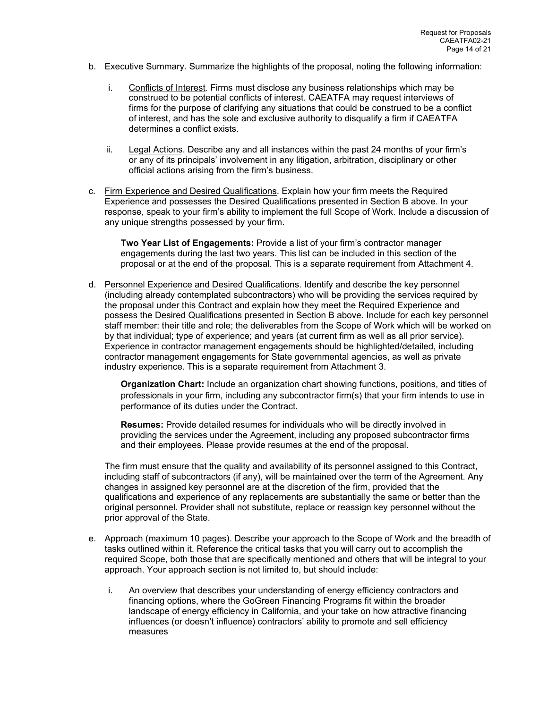- b. Executive Summary. Summarize the highlights of the proposal, noting the following information:
	- i. Conflicts of Interest. Firms must disclose any business relationships which may be construed to be potential conflicts of interest. CAEATFA may request interviews of firms for the purpose of clarifying any situations that could be construed to be a conflict of interest, and has the sole and exclusive authority to disqualify a firm if CAEATFA determines a conflict exists.
	- ii. Legal Actions. Describe any and all instances within the past 24 months of your firm's or any of its principals' involvement in any litigation, arbitration, disciplinary or other official actions arising from the firm's business.
- c. Firm Experience and Desired Qualifications. Explain how your firm meets the Required Experience and possesses the Desired Qualifications presented in Section B above. In your response, speak to your firm's ability to implement the full Scope of Work. Include a discussion of any unique strengths possessed by your firm.

**Two Year List of Engagements:** Provide a list of your firm's contractor manager engagements during the last two years. This list can be included in this section of the proposal or at the end of the proposal. This is a separate requirement from Attachment 4.

d. Personnel Experience and Desired Qualifications. Identify and describe the key personnel (including already contemplated subcontractors) who will be providing the services required by the proposal under this Contract and explain how they meet the Required Experience and possess the Desired Qualifications presented in Section B above. Include for each key personnel staff member: their title and role; the deliverables from the Scope of Work which will be worked on by that individual; type of experience; and years (at current firm as well as all prior service). Experience in contractor management engagements should be highlighted/detailed, including contractor management engagements for State governmental agencies, as well as private industry experience. This is a separate requirement from Attachment 3.

**Organization Chart:** Include an organization chart showing functions, positions, and titles of professionals in your firm, including any subcontractor firm(s) that your firm intends to use in performance of its duties under the Contract.

**Resumes:** Provide detailed resumes for individuals who will be directly involved in providing the services under the Agreement, including any proposed subcontractor firms and their employees. Please provide resumes at the end of the proposal.

The firm must ensure that the quality and availability of its personnel assigned to this Contract, including staff of subcontractors (if any), will be maintained over the term of the Agreement. Any changes in assigned key personnel are at the discretion of the firm, provided that the qualifications and experience of any replacements are substantially the same or better than the original personnel. Provider shall not substitute, replace or reassign key personnel without the prior approval of the State.

- e. Approach (maximum 10 pages). Describe your approach to the Scope of Work and the breadth of tasks outlined within it. Reference the critical tasks that you will carry out to accomplish the required Scope, both those that are specifically mentioned and others that will be integral to your approach. Your approach section is not limited to, but should include:
	- i. An overview that describes your understanding of energy efficiency contractors and financing options, where the GoGreen Financing Programs fit within the broader landscape of energy efficiency in California, and your take on how attractive financing influences (or doesn't influence) contractors' ability to promote and sell efficiency measures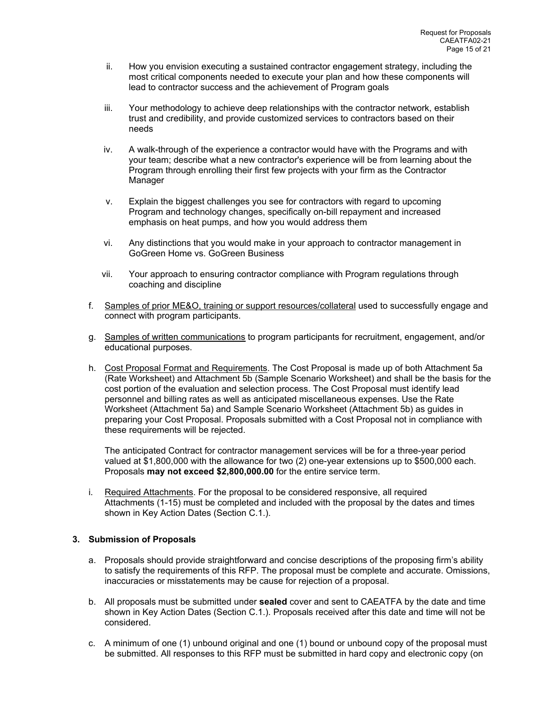- ii. How you envision executing a sustained contractor engagement strategy, including the most critical components needed to execute your plan and how these components will lead to contractor success and the achievement of Program goals
- iii. Your methodology to achieve deep relationships with the contractor network, establish trust and credibility, and provide customized services to contractors based on their needs
- iv. A walk-through of the experience a contractor would have with the Programs and with your team; describe what a new contractor's experience will be from learning about the Program through enrolling their first few projects with your firm as the Contractor Manager
- v. Explain the biggest challenges you see for contractors with regard to upcoming Program and technology changes, specifically on-bill repayment and increased emphasis on heat pumps, and how you would address them
- vi. Any distinctions that you would make in your approach to contractor management in GoGreen Home vs. GoGreen Business
- vii. Your approach to ensuring contractor compliance with Program regulations through coaching and discipline
- f. Samples of prior ME&O, training or support resources/collateral used to successfully engage and connect with program participants.
- g. Samples of written communications to program participants for recruitment, engagement, and/or educational purposes.
- h. Cost Proposal Format and Requirements. The Cost Proposal is made up of both Attachment 5a (Rate Worksheet) and Attachment 5b (Sample Scenario Worksheet) and shall be the basis for the cost portion of the evaluation and selection process. The Cost Proposal must identify lead personnel and billing rates as well as anticipated miscellaneous expenses. Use the Rate Worksheet (Attachment 5a) and Sample Scenario Worksheet (Attachment 5b) as guides in preparing your Cost Proposal. Proposals submitted with a Cost Proposal not in compliance with these requirements will be rejected.

The anticipated Contract for contractor management services will be for a three-year period valued at \$1,800,000 with the allowance for two (2) one-year extensions up to \$500,000 each. Proposals **may not exceed \$2,800,000.00** for the entire service term.

i. Required Attachments. For the proposal to be considered responsive, all required Attachments (1-15) must be completed and included with the proposal by the dates and times shown in Key Action Dates (Section C.1.).

# **3. Submission of Proposals**

- a. Proposals should provide straightforward and concise descriptions of the proposing firm's ability to satisfy the requirements of this RFP. The proposal must be complete and accurate. Omissions, inaccuracies or misstatements may be cause for rejection of a proposal.
- b. All proposals must be submitted under **sealed** cover and sent to CAEATFA by the date and time shown in Key Action Dates (Section C.1.). Proposals received after this date and time will not be considered.
- c. A minimum of one (1) unbound original and one (1) bound or unbound copy of the proposal must be submitted. All responses to this RFP must be submitted in hard copy and electronic copy (on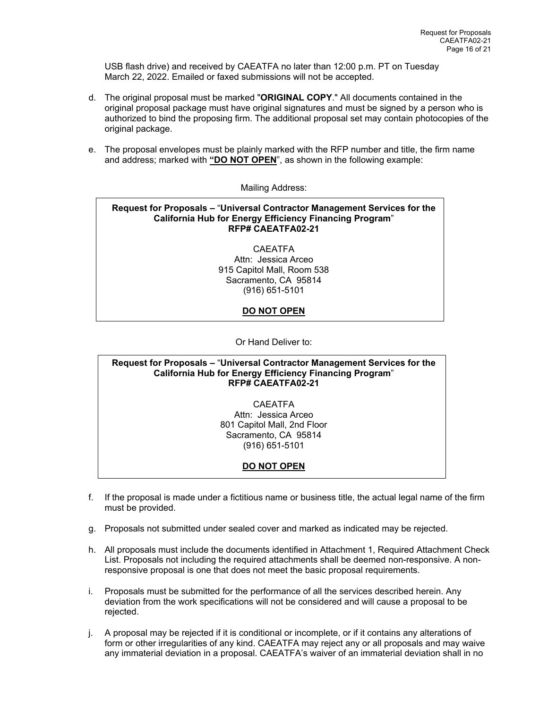USB flash drive) and received by CAEATFA no later than 12:00 p.m. PT on Tuesday March 22, 2022. Emailed or faxed submissions will not be accepted.

- d. The original proposal must be marked "**ORIGINAL COPY**." All documents contained in the original proposal package must have original signatures and must be signed by a person who is authorized to bind the proposing firm. The additional proposal set may contain photocopies of the original package.
- e. The proposal envelopes must be plainly marked with the RFP number and title, the firm name and address; marked with **"DO NOT OPEN**", as shown in the following example:

Mailing Address:

# **Request for Proposals –** "**Universal Contractor Management Services for the California Hub for Energy Efficiency Financing Program**" **RFP# CAEATFA02-21**

**CAFATFA** Attn: Jessica Arceo 915 Capitol Mall, Room 538 Sacramento, CA 95814 (916) 651-5101

# **DO NOT OPEN**

Or Hand Deliver to:

#### **Request for Proposals –** "**Universal Contractor Management Services for the California Hub for Energy Efficiency Financing Program**" **RFP# CAEATFA02-21**

CAEATFA Attn: Jessica Arceo 801 Capitol Mall, 2nd Floor Sacramento, CA 95814 (916) 651-5101

# **DO NOT OPEN**

- f. If the proposal is made under a fictitious name or business title, the actual legal name of the firm must be provided.
- g. Proposals not submitted under sealed cover and marked as indicated may be rejected.
- h. All proposals must include the documents identified in Attachment 1, Required Attachment Check List. Proposals not including the required attachments shall be deemed non-responsive. A nonresponsive proposal is one that does not meet the basic proposal requirements.
- i. Proposals must be submitted for the performance of all the services described herein. Any deviation from the work specifications will not be considered and will cause a proposal to be rejected.
- j. A proposal may be rejected if it is conditional or incomplete, or if it contains any alterations of form or other irregularities of any kind. CAEATFA may reject any or all proposals and may waive any immaterial deviation in a proposal. CAEATFA's waiver of an immaterial deviation shall in no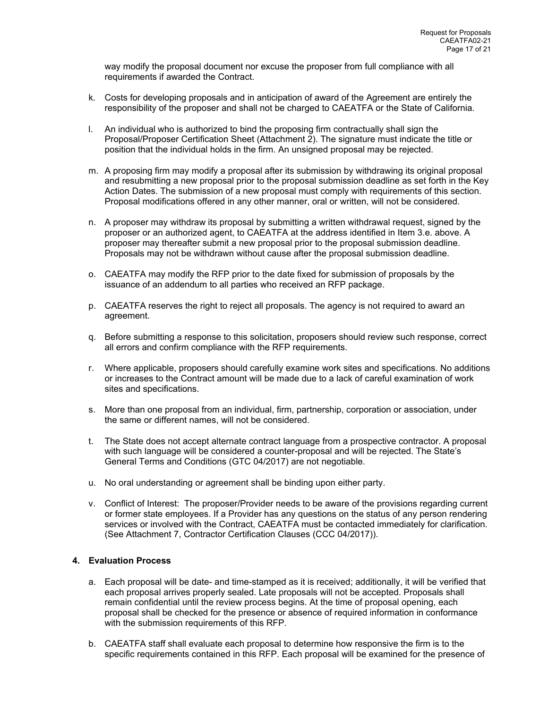way modify the proposal document nor excuse the proposer from full compliance with all requirements if awarded the Contract.

- k. Costs for developing proposals and in anticipation of award of the Agreement are entirely the responsibility of the proposer and shall not be charged to CAEATFA or the State of California.
- l. An individual who is authorized to bind the proposing firm contractually shall sign the Proposal/Proposer Certification Sheet (Attachment 2). The signature must indicate the title or position that the individual holds in the firm. An unsigned proposal may be rejected.
- m. A proposing firm may modify a proposal after its submission by withdrawing its original proposal and resubmitting a new proposal prior to the proposal submission deadline as set forth in the Key Action Dates. The submission of a new proposal must comply with requirements of this section. Proposal modifications offered in any other manner, oral or written, will not be considered.
- n. A proposer may withdraw its proposal by submitting a written withdrawal request, signed by the proposer or an authorized agent, to CAEATFA at the address identified in Item 3.e. above. A proposer may thereafter submit a new proposal prior to the proposal submission deadline. Proposals may not be withdrawn without cause after the proposal submission deadline.
- o. CAEATFA may modify the RFP prior to the date fixed for submission of proposals by the issuance of an addendum to all parties who received an RFP package.
- p. CAEATFA reserves the right to reject all proposals. The agency is not required to award an agreement.
- q. Before submitting a response to this solicitation, proposers should review such response, correct all errors and confirm compliance with the RFP requirements.
- r. Where applicable, proposers should carefully examine work sites and specifications. No additions or increases to the Contract amount will be made due to a lack of careful examination of work sites and specifications.
- s. More than one proposal from an individual, firm, partnership, corporation or association, under the same or different names, will not be considered.
- t. The State does not accept alternate contract language from a prospective contractor. A proposal with such language will be considered a counter-proposal and will be rejected. The State's General Terms and Conditions (GTC 04/2017) are not negotiable.
- u. No oral understanding or agreement shall be binding upon either party.
- v. Conflict of Interest: The proposer/Provider needs to be aware of the provisions regarding current or former state employees. If a Provider has any questions on the status of any person rendering services or involved with the Contract, CAEATFA must be contacted immediately for clarification. (See Attachment 7, Contractor Certification Clauses (CCC 04/2017)).

# **4. Evaluation Process**

- a. Each proposal will be date- and time-stamped as it is received; additionally, it will be verified that each proposal arrives properly sealed. Late proposals will not be accepted. Proposals shall remain confidential until the review process begins. At the time of proposal opening, each proposal shall be checked for the presence or absence of required information in conformance with the submission requirements of this RFP.
- b. CAEATFA staff shall evaluate each proposal to determine how responsive the firm is to the specific requirements contained in this RFP. Each proposal will be examined for the presence of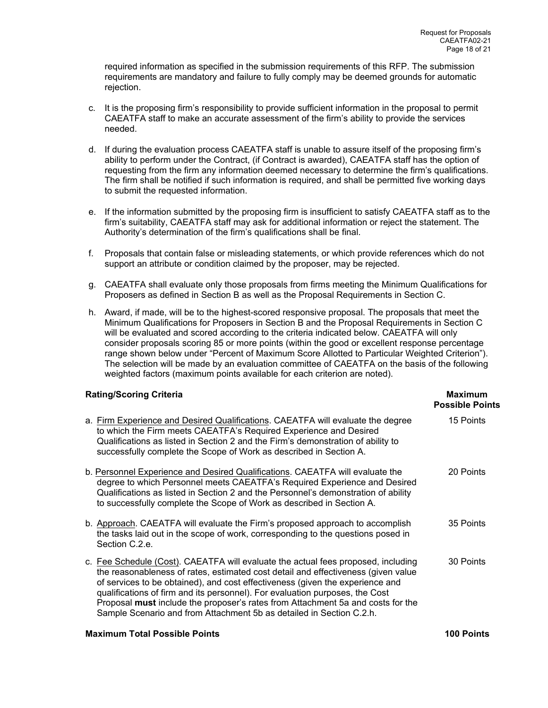required information as specified in the submission requirements of this RFP. The submission requirements are mandatory and failure to fully comply may be deemed grounds for automatic rejection.

- c. It is the proposing firm's responsibility to provide sufficient information in the proposal to permit CAEATFA staff to make an accurate assessment of the firm's ability to provide the services needed.
- d. If during the evaluation process CAEATFA staff is unable to assure itself of the proposing firm's ability to perform under the Contract, (if Contract is awarded), CAEATFA staff has the option of requesting from the firm any information deemed necessary to determine the firm's qualifications. The firm shall be notified if such information is required, and shall be permitted five working days to submit the requested information.
- e. If the information submitted by the proposing firm is insufficient to satisfy CAEATFA staff as to the firm's suitability, CAEATFA staff may ask for additional information or reject the statement. The Authority's determination of the firm's qualifications shall be final.
- f. Proposals that contain false or misleading statements, or which provide references which do not support an attribute or condition claimed by the proposer, may be rejected.
- g. CAEATFA shall evaluate only those proposals from firms meeting the Minimum Qualifications for Proposers as defined in Section B as well as the Proposal Requirements in Section C.
- h. Award, if made, will be to the highest-scored responsive proposal. The proposals that meet the Minimum Qualifications for Proposers in Section B and the Proposal Requirements in Section C will be evaluated and scored according to the criteria indicated below. CAEATFA will only consider proposals scoring 85 or more points (within the good or excellent response percentage range shown below under "Percent of Maximum Score Allotted to Particular Weighted Criterion"). The selection will be made by an evaluation committee of CAEATFA on the basis of the following weighted factors (maximum points available for each criterion are noted).

# **Rating/Scoring Criteria Maximum** *Rating/Scoring Criteria* **Maximum** *Maximum* **<b>Maximum**

|                                                                                                                                                                                                                                                                                                                                                                                                                                                                                                    | <b>Possible Points</b> |
|----------------------------------------------------------------------------------------------------------------------------------------------------------------------------------------------------------------------------------------------------------------------------------------------------------------------------------------------------------------------------------------------------------------------------------------------------------------------------------------------------|------------------------|
| a. Firm Experience and Desired Qualifications. CAEATFA will evaluate the degree<br>to which the Firm meets CAEATFA's Required Experience and Desired<br>Qualifications as listed in Section 2 and the Firm's demonstration of ability to<br>successfully complete the Scope of Work as described in Section A.                                                                                                                                                                                     | 15 Points              |
| b. Personnel Experience and Desired Qualifications. CAEATFA will evaluate the<br>degree to which Personnel meets CAEATFA's Required Experience and Desired<br>Qualifications as listed in Section 2 and the Personnel's demonstration of ability<br>to successfully complete the Scope of Work as described in Section A.                                                                                                                                                                          | 20 Points              |
| b. Approach. CAEATFA will evaluate the Firm's proposed approach to accomplish<br>the tasks laid out in the scope of work, corresponding to the questions posed in<br>Section C.2.e.                                                                                                                                                                                                                                                                                                                | 35 Points              |
| c. Fee Schedule (Cost). CAEATFA will evaluate the actual fees proposed, including<br>the reasonableness of rates, estimated cost detail and effectiveness (given value<br>of services to be obtained), and cost effectiveness (given the experience and<br>qualifications of firm and its personnel). For evaluation purposes, the Cost<br>Proposal must include the proposer's rates from Attachment 5a and costs for the<br>Sample Scenario and from Attachment 5b as detailed in Section C.2.h. | 30 Points              |
| <b>Maximum Total Possible Points</b>                                                                                                                                                                                                                                                                                                                                                                                                                                                               | <b>100 Points</b>      |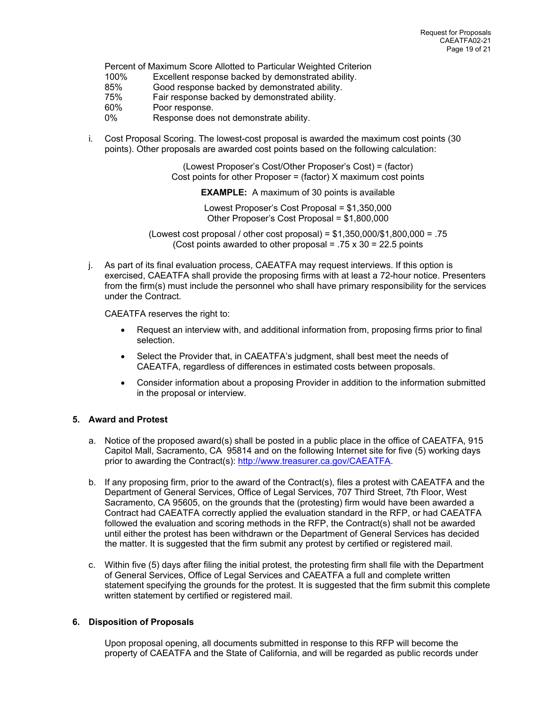Percent of Maximum Score Allotted to Particular Weighted Criterion

- 100% Excellent response backed by demonstrated ability.
- 85% Good response backed by demonstrated ability.
- 75% Fair response backed by demonstrated ability.
- 60% Poor response.
- 0% Response does not demonstrate ability.
- i. Cost Proposal Scoring. The lowest-cost proposal is awarded the maximum cost points (30 points). Other proposals are awarded cost points based on the following calculation:

(Lowest Proposer's Cost/Other Proposer's Cost) = (factor) Cost points for other Proposer = (factor) X maximum cost points

**EXAMPLE:** A maximum of 30 points is available

Lowest Proposer's Cost Proposal = \$1,350,000 Other Proposer's Cost Proposal = \$1,800,000

(Lowest cost proposal / other cost proposal) =  $$1,350,000/$1,800,000 = .75$ (Cost points awarded to other proposal =  $.75 \times 30 = 22.5$  points

j. As part of its final evaluation process, CAEATFA may request interviews. If this option is exercised, CAEATFA shall provide the proposing firms with at least a 72-hour notice. Presenters from the firm(s) must include the personnel who shall have primary responsibility for the services under the Contract.

CAEATFA reserves the right to:

- Request an interview with, and additional information from, proposing firms prior to final selection.
- Select the Provider that, in CAEATFA's judgment, shall best meet the needs of CAEATFA, regardless of differences in estimated costs between proposals.
- Consider information about a proposing Provider in addition to the information submitted in the proposal or interview.

# **5. Award and Protest**

- a. Notice of the proposed award(s) shall be posted in a public place in the office of CAEATFA, 915 Capitol Mall, Sacramento, CA 95814 and on the following Internet site for five (5) working days prior to awarding the Contract(s): http://www.treasurer.ca.gov/CAEATFA.
- b. If any proposing firm, prior to the award of the Contract(s), files a protest with CAEATFA and the Department of General Services, Office of Legal Services, 707 Third Street, 7th Floor, West Sacramento, CA 95605, on the grounds that the (protesting) firm would have been awarded a Contract had CAEATFA correctly applied the evaluation standard in the RFP, or had CAEATFA followed the evaluation and scoring methods in the RFP, the Contract(s) shall not be awarded until either the protest has been withdrawn or the Department of General Services has decided the matter. It is suggested that the firm submit any protest by certified or registered mail.
- c. Within five (5) days after filing the initial protest, the protesting firm shall file with the Department of General Services, Office of Legal Services and CAEATFA a full and complete written statement specifying the grounds for the protest. It is suggested that the firm submit this complete written statement by certified or registered mail.

# **6. Disposition of Proposals**

Upon proposal opening, all documents submitted in response to this RFP will become the property of CAEATFA and the State of California, and will be regarded as public records under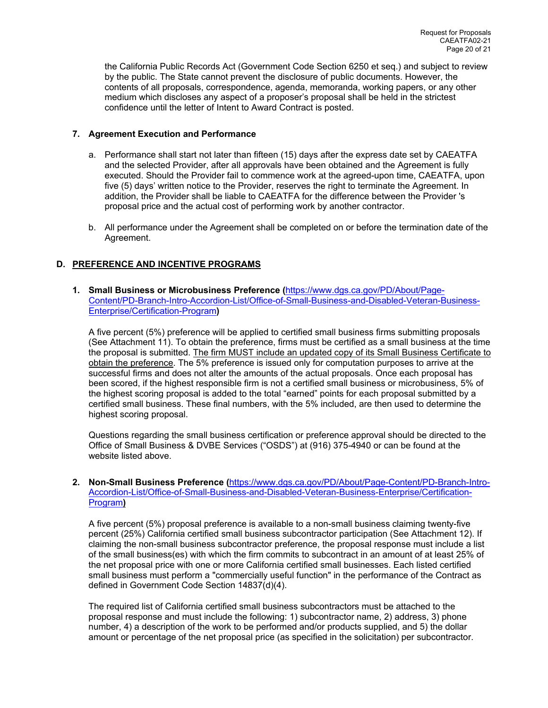the California Public Records Act (Government Code Section 6250 et seq.) and subject to review by the public. The State cannot prevent the disclosure of public documents. However, the contents of all proposals, correspondence, agenda, memoranda, working papers, or any other medium which discloses any aspect of a proposer's proposal shall be held in the strictest confidence until the letter of Intent to Award Contract is posted.

# **7. Agreement Execution and Performance**

- a. Performance shall start not later than fifteen (15) days after the express date set by CAEATFA and the selected Provider, after all approvals have been obtained and the Agreement is fully executed. Should the Provider fail to commence work at the agreed-upon time, CAEATFA, upon five (5) days' written notice to the Provider, reserves the right to terminate the Agreement. In addition, the Provider shall be liable to CAEATFA for the difference between the Provider 's proposal price and the actual cost of performing work by another contractor.
- b. All performance under the Agreement shall be completed on or before the termination date of the Agreement.

# **D. PREFERENCE AND INCENTIVE PROGRAMS**

**1. Small Business or Microbusiness Preference (**https://www.dgs.ca.gov/PD/About/Page-Content/PD-Branch-Intro-Accordion-List/Office-of-Small-Business-and-Disabled-Veteran-Business-Enterprise/Certification-Program**)** 

A five percent (5%) preference will be applied to certified small business firms submitting proposals (See Attachment 11). To obtain the preference, firms must be certified as a small business at the time the proposal is submitted. The firm MUST include an updated copy of its Small Business Certificate to obtain the preference. The 5% preference is issued only for computation purposes to arrive at the successful firms and does not alter the amounts of the actual proposals. Once each proposal has been scored, if the highest responsible firm is not a certified small business or microbusiness, 5% of the highest scoring proposal is added to the total "earned" points for each proposal submitted by a certified small business. These final numbers, with the 5% included, are then used to determine the highest scoring proposal.

Questions regarding the small business certification or preference approval should be directed to the Office of Small Business & DVBE Services ("OSDS") at (916) 375-4940 or can be found at the website listed above.

**2. Non-Small Business Preference (**https://www.dgs.ca.gov/PD/About/Page-Content/PD-Branch-Intro-Accordion-List/Office-of-Small-Business-and-Disabled-Veteran-Business-Enterprise/Certification-Program**)** 

A five percent (5%) proposal preference is available to a non-small business claiming twenty-five percent (25%) California certified small business subcontractor participation (See Attachment 12). If claiming the non-small business subcontractor preference, the proposal response must include a list of the small business(es) with which the firm commits to subcontract in an amount of at least 25% of the net proposal price with one or more California certified small businesses. Each listed certified small business must perform a "commercially useful function" in the performance of the Contract as defined in Government Code Section 14837(d)(4).

The required list of California certified small business subcontractors must be attached to the proposal response and must include the following: 1) subcontractor name, 2) address, 3) phone number, 4) a description of the work to be performed and/or products supplied, and 5) the dollar amount or percentage of the net proposal price (as specified in the solicitation) per subcontractor.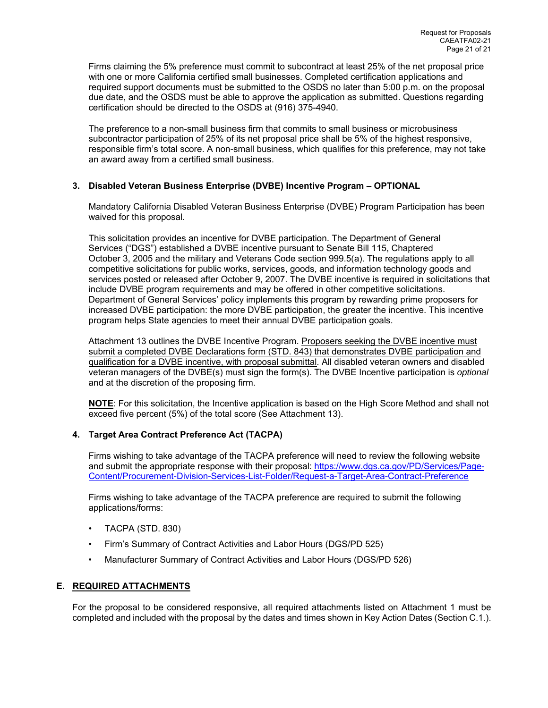Firms claiming the 5% preference must commit to subcontract at least 25% of the net proposal price with one or more California certified small businesses. Completed certification applications and required support documents must be submitted to the OSDS no later than 5:00 p.m. on the proposal due date, and the OSDS must be able to approve the application as submitted. Questions regarding certification should be directed to the OSDS at (916) 375-4940.

The preference to a non-small business firm that commits to small business or microbusiness subcontractor participation of 25% of its net proposal price shall be 5% of the highest responsive, responsible firm's total score. A non-small business, which qualifies for this preference, may not take an award away from a certified small business.

# **3. Disabled Veteran Business Enterprise (DVBE) Incentive Program – OPTIONAL**

Mandatory California Disabled Veteran Business Enterprise (DVBE) Program Participation has been waived for this proposal.

This solicitation provides an incentive for DVBE participation. The Department of General Services ("DGS") established a DVBE incentive pursuant to Senate Bill 115, Chaptered October 3, 2005 and the military and Veterans Code section 999.5(a). The regulations apply to all competitive solicitations for public works, services, goods, and information technology goods and services posted or released after October 9, 2007. The DVBE incentive is required in solicitations that include DVBE program requirements and may be offered in other competitive solicitations. Department of General Services' policy implements this program by rewarding prime proposers for increased DVBE participation: the more DVBE participation, the greater the incentive. This incentive program helps State agencies to meet their annual DVBE participation goals.

Attachment 13 outlines the DVBE Incentive Program. Proposers seeking the DVBE incentive must submit a completed DVBE Declarations form (STD. 843) that demonstrates DVBE participation and qualification for a DVBE incentive, with proposal submittal. All disabled veteran owners and disabled veteran managers of the DVBE(s) must sign the form(s). The DVBE Incentive participation is *optional* and at the discretion of the proposing firm.

**NOTE**: For this solicitation, the Incentive application is based on the High Score Method and shall not exceed five percent (5%) of the total score (See Attachment 13).

# **4. Target Area Contract Preference Act (TACPA)**

Firms wishing to take advantage of the TACPA preference will need to review the following website and submit the appropriate response with their proposal: https://www.dgs.ca.gov/PD/Services/Page-Content/Procurement-Division-Services-List-Folder/Request-a-Target-Area-Contract-Preference

Firms wishing to take advantage of the TACPA preference are required to submit the following applications/forms:

- TACPA (STD. 830)
- Firm's Summary of Contract Activities and Labor Hours (DGS/PD 525)
- Manufacturer Summary of Contract Activities and Labor Hours (DGS/PD 526)

# **E. REQUIRED ATTACHMENTS**

For the proposal to be considered responsive, all required attachments listed on Attachment 1 must be completed and included with the proposal by the dates and times shown in Key Action Dates (Section C.1.).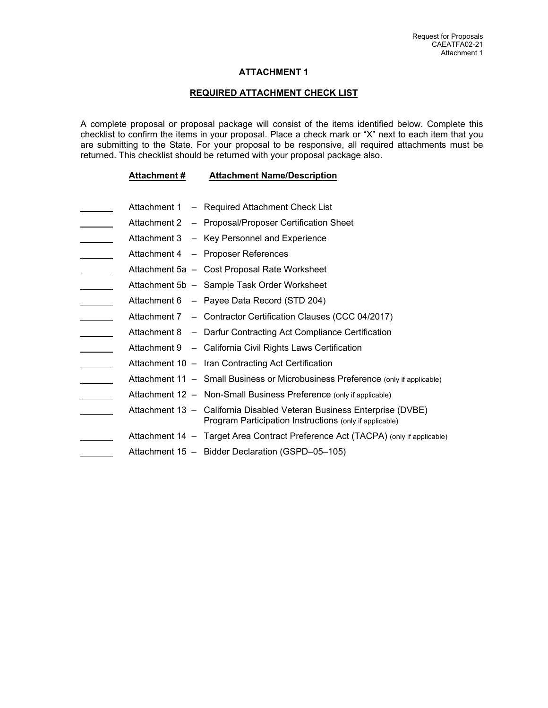# **ATTACHMENT 1**

#### **REQUIRED ATTACHMENT CHECK LIST**

A complete proposal or proposal package will consist of the items identified below. Complete this checklist to confirm the items in your proposal. Place a check mark or "X" next to each item that you are submitting to the State. For your proposal to be responsive, all required attachments must be returned. This checklist should be returned with your proposal package also.

#### **Attachment # Attachment Name/Description**

- Attachment 1 Required Attachment Check List
- Attachment 2 Proposal/Proposer Certification Sheet
- Attachment 3 Key Personnel and Experience
- Attachment 4 Proposer References
- Attachment 5a Cost Proposal Rate Worksheet
- Attachment 5b Sample Task Order Worksheet
- Attachment 6 Payee Data Record (STD 204)
- Attachment 7 Contractor Certification Clauses (CCC 04/2017)
- Attachment 8 Darfur Contracting Act Compliance Certification
- Attachment 9 California Civil Rights Laws Certification
- Attachment 10 Iran Contracting Act Certification
- Attachment 11 Small Business or Microbusiness Preference (only if applicable)
- Attachment 12 Non-Small Business Preference (only if applicable)
- Attachment 13 California Disabled Veteran Business Enterprise (DVBE) Program Participation Instructions (only if applicable)
- Attachment 14 Target Area Contract Preference Act (TACPA) (only if applicable)
- Attachment 15 Bidder Declaration (GSPD–05–105)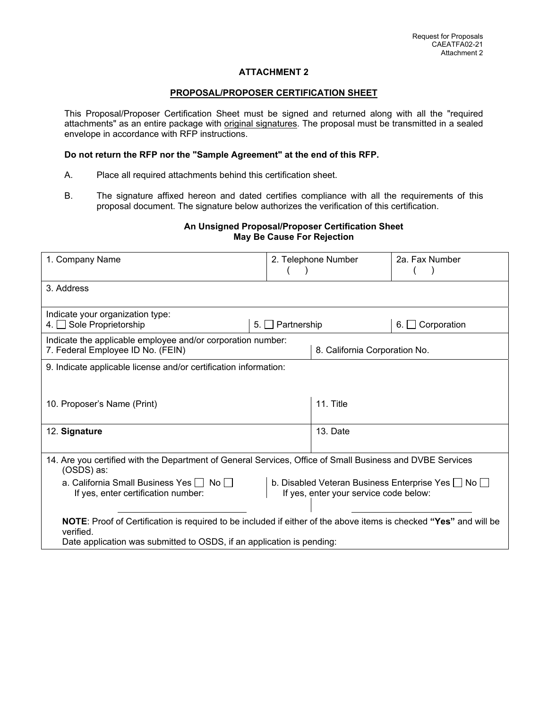# **ATTACHMENT 2**

#### **PROPOSAL/PROPOSER CERTIFICATION SHEET**

This Proposal/Proposer Certification Sheet must be signed and returned along with all the "required attachments" as an entire package with original signatures. The proposal must be transmitted in a sealed envelope in accordance with RFP instructions.

# **Do not return the RFP nor the "Sample Agreement" at the end of this RFP.**

- A. Place all required attachments behind this certification sheet.
- B. The signature affixed hereon and dated certifies compliance with all the requirements of this proposal document. The signature below authorizes the verification of this certification.

# **An Unsigned Proposal/Proposer Certification Sheet May Be Cause For Rejection**

| 1. Company Name                                                                                                                                                                                         | 2. Telephone Number |  | 2a. Fax Number |  |  |
|---------------------------------------------------------------------------------------------------------------------------------------------------------------------------------------------------------|---------------------|--|----------------|--|--|
| 3. Address                                                                                                                                                                                              |                     |  |                |  |  |
| Indicate your organization type:<br>4. Sole Proprietorship<br>Partnership<br>Corporation<br>5.<br>6. I                                                                                                  |                     |  |                |  |  |
| Indicate the applicable employee and/or corporation number:<br>8. California Corporation No.<br>7. Federal Employee ID No. (FEIN)                                                                       |                     |  |                |  |  |
| 9. Indicate applicable license and/or certification information:                                                                                                                                        |                     |  |                |  |  |
| 11. Title<br>10. Proposer's Name (Print)                                                                                                                                                                |                     |  |                |  |  |
| 12. Signature                                                                                                                                                                                           | 13. Date            |  |                |  |  |
| 14. Are you certified with the Department of General Services, Office of Small Business and DVBE Services<br>(OSDS) as:                                                                                 |                     |  |                |  |  |
| a. California Small Business Yes   No  <br>b. Disabled Veteran Business Enterprise Yes $\Box$ No $\Box$<br>If yes, enter your service code below:<br>If yes, enter certification number:                |                     |  |                |  |  |
| NOTE: Proof of Certification is required to be included if either of the above items is checked "Yes" and will be<br>verified.<br>Date application was submitted to OSDS, if an application is pending: |                     |  |                |  |  |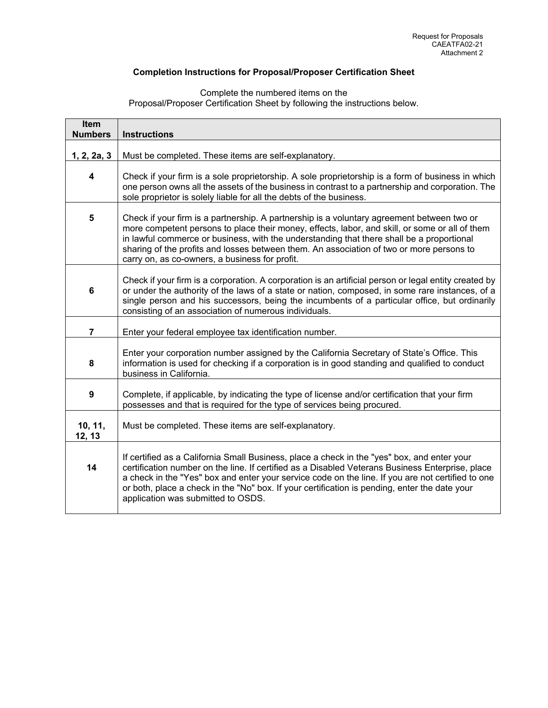# **Completion Instructions for Proposal/Proposer Certification Sheet**

Complete the numbered items on the Proposal/Proposer Certification Sheet by following the instructions below.

| Item<br><b>Numbers</b>                                                                                                                                                                                                                                                                                                                                                                                                                       | <b>Instructions</b>                                                                                                                                                                                                                                                                                                                                                                                                                         |  |  |  |
|----------------------------------------------------------------------------------------------------------------------------------------------------------------------------------------------------------------------------------------------------------------------------------------------------------------------------------------------------------------------------------------------------------------------------------------------|---------------------------------------------------------------------------------------------------------------------------------------------------------------------------------------------------------------------------------------------------------------------------------------------------------------------------------------------------------------------------------------------------------------------------------------------|--|--|--|
| 1, 2, 2a, 3                                                                                                                                                                                                                                                                                                                                                                                                                                  | Must be completed. These items are self-explanatory.                                                                                                                                                                                                                                                                                                                                                                                        |  |  |  |
| 4                                                                                                                                                                                                                                                                                                                                                                                                                                            | Check if your firm is a sole proprietorship. A sole proprietorship is a form of business in which<br>one person owns all the assets of the business in contrast to a partnership and corporation. The<br>sole proprietor is solely liable for all the debts of the business.                                                                                                                                                                |  |  |  |
| 5<br>Check if your firm is a partnership. A partnership is a voluntary agreement between two or<br>more competent persons to place their money, effects, labor, and skill, or some or all of them<br>in lawful commerce or business, with the understanding that there shall be a proportional<br>sharing of the profits and losses between them. An association of two or more persons to<br>carry on, as co-owners, a business for profit. |                                                                                                                                                                                                                                                                                                                                                                                                                                             |  |  |  |
| $6\phantom{1}$                                                                                                                                                                                                                                                                                                                                                                                                                               | Check if your firm is a corporation. A corporation is an artificial person or legal entity created by<br>or under the authority of the laws of a state or nation, composed, in some rare instances, of a<br>single person and his successors, being the incumbents of a particular office, but ordinarily<br>consisting of an association of numerous individuals.                                                                          |  |  |  |
| $\overline{7}$                                                                                                                                                                                                                                                                                                                                                                                                                               | Enter your federal employee tax identification number.                                                                                                                                                                                                                                                                                                                                                                                      |  |  |  |
| 8                                                                                                                                                                                                                                                                                                                                                                                                                                            | Enter your corporation number assigned by the California Secretary of State's Office. This<br>information is used for checking if a corporation is in good standing and qualified to conduct<br>business in California.                                                                                                                                                                                                                     |  |  |  |
| Complete, if applicable, by indicating the type of license and/or certification that your firm<br>9<br>possesses and that is required for the type of services being procured.                                                                                                                                                                                                                                                               |                                                                                                                                                                                                                                                                                                                                                                                                                                             |  |  |  |
| 10, 11,<br>12, 13                                                                                                                                                                                                                                                                                                                                                                                                                            | Must be completed. These items are self-explanatory.                                                                                                                                                                                                                                                                                                                                                                                        |  |  |  |
| 14                                                                                                                                                                                                                                                                                                                                                                                                                                           | If certified as a California Small Business, place a check in the "yes" box, and enter your<br>certification number on the line. If certified as a Disabled Veterans Business Enterprise, place<br>a check in the "Yes" box and enter your service code on the line. If you are not certified to one<br>or both, place a check in the "No" box. If your certification is pending, enter the date your<br>application was submitted to OSDS. |  |  |  |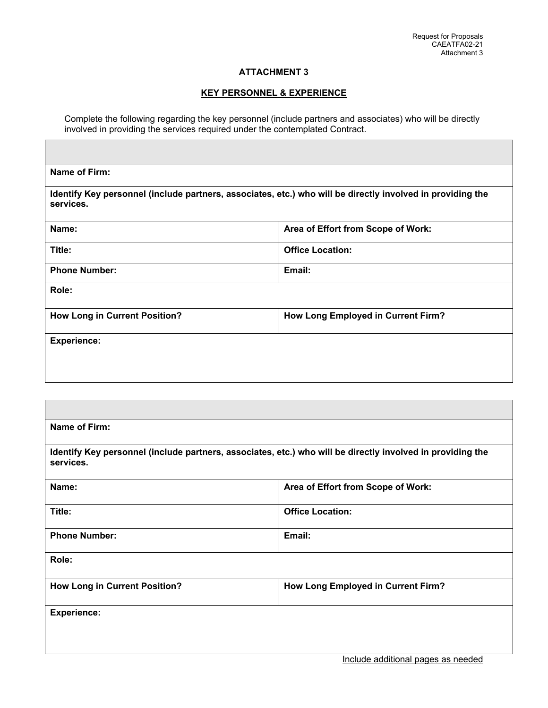# **ATTACHMENT 3**

# **KEY PERSONNEL & EXPERIENCE**

Complete the following regarding the key personnel (include partners and associates) who will be directly involved in providing the services required under the contemplated Contract.

| services.                                            | Identify Key personnel (include partners, associates, etc.) who will be directly involved in providing the |
|------------------------------------------------------|------------------------------------------------------------------------------------------------------------|
| Name:                                                | Area of Effort from Scope of Work:                                                                         |
| Title:                                               | <b>Office Location:</b>                                                                                    |
| <b>Phone Number:</b>                                 | Email:                                                                                                     |
| Role:                                                |                                                                                                            |
| <b>How Long in Current Position?</b>                 | How Long Employed in Current Firm?                                                                         |
| <b>Experience:</b>                                   |                                                                                                            |
|                                                      |                                                                                                            |
|                                                      |                                                                                                            |
|                                                      |                                                                                                            |
| Name of Firm:                                        |                                                                                                            |
|                                                      | Identify Key personnel (include partners, associates, etc.) who will be directly involved in providing the |
|                                                      |                                                                                                            |
|                                                      | Area of Effort from Scope of Work:                                                                         |
|                                                      | <b>Office Location:</b>                                                                                    |
| services.<br>Name:<br>Title:<br><b>Phone Number:</b> | Email:                                                                                                     |
|                                                      |                                                                                                            |
| Role:<br><b>How Long in Current Position?</b>        | How Long Employed in Current Firm?                                                                         |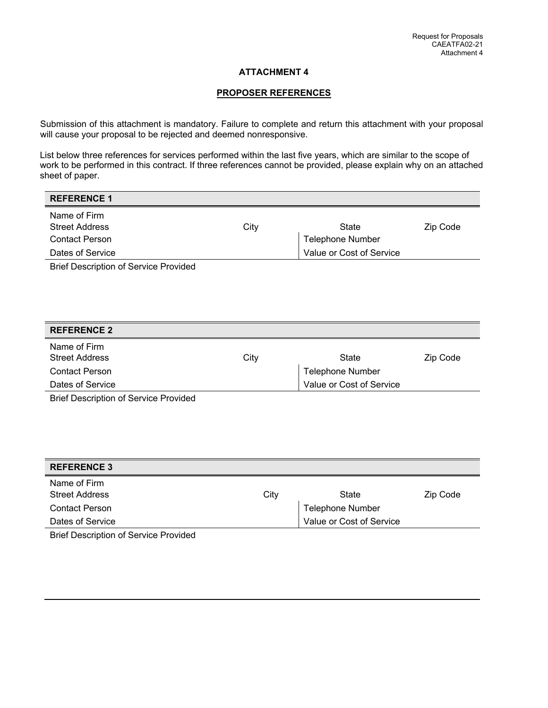# **ATTACHMENT 4**

# **PROPOSER REFERENCES**

Submission of this attachment is mandatory. Failure to complete and return this attachment with your proposal will cause your proposal to be rejected and deemed nonresponsive.

List below three references for services performed within the last five years, which are similar to the scope of work to be performed in this contract. If three references cannot be provided, please explain why on an attached sheet of paper.

# **REFERENCE 1**

| Name of Firm                    |      |                          |          |
|---------------------------------|------|--------------------------|----------|
| <b>Street Address</b>           | City | State                    | Zip Code |
| <b>Contact Person</b>           |      | Telephone Number         |          |
| Dates of Service                |      | Value or Cost of Service |          |
| - - - -<br>$\sim$ $\sim$ $\sim$ |      |                          |          |

Brief Description of Service Provided

| <b>REFERENCE 2</b>                      |      |                          |          |
|-----------------------------------------|------|--------------------------|----------|
| Name of Firm<br><b>Street Address</b>   | City | State                    | Zip Code |
| <b>Contact Person</b>                   |      | <b>Telephone Number</b>  |          |
| Dates of Service                        |      | Value or Cost of Service |          |
| $\sim$ $\sim$ $\sim$<br>----<br>_______ |      |                          |          |

Brief Description of Service Provided

| <b>REFERENCE 3</b>                    |      |                          |          |
|---------------------------------------|------|--------------------------|----------|
| Name of Firm<br><b>Street Address</b> | City | State                    | Zip Code |
| Contact Person                        |      | <b>Telephone Number</b>  |          |
| Dates of Service                      |      | Value or Cost of Service |          |

Brief Description of Service Provided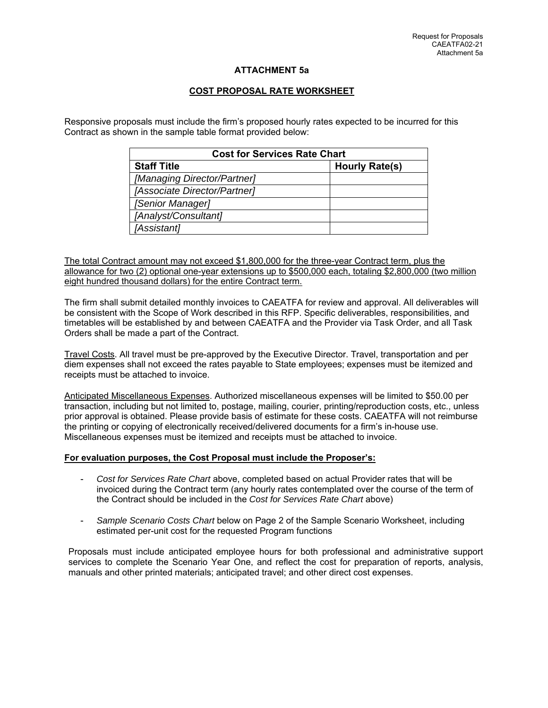# **ATTACHMENT 5a**

# **COST PROPOSAL RATE WORKSHEET**

Responsive proposals must include the firm's proposed hourly rates expected to be incurred for this Contract as shown in the sample table format provided below:

| <b>Cost for Services Rate Chart</b> |                       |  |  |
|-------------------------------------|-----------------------|--|--|
| <b>Staff Title</b>                  | <b>Hourly Rate(s)</b> |  |  |
| [Managing Director/Partner]         |                       |  |  |
| [Associate Director/Partner]        |                       |  |  |
| [Senior Manager]                    |                       |  |  |
| [Analyst/Consultant]                |                       |  |  |
| [Assistant]                         |                       |  |  |

The total Contract amount may not exceed \$1,800,000 for the three-year Contract term, plus the allowance for two (2) optional one-year extensions up to \$500,000 each, totaling \$2,800,000 (two million eight hundred thousand dollars) for the entire Contract term.

The firm shall submit detailed monthly invoices to CAEATFA for review and approval. All deliverables will be consistent with the Scope of Work described in this RFP. Specific deliverables, responsibilities, and timetables will be established by and between CAEATFA and the Provider via Task Order, and all Task Orders shall be made a part of the Contract.

Travel Costs. All travel must be pre-approved by the Executive Director. Travel, transportation and per diem expenses shall not exceed the rates payable to State employees; expenses must be itemized and receipts must be attached to invoice.

Anticipated Miscellaneous Expenses. Authorized miscellaneous expenses will be limited to \$50.00 per transaction, including but not limited to, postage, mailing, courier, printing/reproduction costs, etc., unless prior approval is obtained. Please provide basis of estimate for these costs. CAEATFA will not reimburse the printing or copying of electronically received/delivered documents for a firm's in-house use. Miscellaneous expenses must be itemized and receipts must be attached to invoice.

#### **For evaluation purposes, the Cost Proposal must include the Proposer's:**

- *Cost for Services Rate Chart* above, completed based on actual Provider rates that will be invoiced during the Contract term (any hourly rates contemplated over the course of the term of the Contract should be included in the *Cost for Services Rate Chart* above)
- *Sample Scenario Costs Chart* below on Page 2 of the Sample Scenario Worksheet, including estimated per-unit cost for the requested Program functions

Proposals must include anticipated employee hours for both professional and administrative support services to complete the Scenario Year One, and reflect the cost for preparation of reports, analysis, manuals and other printed materials; anticipated travel; and other direct cost expenses.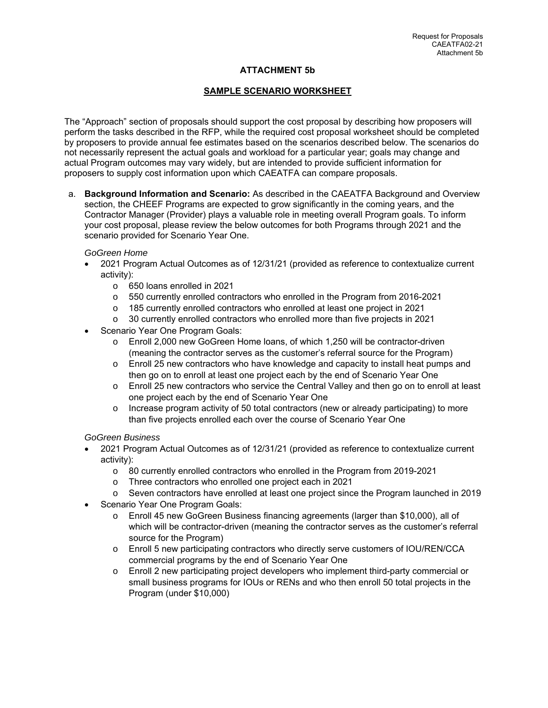# **ATTACHMENT 5b**

# **SAMPLE SCENARIO WORKSHEET**

The "Approach" section of proposals should support the cost proposal by describing how proposers will perform the tasks described in the RFP, while the required cost proposal worksheet should be completed by proposers to provide annual fee estimates based on the scenarios described below. The scenarios do not necessarily represent the actual goals and workload for a particular year; goals may change and actual Program outcomes may vary widely, but are intended to provide sufficient information for proposers to supply cost information upon which CAEATFA can compare proposals.

a. **Background Information and Scenario:** As described in the CAEATFA Background and Overview section, the CHEEF Programs are expected to grow significantly in the coming years, and the Contractor Manager (Provider) plays a valuable role in meeting overall Program goals. To inform your cost proposal, please review the below outcomes for both Programs through 2021 and the scenario provided for Scenario Year One.

#### *GoGreen Home*

- 2021 Program Actual Outcomes as of 12/31/21 (provided as reference to contextualize current activity):
	- o 650 loans enrolled in 2021
	- o 550 currently enrolled contractors who enrolled in the Program from 2016-2021
	- o 185 currently enrolled contractors who enrolled at least one project in 2021
	- o 30 currently enrolled contractors who enrolled more than five projects in 2021
- Scenario Year One Program Goals:
	- o Enroll 2,000 new GoGreen Home loans, of which 1,250 will be contractor-driven (meaning the contractor serves as the customer's referral source for the Program)
	- o Enroll 25 new contractors who have knowledge and capacity to install heat pumps and then go on to enroll at least one project each by the end of Scenario Year One
	- o Enroll 25 new contractors who service the Central Valley and then go on to enroll at least one project each by the end of Scenario Year One
	- o Increase program activity of 50 total contractors (new or already participating) to more than five projects enrolled each over the course of Scenario Year One

# *GoGreen Business*

- 2021 Program Actual Outcomes as of 12/31/21 (provided as reference to contextualize current activity):
	- o 80 currently enrolled contractors who enrolled in the Program from 2019-2021
	- o Three contractors who enrolled one project each in 2021
	- o Seven contractors have enrolled at least one project since the Program launched in 2019
- Scenario Year One Program Goals:
	- o Enroll 45 new GoGreen Business financing agreements (larger than \$10,000), all of which will be contractor-driven (meaning the contractor serves as the customer's referral source for the Program)
	- o Enroll 5 new participating contractors who directly serve customers of IOU/REN/CCA commercial programs by the end of Scenario Year One
	- o Enroll 2 new participating project developers who implement third-party commercial or small business programs for IOUs or RENs and who then enroll 50 total projects in the Program (under \$10,000)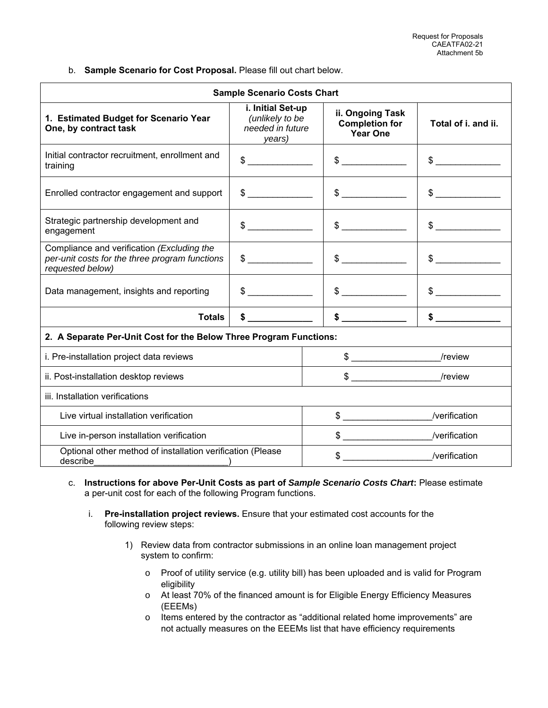b. **Sample Scenario for Cost Proposal.** Please fill out chart below.

| <b>Sample Scenario Costs Chart</b>                                                                               |                                                                    |                                                              |                     |  |
|------------------------------------------------------------------------------------------------------------------|--------------------------------------------------------------------|--------------------------------------------------------------|---------------------|--|
| 1. Estimated Budget for Scenario Year<br>One, by contract task                                                   | i. Initial Set-up<br>(unlikely to be<br>needed in future<br>years) | ii. Ongoing Task<br><b>Completion for</b><br><b>Year One</b> | Total of i. and ii. |  |
| Initial contractor recruitment, enrollment and<br>training                                                       | $\frac{1}{2}$                                                      | $\frac{1}{2}$                                                | $\frac{1}{2}$       |  |
| Enrolled contractor engagement and support                                                                       | $\frac{1}{2}$                                                      | $\frac{1}{\sqrt{2}}$                                         | $\frac{1}{2}$       |  |
| Strategic partnership development and<br>engagement                                                              | $\frac{1}{2}$                                                      | $\frac{1}{2}$                                                | $\frac{1}{2}$       |  |
| Compliance and verification (Excluding the<br>per-unit costs for the three program functions<br>requested below) | $\frac{1}{2}$                                                      | $\frac{1}{2}$                                                | $\frac{1}{2}$       |  |
| Data management, insights and reporting                                                                          | $\sim$                                                             | $\frac{1}{\sqrt{2}}$                                         | $\sim$              |  |
| <b>Totals</b>                                                                                                    | $\boldsymbol{\mathsf{s}}$                                          |                                                              |                     |  |
| 2. A Separate Per-Unit Cost for the Below Three Program Functions:                                               |                                                                    |                                                              |                     |  |
| i. Pre-installation project data reviews                                                                         | $\frac{1}{2}$                                                      | /review                                                      |                     |  |
| ii. Post-installation desktop reviews                                                                            |                                                                    |                                                              |                     |  |
| iii. Installation verifications                                                                                  |                                                                    |                                                              |                     |  |
| Live virtual installation verification                                                                           |                                                                    | $\frac{1}{2}$                                                | /verification       |  |
| Live in-person installation verification                                                                         |                                                                    | $\frac{1}{2}$                                                | /verification       |  |
| Optional other method of installation verification (Please<br>describe                                           |                                                                    |                                                              | /verification       |  |

- c. **Instructions for above Per-Unit Costs as part of** *Sample Scenario Costs Chart***:** Please estimate a per-unit cost for each of the following Program functions.
	- i. **Pre-installation project reviews.** Ensure that your estimated cost accounts for the following review steps:
		- 1) Review data from contractor submissions in an online loan management project system to confirm:
			- o Proof of utility service (e.g. utility bill) has been uploaded and is valid for Program eligibility
			- o At least 70% of the financed amount is for Eligible Energy Efficiency Measures (EEEMs)
			- o Items entered by the contractor as "additional related home improvements" are not actually measures on the EEEMs list that have efficiency requirements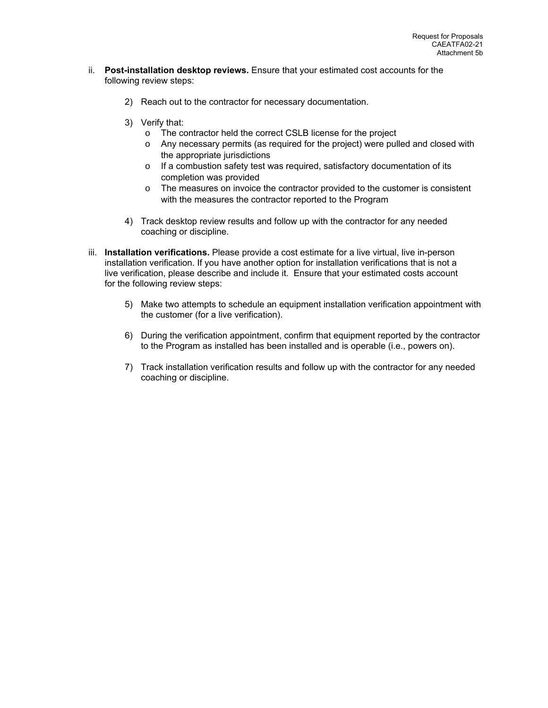- ii. **Post-installation desktop reviews.** Ensure that your estimated cost accounts for the following review steps:
	- 2) Reach out to the contractor for necessary documentation.
	- 3) Verify that:
		- o The contractor held the correct CSLB license for the project
		- o Any necessary permits (as required for the project) were pulled and closed with the appropriate jurisdictions
		- o If a combustion safety test was required, satisfactory documentation of its completion was provided
		- o The measures on invoice the contractor provided to the customer is consistent with the measures the contractor reported to the Program
	- 4) Track desktop review results and follow up with the contractor for any needed coaching or discipline.
- iii. **Installation verifications.** Please provide a cost estimate for a live virtual, live in-person installation verification. If you have another option for installation verifications that is not a live verification, please describe and include it. Ensure that your estimated costs account for the following review steps:
	- 5) Make two attempts to schedule an equipment installation verification appointment with the customer (for a live verification).
	- 6) During the verification appointment, confirm that equipment reported by the contractor to the Program as installed has been installed and is operable (i.e., powers on).
	- 7) Track installation verification results and follow up with the contractor for any needed coaching or discipline.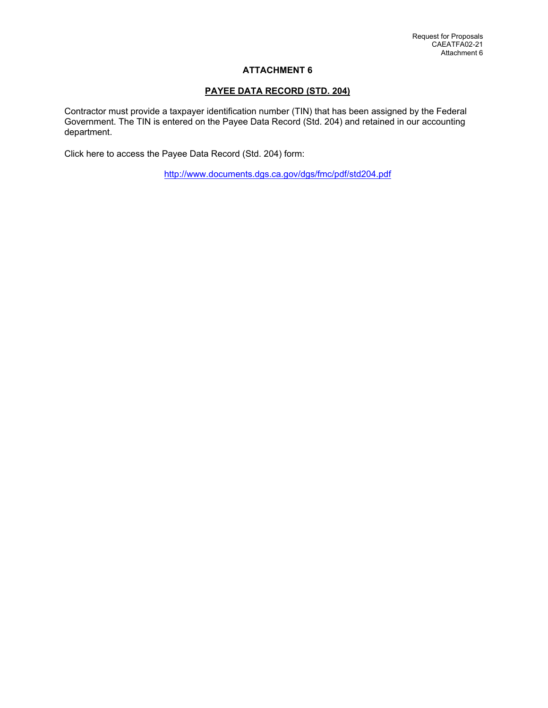# **ATTACHMENT 6**

# **PAYEE DATA RECORD (STD. 204)**

Contractor must provide a taxpayer identification number (TIN) that has been assigned by the Federal Government. The TIN is entered on the Payee Data Record (Std. 204) and retained in our accounting department.

Click here to access the Payee Data Record (Std. 204) form:

http://www.documents.dgs.ca.gov/dgs/fmc/pdf/std204.pdf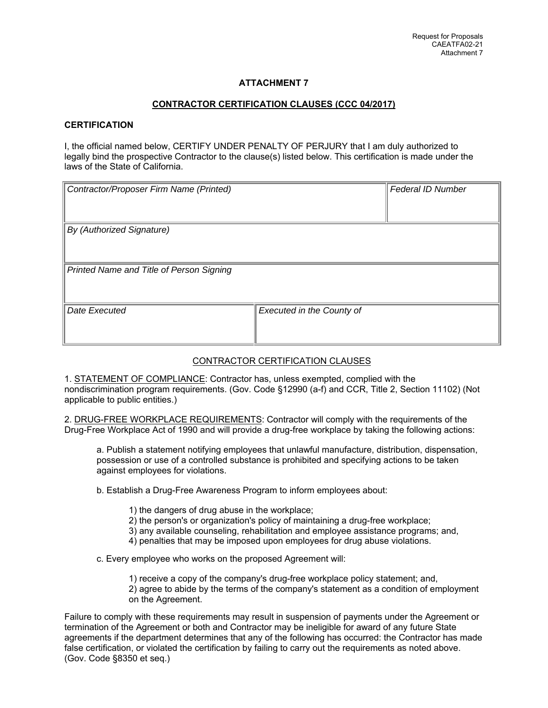# **ATTACHMENT 7**

# **CONTRACTOR CERTIFICATION CLAUSES (CCC 04/2017)**

#### **CERTIFICATION**

I, the official named below, CERTIFY UNDER PENALTY OF PERJURY that I am duly authorized to legally bind the prospective Contractor to the clause(s) listed below. This certification is made under the laws of the State of California.

| Contractor/Proposer Firm Name (Printed)  |                                  | Federal ID Number |  |  |
|------------------------------------------|----------------------------------|-------------------|--|--|
| By (Authorized Signature)                |                                  |                   |  |  |
| Printed Name and Title of Person Signing |                                  |                   |  |  |
| Date Executed                            | <b>Executed in the County of</b> |                   |  |  |

# CONTRACTOR CERTIFICATION CLAUSES

1. STATEMENT OF COMPLIANCE: Contractor has, unless exempted, complied with the nondiscrimination program requirements. (Gov. Code §12990 (a-f) and CCR, Title 2, Section 11102) (Not applicable to public entities.)

2. DRUG-FREE WORKPLACE REQUIREMENTS: Contractor will comply with the requirements of the Drug-Free Workplace Act of 1990 and will provide a drug-free workplace by taking the following actions:

a. Publish a statement notifying employees that unlawful manufacture, distribution, dispensation, possession or use of a controlled substance is prohibited and specifying actions to be taken against employees for violations.

b. Establish a Drug-Free Awareness Program to inform employees about:

- 1) the dangers of drug abuse in the workplace;
- 2) the person's or organization's policy of maintaining a drug-free workplace;
- 3) any available counseling, rehabilitation and employee assistance programs; and,
- 4) penalties that may be imposed upon employees for drug abuse violations.

c. Every employee who works on the proposed Agreement will:

1) receive a copy of the company's drug-free workplace policy statement; and,

2) agree to abide by the terms of the company's statement as a condition of employment on the Agreement.

Failure to comply with these requirements may result in suspension of payments under the Agreement or termination of the Agreement or both and Contractor may be ineligible for award of any future State agreements if the department determines that any of the following has occurred: the Contractor has made false certification, or violated the certification by failing to carry out the requirements as noted above. (Gov. Code §8350 et seq.)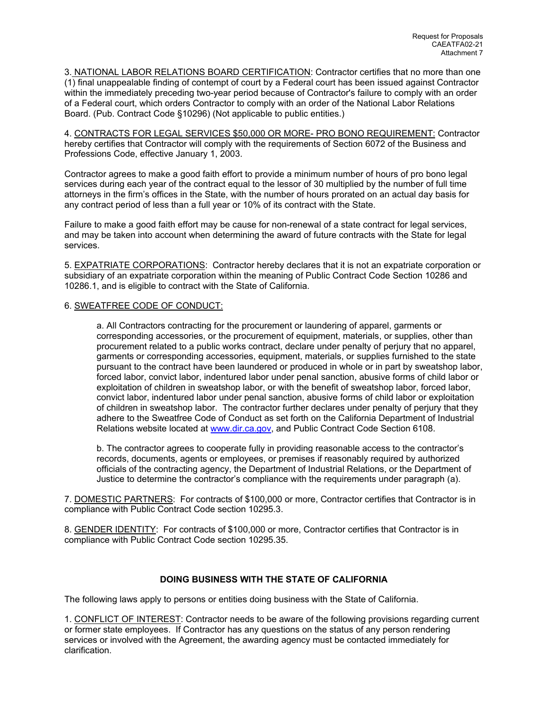3. NATIONAL LABOR RELATIONS BOARD CERTIFICATION: Contractor certifies that no more than one (1) final unappealable finding of contempt of court by a Federal court has been issued against Contractor within the immediately preceding two-year period because of Contractor's failure to comply with an order of a Federal court, which orders Contractor to comply with an order of the National Labor Relations Board. (Pub. Contract Code §10296) (Not applicable to public entities.)

4. CONTRACTS FOR LEGAL SERVICES \$50,000 OR MORE- PRO BONO REQUIREMENT: Contractor hereby certifies that Contractor will comply with the requirements of Section 6072 of the Business and Professions Code, effective January 1, 2003.

Contractor agrees to make a good faith effort to provide a minimum number of hours of pro bono legal services during each year of the contract equal to the lessor of 30 multiplied by the number of full time attorneys in the firm's offices in the State, with the number of hours prorated on an actual day basis for any contract period of less than a full year or 10% of its contract with the State.

Failure to make a good faith effort may be cause for non-renewal of a state contract for legal services, and may be taken into account when determining the award of future contracts with the State for legal services.

5. EXPATRIATE CORPORATIONS: Contractor hereby declares that it is not an expatriate corporation or subsidiary of an expatriate corporation within the meaning of Public Contract Code Section 10286 and 10286.1, and is eligible to contract with the State of California.

#### 6. SWEATFREE CODE OF CONDUCT:

a. All Contractors contracting for the procurement or laundering of apparel, garments or corresponding accessories, or the procurement of equipment, materials, or supplies, other than procurement related to a public works contract, declare under penalty of perjury that no apparel, garments or corresponding accessories, equipment, materials, or supplies furnished to the state pursuant to the contract have been laundered or produced in whole or in part by sweatshop labor, forced labor, convict labor, indentured labor under penal sanction, abusive forms of child labor or exploitation of children in sweatshop labor, or with the benefit of sweatshop labor, forced labor, convict labor, indentured labor under penal sanction, abusive forms of child labor or exploitation of children in sweatshop labor. The contractor further declares under penalty of perjury that they adhere to the Sweatfree Code of Conduct as set forth on the California Department of Industrial Relations website located at www.dir.ca.gov, and Public Contract Code Section 6108.

b. The contractor agrees to cooperate fully in providing reasonable access to the contractor's records, documents, agents or employees, or premises if reasonably required by authorized officials of the contracting agency, the Department of Industrial Relations, or the Department of Justice to determine the contractor's compliance with the requirements under paragraph (a).

7. DOMESTIC PARTNERS: For contracts of \$100,000 or more, Contractor certifies that Contractor is in compliance with Public Contract Code section 10295.3.

8. GENDER IDENTITY: For contracts of \$100,000 or more, Contractor certifies that Contractor is in compliance with Public Contract Code section 10295.35.

# **DOING BUSINESS WITH THE STATE OF CALIFORNIA**

The following laws apply to persons or entities doing business with the State of California.

1. CONFLICT OF INTEREST: Contractor needs to be aware of the following provisions regarding current or former state employees. If Contractor has any questions on the status of any person rendering services or involved with the Agreement, the awarding agency must be contacted immediately for clarification.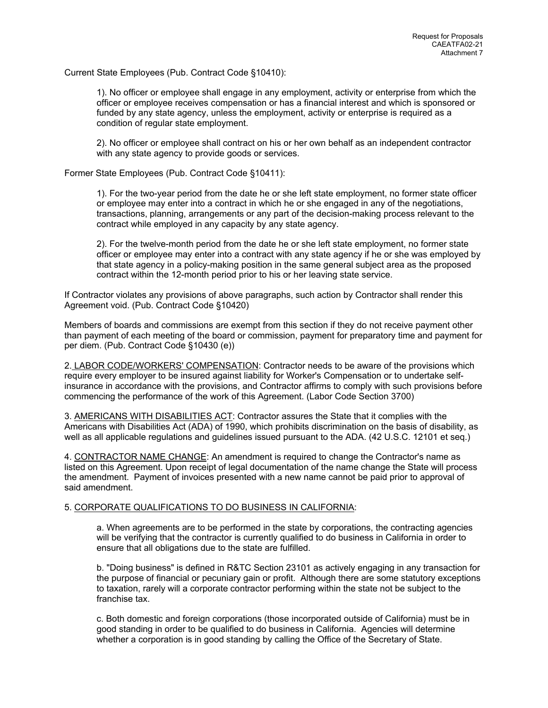Current State Employees (Pub. Contract Code §10410):

1). No officer or employee shall engage in any employment, activity or enterprise from which the officer or employee receives compensation or has a financial interest and which is sponsored or funded by any state agency, unless the employment, activity or enterprise is required as a condition of regular state employment.

2). No officer or employee shall contract on his or her own behalf as an independent contractor with any state agency to provide goods or services.

Former State Employees (Pub. Contract Code §10411):

1). For the two-year period from the date he or she left state employment, no former state officer or employee may enter into a contract in which he or she engaged in any of the negotiations, transactions, planning, arrangements or any part of the decision-making process relevant to the contract while employed in any capacity by any state agency.

2). For the twelve-month period from the date he or she left state employment, no former state officer or employee may enter into a contract with any state agency if he or she was employed by that state agency in a policy-making position in the same general subject area as the proposed contract within the 12-month period prior to his or her leaving state service.

If Contractor violates any provisions of above paragraphs, such action by Contractor shall render this Agreement void. (Pub. Contract Code §10420)

Members of boards and commissions are exempt from this section if they do not receive payment other than payment of each meeting of the board or commission, payment for preparatory time and payment for per diem. (Pub. Contract Code §10430 (e))

2. LABOR CODE/WORKERS' COMPENSATION: Contractor needs to be aware of the provisions which require every employer to be insured against liability for Worker's Compensation or to undertake selfinsurance in accordance with the provisions, and Contractor affirms to comply with such provisions before commencing the performance of the work of this Agreement. (Labor Code Section 3700)

3. AMERICANS WITH DISABILITIES ACT: Contractor assures the State that it complies with the Americans with Disabilities Act (ADA) of 1990, which prohibits discrimination on the basis of disability, as well as all applicable regulations and guidelines issued pursuant to the ADA. (42 U.S.C. 12101 et seq.)

4. CONTRACTOR NAME CHANGE: An amendment is required to change the Contractor's name as listed on this Agreement. Upon receipt of legal documentation of the name change the State will process the amendment. Payment of invoices presented with a new name cannot be paid prior to approval of said amendment.

#### 5. CORPORATE QUALIFICATIONS TO DO BUSINESS IN CALIFORNIA:

a. When agreements are to be performed in the state by corporations, the contracting agencies will be verifying that the contractor is currently qualified to do business in California in order to ensure that all obligations due to the state are fulfilled.

b. "Doing business" is defined in R&TC Section 23101 as actively engaging in any transaction for the purpose of financial or pecuniary gain or profit. Although there are some statutory exceptions to taxation, rarely will a corporate contractor performing within the state not be subject to the franchise tax.

c. Both domestic and foreign corporations (those incorporated outside of California) must be in good standing in order to be qualified to do business in California. Agencies will determine whether a corporation is in good standing by calling the Office of the Secretary of State.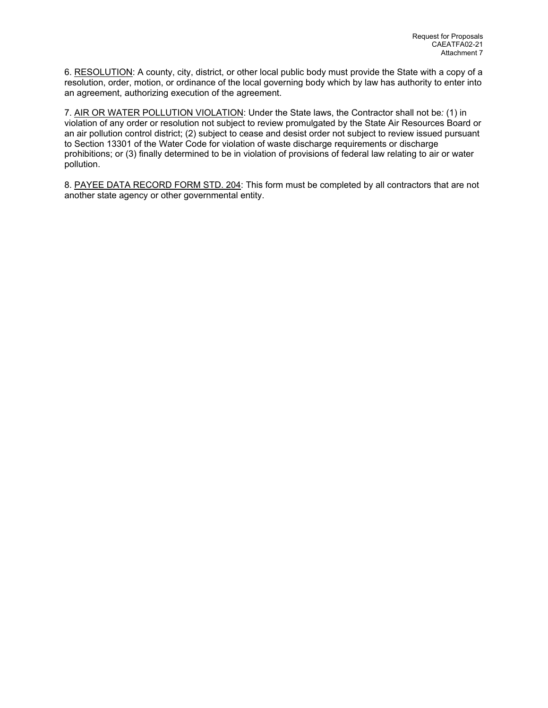6. RESOLUTION: A county, city, district, or other local public body must provide the State with a copy of a resolution, order, motion, or ordinance of the local governing body which by law has authority to enter into an agreement, authorizing execution of the agreement.

7. AIR OR WATER POLLUTION VIOLATION: Under the State laws, the Contractor shall not be*:* (1) in violation of any order or resolution not subject to review promulgated by the State Air Resources Board or an air pollution control district; (2) subject to cease and desist order not subject to review issued pursuant to Section 13301 of the Water Code for violation of waste discharge requirements or discharge prohibitions; or (3) finally determined to be in violation of provisions of federal law relating to air or water pollution.

8. PAYEE DATA RECORD FORM STD. 204: This form must be completed by all contractors that are not another state agency or other governmental entity.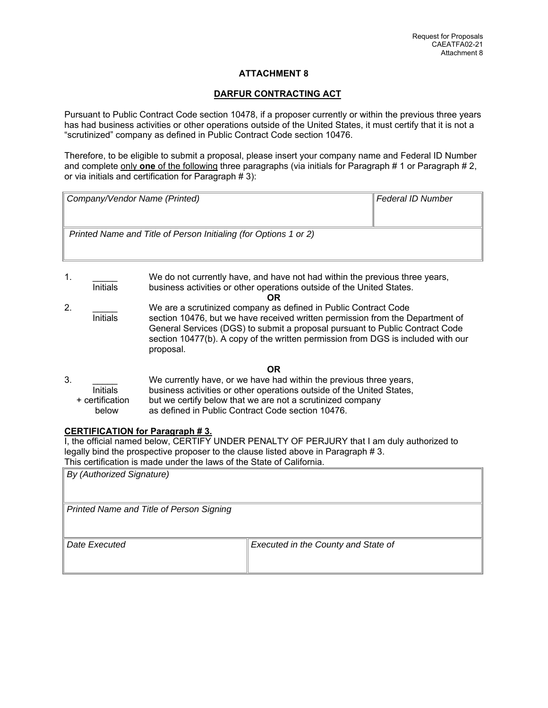### **DARFUR CONTRACTING ACT**

Pursuant to Public Contract Code section 10478, if a proposer currently or within the previous three years has had business activities or other operations outside of the United States, it must certify that it is not a "scrutinized" company as defined in Public Contract Code section 10476.

Therefore, to be eligible to submit a proposal, please insert your company name and Federal ID Number and complete only **one** of the following three paragraphs (via initials for Paragraph # 1 or Paragraph # 2, or via initials and certification for Paragraph # 3):

| Company/Vendor Name (Printed)                                    | Federal ID Number |
|------------------------------------------------------------------|-------------------|
| Printed Name and Title of Person Initialing (for Options 1 or 2) |                   |

1. \_\_\_\_\_ We do not currently have, and have not had within the previous three years, business activities or other operations outside of the United States. **OR** 2. \_\_\_\_\_ We are a scrutinized company as defined in Public Contract Code Initials section 10476, but we have received written permission from the Department of General Services (DGS) to submit a proposal pursuant to Public Contract Code section 10477(b). A copy of the written permission from DGS is included with our proposal.

## **OR**

| 3. |                 | We currently have, or we have had within the previous three years,    |
|----|-----------------|-----------------------------------------------------------------------|
|    | <b>Initials</b> | business activities or other operations outside of the United States, |
|    | + certification | but we certify below that we are not a scrutinized company            |
|    | below           | as defined in Public Contract Code section 10476.                     |

## **CERTIFICATION for Paragraph # 3.**

I, the official named below, CERTIFY UNDER PENALTY OF PERJURY that I am duly authorized to legally bind the prospective proposer to the clause listed above in Paragraph # 3. This certification is made under the laws of the State of California.

| <b>By (Authorized Signature)</b>         |                                     |
|------------------------------------------|-------------------------------------|
| Printed Name and Title of Person Signing |                                     |
| Date Executed                            | Executed in the County and State of |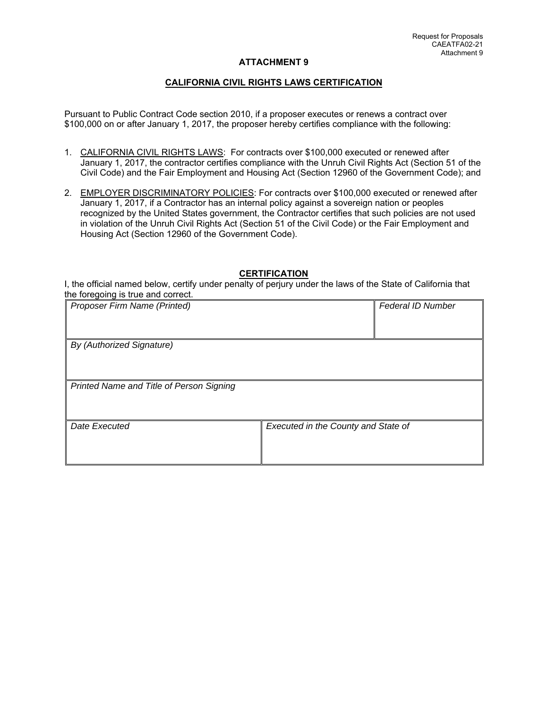## **CALIFORNIA CIVIL RIGHTS LAWS CERTIFICATION**

Pursuant to Public Contract Code section 2010, if a proposer executes or renews a contract over \$100,000 on or after January 1, 2017, the proposer hereby certifies compliance with the following:

- 1. CALIFORNIA CIVIL RIGHTS LAWS: For contracts over \$100,000 executed or renewed after January 1, 2017, the contractor certifies compliance with the Unruh Civil Rights Act (Section 51 of the Civil Code) and the Fair Employment and Housing Act (Section 12960 of the Government Code); and
- 2. EMPLOYER DISCRIMINATORY POLICIES: For contracts over \$100,000 executed or renewed after January 1, 2017, if a Contractor has an internal policy against a sovereign nation or peoples recognized by the United States government, the Contractor certifies that such policies are not used in violation of the Unruh Civil Rights Act (Section 51 of the Civil Code) or the Fair Employment and Housing Act (Section 12960 of the Government Code).

### **CERTIFICATION**

I, the official named below, certify under penalty of perjury under the laws of the State of California that the foregoing is true and correct.

| Proposer Firm Name (Printed)             |                                     | <b>Federal ID Number</b> |
|------------------------------------------|-------------------------------------|--------------------------|
|                                          |                                     |                          |
| By (Authorized Signature)                |                                     |                          |
|                                          |                                     |                          |
| Printed Name and Title of Person Signing |                                     |                          |
|                                          |                                     |                          |
| Date Executed                            | Executed in the County and State of |                          |
|                                          |                                     |                          |
|                                          |                                     |                          |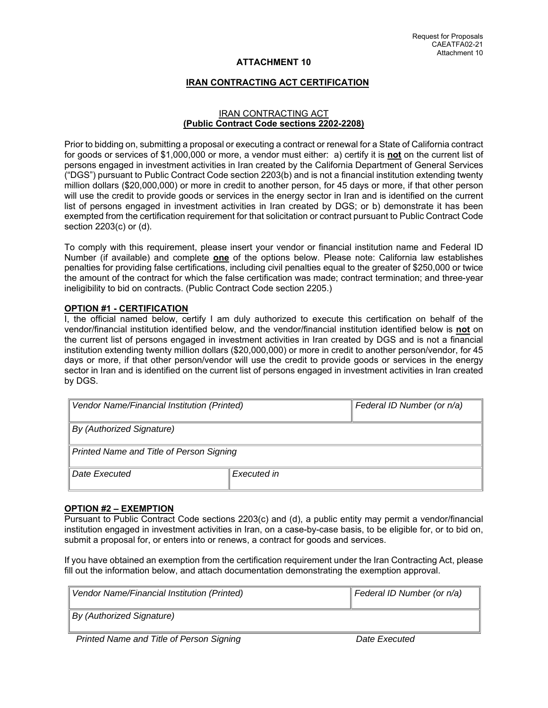# **IRAN CONTRACTING ACT CERTIFICATION**

### IRAN CONTRACTING ACT **(Public Contract Code sections 2202-2208)**

Prior to bidding on, submitting a proposal or executing a contract or renewal for a State of California contract for goods or services of \$1,000,000 or more, a vendor must either: a) certify it is **not** on the current list of persons engaged in investment activities in Iran created by the California Department of General Services ("DGS") pursuant to Public Contract Code section 2203(b) and is not a financial institution extending twenty million dollars (\$20,000,000) or more in credit to another person, for 45 days or more, if that other person will use the credit to provide goods or services in the energy sector in Iran and is identified on the current list of persons engaged in investment activities in Iran created by DGS; or b) demonstrate it has been exempted from the certification requirement for that solicitation or contract pursuant to Public Contract Code section 2203(c) or (d).

To comply with this requirement, please insert your vendor or financial institution name and Federal ID Number (if available) and complete **one** of the options below. Please note: California law establishes penalties for providing false certifications, including civil penalties equal to the greater of \$250,000 or twice the amount of the contract for which the false certification was made; contract termination; and three-year ineligibility to bid on contracts. (Public Contract Code section 2205.)

## **OPTION #1 - CERTIFICATION**

I, the official named below, certify I am duly authorized to execute this certification on behalf of the vendor/financial institution identified below, and the vendor/financial institution identified below is **not** on the current list of persons engaged in investment activities in Iran created by DGS and is not a financial institution extending twenty million dollars (\$20,000,000) or more in credit to another person/vendor, for 45 days or more, if that other person/vendor will use the credit to provide goods or services in the energy sector in Iran and is identified on the current list of persons engaged in investment activities in Iran created by DGS.

| Vendor Name/Financial Institution (Printed) |             | Federal ID Number (or n/a) |  |
|---------------------------------------------|-------------|----------------------------|--|
| By (Authorized Signature)                   |             |                            |  |
| Printed Name and Title of Person Signing    |             |                            |  |
| Date Executed                               | Executed in |                            |  |

## **OPTION #2 – EXEMPTION**

Pursuant to Public Contract Code sections 2203(c) and (d), a public entity may permit a vendor/financial institution engaged in investment activities in Iran, on a case-by-case basis, to be eligible for, or to bid on, submit a proposal for, or enters into or renews, a contract for goods and services.

If you have obtained an exemption from the certification requirement under the Iran Contracting Act, please fill out the information below, and attach documentation demonstrating the exemption approval.

| Vendor Name/Financial Institution (Printed) | Federal ID Number (or n/a) |
|---------------------------------------------|----------------------------|
| By (Authorized Signature)                   |                            |
| Drintod Namo and Title of Derson Signing    | Dota Evonutod              |

*Printed Name and Title of Person Signing* and the contract the Date Executed **Date Executed**  $\theta$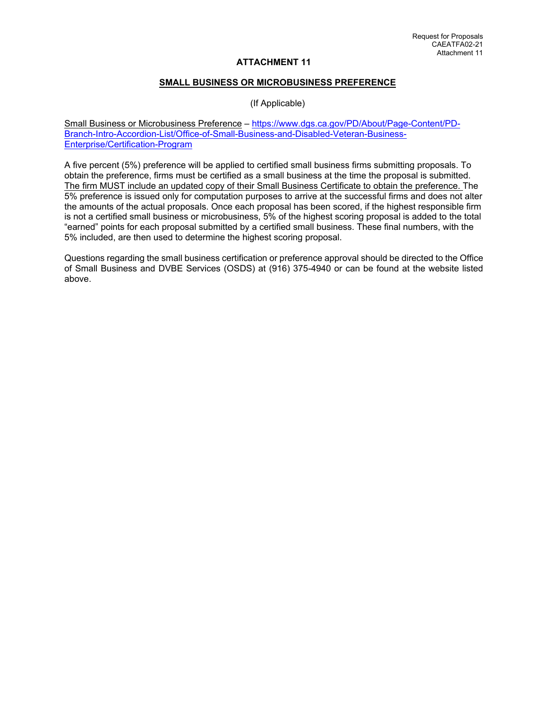### **SMALL BUSINESS OR MICROBUSINESS PREFERENCE**

(If Applicable)

Small Business or Microbusiness Preference – https://www.dgs.ca.gov/PD/About/Page-Content/PD-Branch-Intro-Accordion-List/Office-of-Small-Business-and-Disabled-Veteran-Business-Enterprise/Certification-Program

A five percent (5%) preference will be applied to certified small business firms submitting proposals. To obtain the preference, firms must be certified as a small business at the time the proposal is submitted. The firm MUST include an updated copy of their Small Business Certificate to obtain the preference. The 5% preference is issued only for computation purposes to arrive at the successful firms and does not alter the amounts of the actual proposals. Once each proposal has been scored, if the highest responsible firm is not a certified small business or microbusiness, 5% of the highest scoring proposal is added to the total "earned" points for each proposal submitted by a certified small business. These final numbers, with the 5% included, are then used to determine the highest scoring proposal.

Questions regarding the small business certification or preference approval should be directed to the Office of Small Business and DVBE Services (OSDS) at (916) 375-4940 or can be found at the website listed above.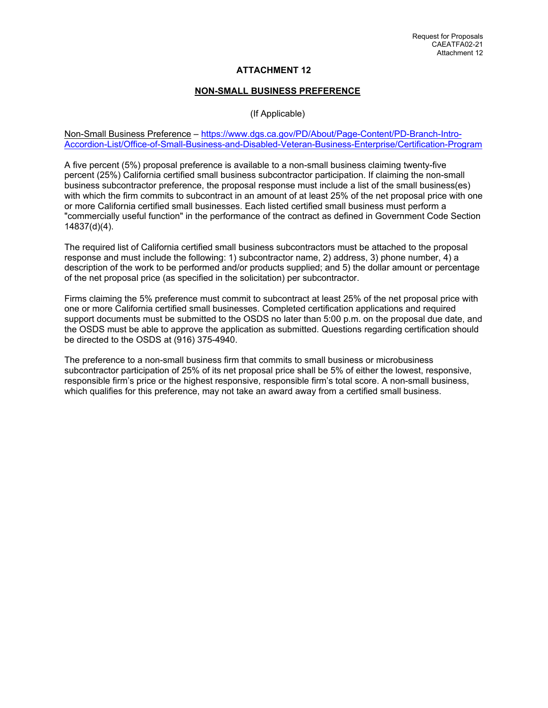# **NON-SMALL BUSINESS PREFERENCE**

# (If Applicable)

#### Non-Small Business Preference – https://www.dgs.ca.gov/PD/About/Page-Content/PD-Branch-Intro-Accordion-List/Office-of-Small-Business-and-Disabled-Veteran-Business-Enterprise/Certification-Program

A five percent (5%) proposal preference is available to a non-small business claiming twenty-five percent (25%) California certified small business subcontractor participation. If claiming the non-small business subcontractor preference, the proposal response must include a list of the small business(es) with which the firm commits to subcontract in an amount of at least 25% of the net proposal price with one or more California certified small businesses. Each listed certified small business must perform a "commercially useful function" in the performance of the contract as defined in Government Code Section 14837(d)(4).

The required list of California certified small business subcontractors must be attached to the proposal response and must include the following: 1) subcontractor name, 2) address, 3) phone number, 4) a description of the work to be performed and/or products supplied; and 5) the dollar amount or percentage of the net proposal price (as specified in the solicitation) per subcontractor.

Firms claiming the 5% preference must commit to subcontract at least 25% of the net proposal price with one or more California certified small businesses. Completed certification applications and required support documents must be submitted to the OSDS no later than 5:00 p.m. on the proposal due date, and the OSDS must be able to approve the application as submitted. Questions regarding certification should be directed to the OSDS at (916) 375-4940.

The preference to a non-small business firm that commits to small business or microbusiness subcontractor participation of 25% of its net proposal price shall be 5% of either the lowest, responsive, responsible firm's price or the highest responsive, responsible firm's total score. A non-small business, which qualifies for this preference, may not take an award away from a certified small business.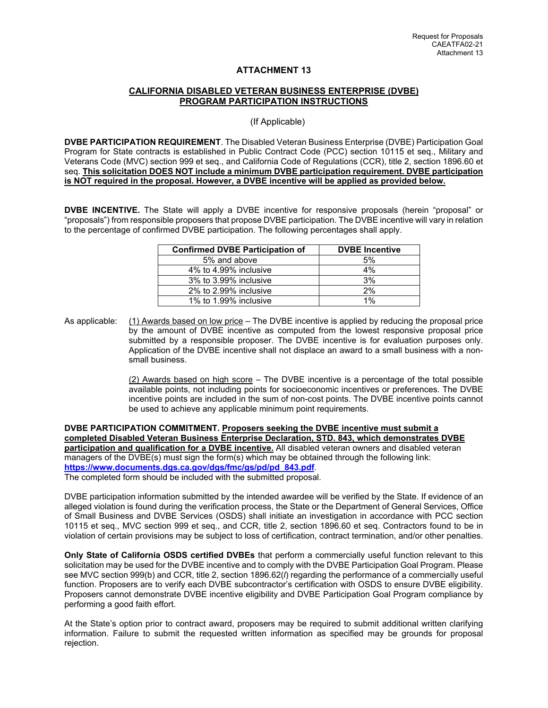# **CALIFORNIA DISABLED VETERAN BUSINESS ENTERPRISE (DVBE) PROGRAM PARTICIPATION INSTRUCTIONS**

(If Applicable)

**DVBE PARTICIPATION REQUIREMENT**. The Disabled Veteran Business Enterprise (DVBE) Participation Goal Program for State contracts is established in Public Contract Code (PCC) section 10115 et seq., Military and Veterans Code (MVC) section 999 et seq., and California Code of Regulations (CCR), title 2, section 1896.60 et seq. **This solicitation DOES NOT include a minimum DVBE participation requirement. DVBE participation is NOT required in the proposal. However, a DVBE incentive will be applied as provided below.** 

**DVBE INCENTIVE.** The State will apply a DVBE incentive for responsive proposals (herein "proposal" or "proposals") from responsible proposers that propose DVBE participation. The DVBE incentive will vary in relation to the percentage of confirmed DVBE participation. The following percentages shall apply.

| <b>Confirmed DVBE Participation of</b> | <b>DVBE</b> Incentive |
|----------------------------------------|-----------------------|
| 5% and above                           | 5%                    |
| 4% to 4.99% inclusive                  | 4%                    |
| 3% to 3.99% inclusive                  | 3%                    |
| 2% to 2.99% inclusive                  | 2%                    |
| 1% to 1.99% inclusive                  | 1%                    |

As applicable: (1) Awards based on low price – The DVBE incentive is applied by reducing the proposal price by the amount of DVBE incentive as computed from the lowest responsive proposal price submitted by a responsible proposer. The DVBE incentive is for evaluation purposes only. Application of the DVBE incentive shall not displace an award to a small business with a nonsmall business.

> (2) Awards based on high score – The DVBE incentive is a percentage of the total possible available points, not including points for socioeconomic incentives or preferences. The DVBE incentive points are included in the sum of non-cost points. The DVBE incentive points cannot be used to achieve any applicable minimum point requirements.

**DVBE PARTICIPATION COMMITMENT. Proposers seeking the DVBE incentive must submit a completed Disabled Veteran Business Enterprise Declaration, STD. 843, which demonstrates DVBE participation and qualification for a DVBE incentive.** All disabled veteran owners and disabled veteran managers of the DVBE(s) must sign the form(s) which may be obtained through the following link: **https://www.documents.dgs.ca.gov/dgs/fmc/gs/pd/pd\_843.pdf**. The completed form should be included with the submitted proposal.

DVBE participation information submitted by the intended awardee will be verified by the State. If evidence of an alleged violation is found during the verification process, the State or the Department of General Services, Office of Small Business and DVBE Services (OSDS) shall initiate an investigation in accordance with PCC section 10115 et seq., MVC section 999 et seq., and CCR, title 2, section 1896.60 et seq. Contractors found to be in violation of certain provisions may be subject to loss of certification, contract termination, and/or other penalties.

**Only State of California OSDS certified DVBEs** that perform a commercially useful function relevant to this solicitation may be used for the DVBE incentive and to comply with the DVBE Participation Goal Program. Please see MVC section 999(b) and CCR, title 2, section 1896.62(*l*) regarding the performance of a commercially useful function. Proposers are to verify each DVBE subcontractor's certification with OSDS to ensure DVBE eligibility. Proposers cannot demonstrate DVBE incentive eligibility and DVBE Participation Goal Program compliance by performing a good faith effort.

At the State's option prior to contract award, proposers may be required to submit additional written clarifying information. Failure to submit the requested written information as specified may be grounds for proposal rejection.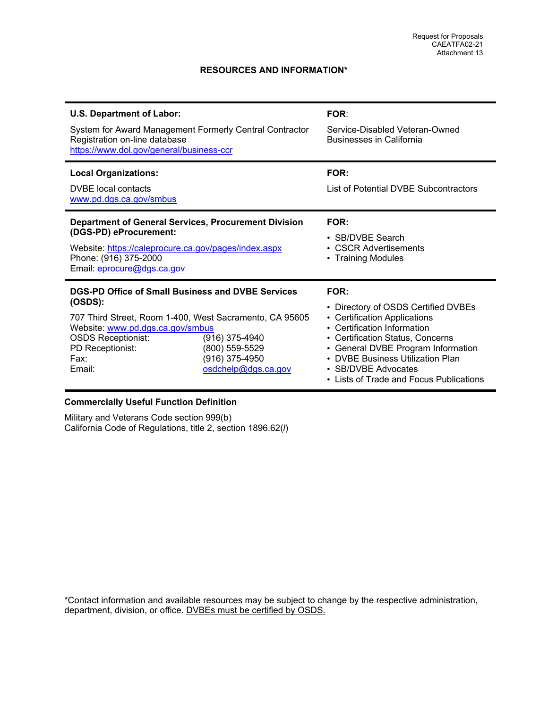# **RESOURCES AND INFORMATION\***

| <b>U.S. Department of Labor:</b><br>System for Award Management Formerly Central Contractor<br>Registration on-line database<br>https://www.dol.gov/general/business-ccr                                                       |                                                                           | <b>FOR:</b><br>Service-Disabled Veteran-Owned<br><b>Businesses in California</b>                                                                                                                                                                                                                      |
|--------------------------------------------------------------------------------------------------------------------------------------------------------------------------------------------------------------------------------|---------------------------------------------------------------------------|-------------------------------------------------------------------------------------------------------------------------------------------------------------------------------------------------------------------------------------------------------------------------------------------------------|
| <b>Local Organizations:</b><br>DVBE local contacts<br>www.pd.dgs.ca.gov/smbus                                                                                                                                                  |                                                                           | FOR:<br>List of Potential DVBE Subcontractors                                                                                                                                                                                                                                                         |
| <b>Department of General Services, Procurement Division</b><br>(DGS-PD) eProcurement:<br>Website: https://caleprocure.ca.gov/pages/index.aspx<br>Phone: (916) 375-2000<br>Email: eprocure@dgs.ca.gov                           |                                                                           | FOR:<br>• SB/DVBE Search<br><b>CSCR Advertisements</b><br>• Training Modules                                                                                                                                                                                                                          |
| DGS-PD Office of Small Business and DVBE Services<br>(OSDS):<br>707 Third Street, Room 1-400, West Sacramento, CA 95605<br>Website: www.pd.dgs.ca.gov/smbus<br><b>OSDS Receptionist:</b><br>PD Receptionist:<br>Fax:<br>Email: | (916) 375-4940<br>(800) 559-5529<br>(916) 375-4950<br>osdchelp@dgs.ca.gov | FOR:<br>• Directory of OSDS Certified DVBEs<br>• Certification Applications<br>• Certification Information<br>• Certification Status, Concerns<br>• General DVBE Program Information<br>DVBE Business Utilization Plan<br>$\bullet$<br>• SB/DVBE Advocates<br>• Lists of Trade and Focus Publications |

# **Commercially Useful Function Definition**

Military and Veterans Code section 999(b) California Code of Regulations, title 2, section 1896.62(*l*)

\*Contact information and available resources may be subject to change by the respective administration, department, division, or office. DVBEs must be certified by OSDS.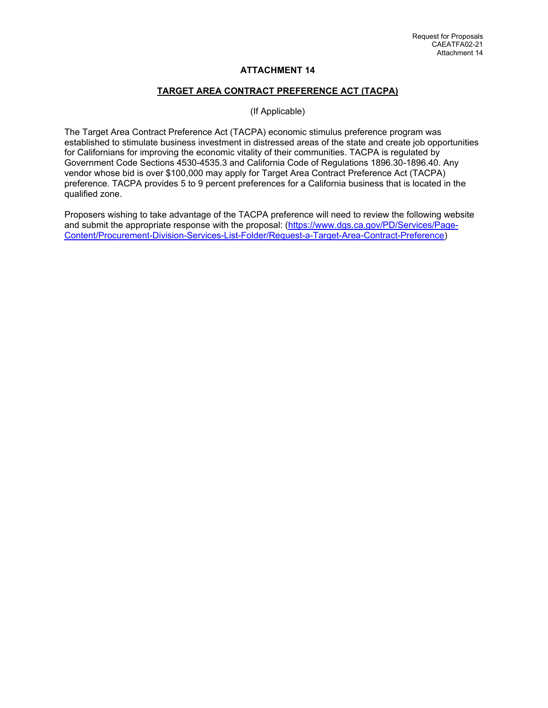# **TARGET AREA CONTRACT PREFERENCE ACT (TACPA)**

(If Applicable)

The Target Area Contract Preference Act (TACPA) economic stimulus preference program was established to stimulate business investment in distressed areas of the state and create job opportunities for Californians for improving the economic vitality of their communities. TACPA is regulated by Government Code Sections 4530-4535.3 and California Code of Regulations 1896.30-1896.40. Any vendor whose bid is over \$100,000 may apply for Target Area Contract Preference Act (TACPA) preference. TACPA provides 5 to 9 percent preferences for a California business that is located in the qualified zone.

Proposers wishing to take advantage of the TACPA preference will need to review the following website and submit the appropriate response with the proposal: (https://www.dgs.ca.gov/PD/Services/Page-Content/Procurement-Division-Services-List-Folder/Request-a-Target-Area-Contract-Preference)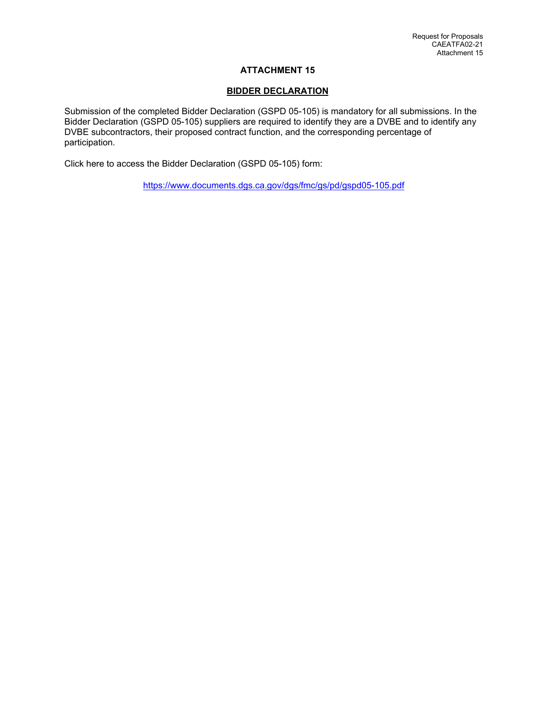# **BIDDER DECLARATION**

Submission of the completed Bidder Declaration (GSPD 05-105) is mandatory for all submissions. In the Bidder Declaration (GSPD 05-105) suppliers are required to identify they are a DVBE and to identify any DVBE subcontractors, their proposed contract function, and the corresponding percentage of participation.

Click here to access the Bidder Declaration (GSPD 05-105) form:

https://www.documents.dgs.ca.gov/dgs/fmc/gs/pd/gspd05-105.pdf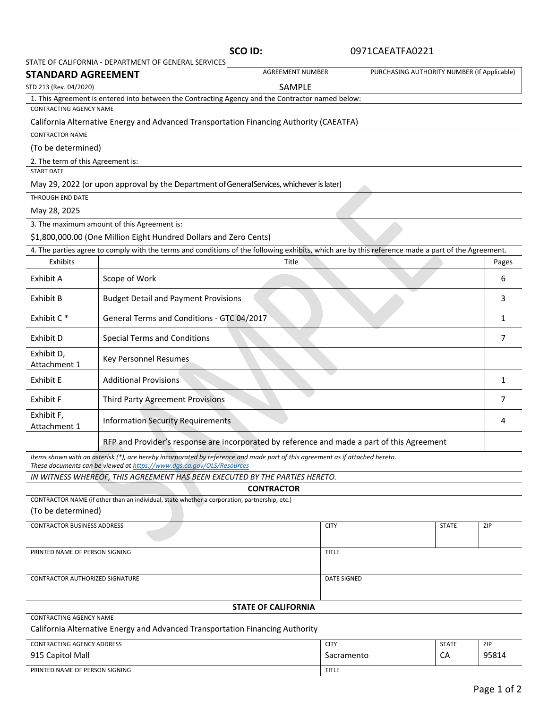|                                                      | <b>SCO ID:</b> |
|------------------------------------------------------|----------------|
| STATE OF CALIFORNIA - DEPARTMENT OF GENERAL SERVICES |                |
|                                                      |                |

# **SCO ID:**  0971CAEATFA0221

| <b>STANDARD AGREEMENT</b>                                              | STATE OF CALIFORNIA - DEPARTIVIENT OF GENERAL SERVICES                                                                                                                                                 | <b>AGREEMENT NUMBER</b>    |              | PURCHASING AUTHORITY NUMBER (If Applicable) |       |
|------------------------------------------------------------------------|--------------------------------------------------------------------------------------------------------------------------------------------------------------------------------------------------------|----------------------------|--------------|---------------------------------------------|-------|
| STD 213 (Rev. 04/2020)                                                 |                                                                                                                                                                                                        | SAMPLE                     |              |                                             |       |
|                                                                        | 1. This Agreement is entered into between the Contracting Agency and the Contractor named below:                                                                                                       |                            |              |                                             |       |
| <b>CONTRACTING AGENCY NAME</b>                                         |                                                                                                                                                                                                        |                            |              |                                             |       |
|                                                                        | California Alternative Energy and Advanced Transportation Financing Authority (CAEATFA)                                                                                                                |                            |              |                                             |       |
| <b>CONTRACTOR NAME</b>                                                 |                                                                                                                                                                                                        |                            |              |                                             |       |
| (To be determined)                                                     |                                                                                                                                                                                                        |                            |              |                                             |       |
| 2. The term of this Agreement is:                                      |                                                                                                                                                                                                        |                            |              |                                             |       |
| <b>START DATE</b>                                                      |                                                                                                                                                                                                        |                            |              |                                             |       |
|                                                                        | May 29, 2022 (or upon approval by the Department of General Services, whichever is later)                                                                                                              |                            |              |                                             |       |
| THROUGH END DATE                                                       |                                                                                                                                                                                                        |                            |              |                                             |       |
| May 28, 2025                                                           |                                                                                                                                                                                                        |                            |              |                                             |       |
|                                                                        | 3. The maximum amount of this Agreement is:                                                                                                                                                            |                            |              |                                             |       |
|                                                                        | \$1,800,000.00 (One Million Eight Hundred Dollars and Zero Cents)                                                                                                                                      |                            |              |                                             |       |
|                                                                        | 4. The parties agree to comply with the terms and conditions of the following exhibits, which are by this reference made a part of the Agreement.                                                      |                            |              |                                             |       |
| Exhibits                                                               |                                                                                                                                                                                                        | Title                      |              |                                             | Pages |
| Exhibit A                                                              | Scope of Work                                                                                                                                                                                          |                            |              |                                             | 6     |
| Exhibit B                                                              | <b>Budget Detail and Payment Provisions</b>                                                                                                                                                            |                            |              |                                             | 3     |
| Exhibit C*                                                             | General Terms and Conditions - GTC 04/2017                                                                                                                                                             |                            |              |                                             | 1     |
| Exhibit D                                                              | <b>Special Terms and Conditions</b>                                                                                                                                                                    |                            |              |                                             | 7     |
| Exhibit D,<br>Key Personnel Resumes<br>Attachment 1                    |                                                                                                                                                                                                        |                            |              |                                             |       |
| <b>Additional Provisions</b><br>Exhibit E                              |                                                                                                                                                                                                        |                            | 1            |                                             |       |
| Exhibit F                                                              | Third Party Agreement Provisions                                                                                                                                                                       |                            |              |                                             | 7     |
| Exhibit F,<br><b>Information Security Requirements</b><br>Attachment 1 |                                                                                                                                                                                                        |                            | 4            |                                             |       |
|                                                                        | RFP and Provider's response are incorporated by reference and made a part of this Agreement                                                                                                            |                            |              |                                             |       |
|                                                                        | Items shown with an asterisk (*), are hereby incorporated by reference and made part of this agreement as if attached hereto.<br>These documents can be viewed at https://www.dqs.ca.gov/OLS/Resources |                            |              |                                             |       |
|                                                                        | IN WITNESS WHEREOF, THIS AGREEMENT HAS BEEN EXECUTED BY THE PARTIES HERETO.                                                                                                                            |                            |              |                                             |       |
|                                                                        |                                                                                                                                                                                                        | <b>CONTRACTOR</b>          |              |                                             |       |
|                                                                        | CONTRACTOR NAME (if other than an individual, state whether a corporation, partnership, etc.)                                                                                                          |                            |              |                                             |       |
| (To be determined)                                                     |                                                                                                                                                                                                        |                            |              |                                             |       |
| <b>CONTRACTOR BUSINESS ADDRESS</b>                                     |                                                                                                                                                                                                        |                            | <b>CITY</b>  | <b>STATE</b>                                | ZIP   |
|                                                                        |                                                                                                                                                                                                        |                            |              |                                             |       |
| PRINTED NAME OF PERSON SIGNING<br><b>TITLE</b>                         |                                                                                                                                                                                                        |                            |              |                                             |       |
| CONTRACTOR AUTHORIZED SIGNATURE<br><b>DATE SIGNED</b>                  |                                                                                                                                                                                                        |                            |              |                                             |       |
|                                                                        |                                                                                                                                                                                                        |                            |              |                                             |       |
|                                                                        |                                                                                                                                                                                                        | <b>STATE OF CALIFORNIA</b> |              |                                             |       |
| <b>CONTRACTING AGENCY NAME</b>                                         | California Alternative Energy and Advanced Transportation Financing Authority                                                                                                                          |                            |              |                                             |       |
| <b>CONTRACTING AGENCY ADDRESS</b>                                      |                                                                                                                                                                                                        |                            | <b>CITY</b>  | <b>STATE</b>                                | ZIP   |
| 915 Capitol Mall                                                       |                                                                                                                                                                                                        |                            | Sacramento   | CA                                          | 95814 |
| PRINTED NAME OF PERSON SIGNING                                         |                                                                                                                                                                                                        |                            | <b>TITLE</b> |                                             |       |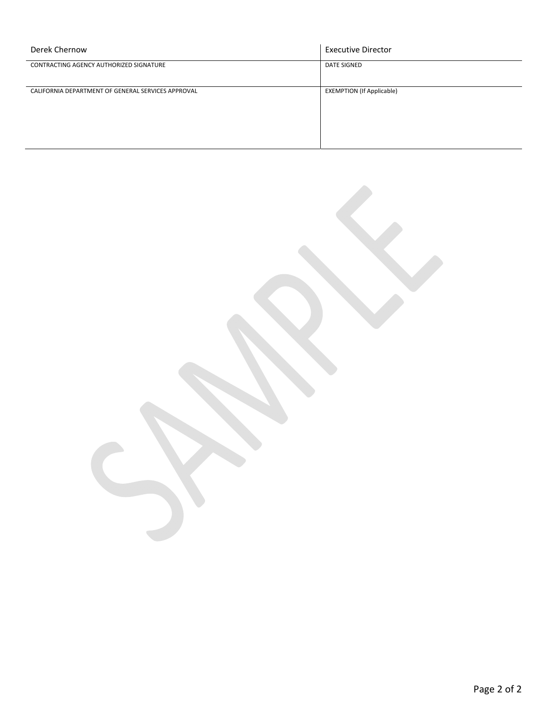| Derek Chernow                                      | <b>Executive Director</b>        |
|----------------------------------------------------|----------------------------------|
| CONTRACTING AGENCY AUTHORIZED SIGNATURE            | DATE SIGNED                      |
| CALIFORNIA DEPARTMENT OF GENERAL SERVICES APPROVAL | <b>EXEMPTION (If Applicable)</b> |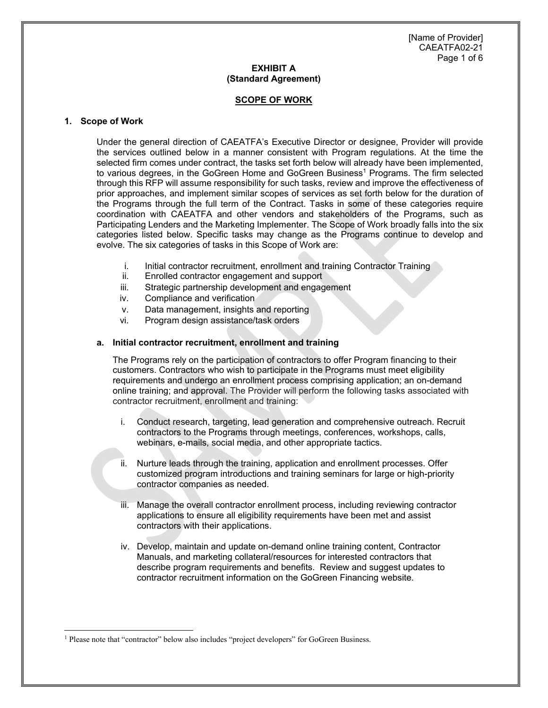[Name of Provider] CAEATFA02-21 Page 1 of 6

# **EXHIBIT A (Standard Agreement)**

### **SCOPE OF WORK**

### **1. Scope of Work**

Under the general direction of CAEATFA's Executive Director or designee, Provider will provide the services outlined below in a manner consistent with Program regulations. At the time the selected firm comes under contract, the tasks set forth below will already have been implemented, to various degrees, in the GoGreen Home and GoGreen Business<sup>1</sup> Programs. The firm selected through this RFP will assume responsibility for such tasks, review and improve the effectiveness of prior approaches, and implement similar scopes of services as set forth below for the duration of the Programs through the full term of the Contract. Tasks in some of these categories require coordination with CAEATFA and other vendors and stakeholders of the Programs, such as Participating Lenders and the Marketing Implementer. The Scope of Work broadly falls into the six categories listed below. Specific tasks may change as the Programs continue to develop and evolve. The six categories of tasks in this Scope of Work are:

- i. Initial contractor recruitment, enrollment and training Contractor Training
- ii. Enrolled contractor engagement and support
- iii. Strategic partnership development and engagement
- iv. Compliance and verification
- v. Data management, insights and reporting
- vi. Program design assistance/task orders

#### **a. Initial contractor recruitment, enrollment and training**

The Programs rely on the participation of contractors to offer Program financing to their customers. Contractors who wish to participate in the Programs must meet eligibility requirements and undergo an enrollment process comprising application; an on-demand online training; and approval. The Provider will perform the following tasks associated with contractor recruitment, enrollment and training:

- i. Conduct research, targeting, lead generation and comprehensive outreach. Recruit contractors to the Programs through meetings, conferences, workshops, calls, webinars, e-mails, social media, and other appropriate tactics.
- ii. Nurture leads through the training, application and enrollment processes. Offer customized program introductions and training seminars for large or high-priority contractor companies as needed.
- iii. Manage the overall contractor enrollment process, including reviewing contractor applications to ensure all eligibility requirements have been met and assist contractors with their applications.
- iv. Develop, maintain and update on-demand online training content, Contractor Manuals, and marketing collateral/resources for interested contractors that describe program requirements and benefits. Review and suggest updates to contractor recruitment information on the GoGreen Financing website.

<sup>1</sup> Please note that "contractor" below also includes "project developers" for GoGreen Business.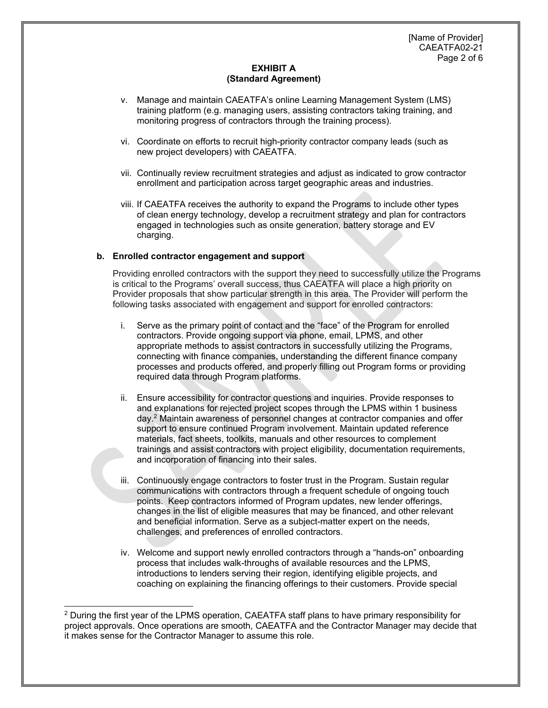- v. Manage and maintain CAEATFA's online Learning Management System (LMS) training platform (e.g. managing users, assisting contractors taking training, and monitoring progress of contractors through the training process).
- vi. Coordinate on efforts to recruit high-priority contractor company leads (such as new project developers) with CAEATFA.
- vii. Continually review recruitment strategies and adjust as indicated to grow contractor enrollment and participation across target geographic areas and industries.
- viii. If CAEATFA receives the authority to expand the Programs to include other types of clean energy technology, develop a recruitment strategy and plan for contractors engaged in technologies such as onsite generation, battery storage and EV charging.

# **b. Enrolled contractor engagement and support**

Providing enrolled contractors with the support they need to successfully utilize the Programs is critical to the Programs' overall success, thus CAEATFA will place a high priority on Provider proposals that show particular strength in this area. The Provider will perform the following tasks associated with engagement and support for enrolled contractors:

- i. Serve as the primary point of contact and the "face" of the Program for enrolled contractors. Provide ongoing support via phone, email, LPMS, and other appropriate methods to assist contractors in successfully utilizing the Programs, connecting with finance companies, understanding the different finance company processes and products offered, and properly filling out Program forms or providing required data through Program platforms.
- ii. Ensure accessibility for contractor questions and inquiries. Provide responses to and explanations for rejected project scopes through the LPMS within 1 business day.2 Maintain awareness of personnel changes at contractor companies and offer support to ensure continued Program involvement. Maintain updated reference materials, fact sheets, toolkits, manuals and other resources to complement trainings and assist contractors with project eligibility, documentation requirements, and incorporation of financing into their sales.
- iii. Continuously engage contractors to foster trust in the Program. Sustain regular communications with contractors through a frequent schedule of ongoing touch points. Keep contractors informed of Program updates, new lender offerings, changes in the list of eligible measures that may be financed, and other relevant and beneficial information. Serve as a subject-matter expert on the needs, challenges, and preferences of enrolled contractors.
- iv. Welcome and support newly enrolled contractors through a "hands-on" onboarding process that includes walk-throughs of available resources and the LPMS, introductions to lenders serving their region, identifying eligible projects, and coaching on explaining the financing offerings to their customers. Provide special

<sup>&</sup>lt;sup>2</sup> During the first year of the LPMS operation, CAEATFA staff plans to have primary responsibility for project approvals. Once operations are smooth, CAEATFA and the Contractor Manager may decide that it makes sense for the Contractor Manager to assume this role.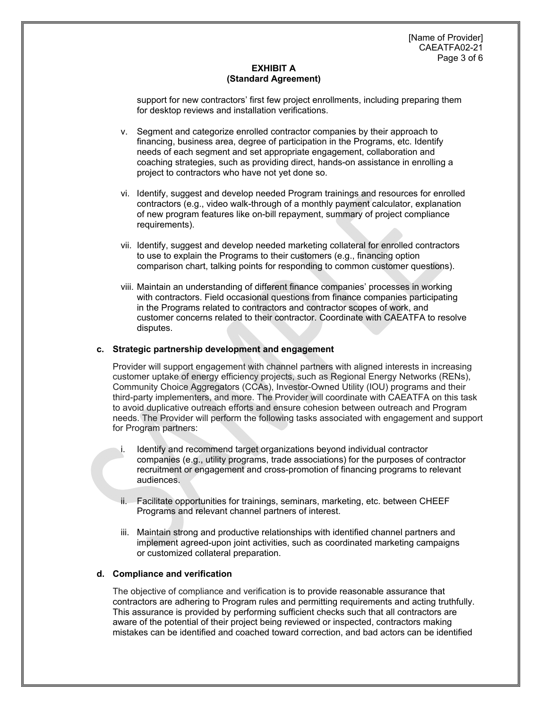support for new contractors' first few project enrollments, including preparing them for desktop reviews and installation verifications.

- v. Segment and categorize enrolled contractor companies by their approach to financing, business area, degree of participation in the Programs, etc. Identify needs of each segment and set appropriate engagement, collaboration and coaching strategies, such as providing direct, hands-on assistance in enrolling a project to contractors who have not yet done so.
- vi. Identify, suggest and develop needed Program trainings and resources for enrolled contractors (e.g., video walk-through of a monthly payment calculator, explanation of new program features like on-bill repayment, summary of project compliance requirements).
- vii. Identify, suggest and develop needed marketing collateral for enrolled contractors to use to explain the Programs to their customers (e.g., financing option comparison chart, talking points for responding to common customer questions).
- viii. Maintain an understanding of different finance companies' processes in working with contractors. Field occasional questions from finance companies participating in the Programs related to contractors and contractor scopes of work, and customer concerns related to their contractor. Coordinate with CAEATFA to resolve disputes.

# **c. Strategic partnership development and engagement**

Provider will support engagement with channel partners with aligned interests in increasing customer uptake of energy efficiency projects, such as Regional Energy Networks (RENs), Community Choice Aggregators (CCAs), Investor-Owned Utility (IOU) programs and their third-party implementers, and more. The Provider will coordinate with CAEATFA on this task to avoid duplicative outreach efforts and ensure cohesion between outreach and Program needs. The Provider will perform the following tasks associated with engagement and support for Program partners:

- i. Identify and recommend target organizations beyond individual contractor companies (e.g., utility programs, trade associations) for the purposes of contractor recruitment or engagement and cross-promotion of financing programs to relevant audiences.
- ii. Facilitate opportunities for trainings, seminars, marketing, etc. between CHEEF Programs and relevant channel partners of interest.
- iii. Maintain strong and productive relationships with identified channel partners and implement agreed-upon joint activities, such as coordinated marketing campaigns or customized collateral preparation.

## **d. Compliance and verification**

The objective of compliance and verification is to provide reasonable assurance that contractors are adhering to Program rules and permitting requirements and acting truthfully. This assurance is provided by performing sufficient checks such that all contractors are aware of the potential of their project being reviewed or inspected, contractors making mistakes can be identified and coached toward correction, and bad actors can be identified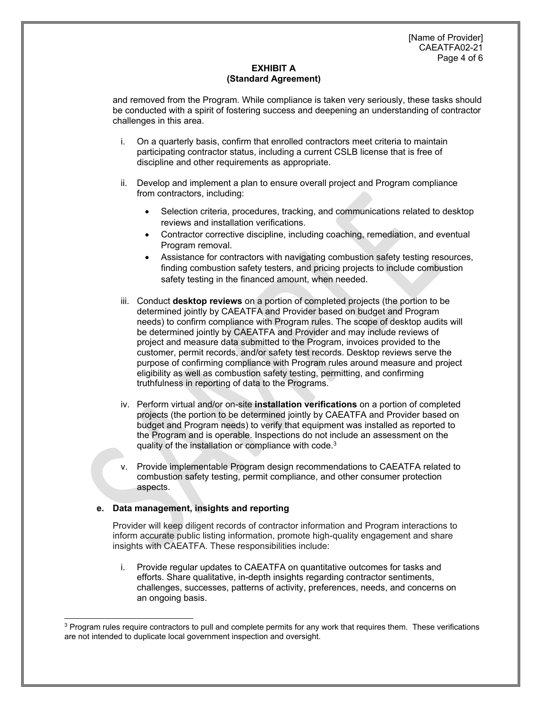and removed from the Program. While compliance is taken very seriously, these tasks should be conducted with a spirit of fostering success and deepening an understanding of contractor challenges in this area.

- i. On a quarterly basis, confirm that enrolled contractors meet criteria to maintain participating contractor status, including a current CSLB license that is free of discipline and other requirements as appropriate.
- ii. Develop and implement a plan to ensure overall project and Program compliance from contractors, including:
	- Selection criteria, procedures, tracking, and communications related to desktop reviews and installation verifications.
	- Contractor corrective discipline, including coaching, remediation, and eventual Program removal.
	- Assistance for contractors with navigating combustion safety testing resources, finding combustion safety testers, and pricing projects to include combustion safety testing in the financed amount, when needed.
- iii. Conduct **desktop reviews** on a portion of completed projects (the portion to be determined jointly by CAEATFA and Provider based on budget and Program needs) to confirm compliance with Program rules. The scope of desktop audits will be determined jointly by CAEATFA and Provider and may include reviews of project and measure data submitted to the Program, invoices provided to the customer, permit records, and/or safety test records. Desktop reviews serve the purpose of confirming compliance with Program rules around measure and project eligibility as well as combustion safety testing, permitting, and confirming truthfulness in reporting of data to the Programs.
- iv. Perform virtual and/or on-site **installation verifications** on a portion of completed projects (the portion to be determined jointly by CAEATFA and Provider based on budget and Program needs) to verify that equipment was installed as reported to the Program and is operable. Inspections do not include an assessment on the quality of the installation or compliance with code.<sup>3</sup>
- Provide implementable Program design recommendations to CAEATFA related to combustion safety testing, permit compliance, and other consumer protection aspects.

# **e. Data management, insights and reporting**

Provider will keep diligent records of contractor information and Program interactions to inform accurate public listing information, promote high-quality engagement and share insights with CAEATFA. These responsibilities include:

i. Provide regular updates to CAEATFA on quantitative outcomes for tasks and efforts. Share qualitative, in-depth insights regarding contractor sentiments, challenges, successes, patterns of activity, preferences, needs, and concerns on an ongoing basis.

<sup>&</sup>lt;sup>3</sup> Program rules require contractors to pull and complete permits for any work that requires them. These verifications are not intended to duplicate local government inspection and oversight.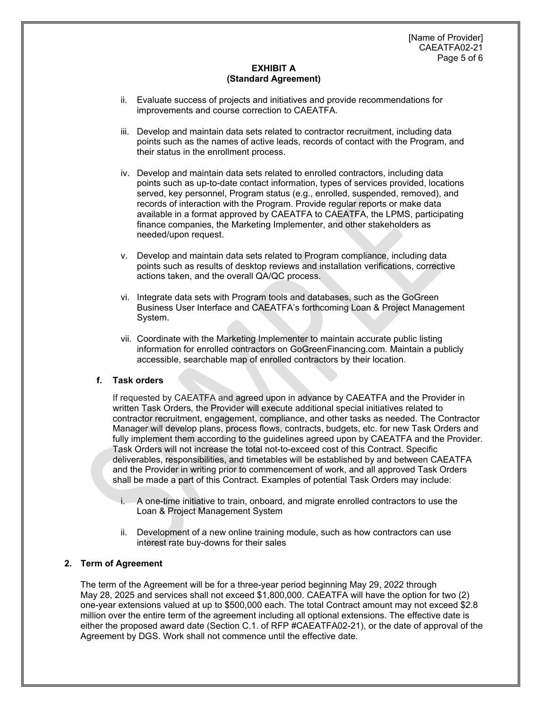- ii. Evaluate success of projects and initiatives and provide recommendations for improvements and course correction to CAEATFA.
- iii. Develop and maintain data sets related to contractor recruitment, including data points such as the names of active leads, records of contact with the Program, and their status in the enrollment process.
- iv. Develop and maintain data sets related to enrolled contractors, including data points such as up-to-date contact information, types of services provided, locations served, key personnel, Program status (e.g., enrolled, suspended, removed), and records of interaction with the Program. Provide regular reports or make data available in a format approved by CAEATFA to CAEATFA, the LPMS, participating finance companies, the Marketing Implementer, and other stakeholders as needed/upon request.
- v. Develop and maintain data sets related to Program compliance, including data points such as results of desktop reviews and installation verifications, corrective actions taken, and the overall QA/QC process.
- vi. Integrate data sets with Program tools and databases, such as the GoGreen Business User Interface and CAEATFA's forthcoming Loan & Project Management System.
- vii. Coordinate with the Marketing Implementer to maintain accurate public listing information for enrolled contractors on GoGreenFinancing.com. Maintain a publicly accessible, searchable map of enrolled contractors by their location.

# **f. Task orders**

If requested by CAEATFA and agreed upon in advance by CAEATFA and the Provider in written Task Orders, the Provider will execute additional special initiatives related to contractor recruitment, engagement, compliance, and other tasks as needed. The Contractor Manager will develop plans, process flows, contracts, budgets, etc. for new Task Orders and fully implement them according to the quidelines agreed upon by CAEATFA and the Provider. Task Orders will not increase the total not-to-exceed cost of this Contract. Specific deliverables, responsibilities, and timetables will be established by and between CAEATFA and the Provider in writing prior to commencement of work, and all approved Task Orders shall be made a part of this Contract. Examples of potential Task Orders may include:

- i. A one-time initiative to train, onboard, and migrate enrolled contractors to use the Loan & Project Management System
- ii. Development of a new online training module, such as how contractors can use interest rate buy-downs for their sales

## **2. Term of Agreement**

The term of the Agreement will be for a three-year period beginning May 29, 2022 through May 28, 2025 and services shall not exceed \$1,800,000. CAEATFA will have the option for two (2) one-year extensions valued at up to \$500,000 each. The total Contract amount may not exceed \$2.8 million over the entire term of the agreement including all optional extensions. The effective date is either the proposed award date (Section C.1. of RFP #CAEATFA02-21), or the date of approval of the Agreement by DGS. Work shall not commence until the effective date.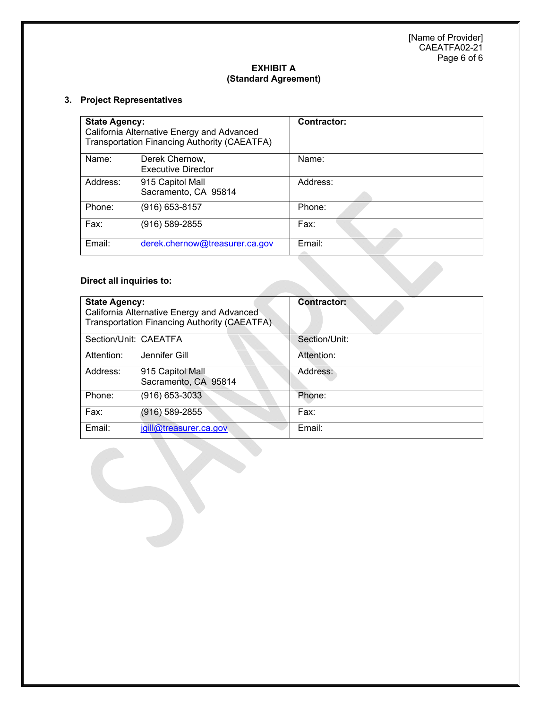[Name of Provider] CAEATFA02-21 Page 6 of 6

# **EXHIBIT A (Standard Agreement)**

# **3. Project Representatives**

| <b>State Agency:</b><br>California Alternative Energy and Advanced<br>Transportation Financing Authority (CAEATFA) |                                             | <b>Contractor:</b> |
|--------------------------------------------------------------------------------------------------------------------|---------------------------------------------|--------------------|
| Name:                                                                                                              | Derek Chernow,<br><b>Executive Director</b> | Name:              |
| Address:                                                                                                           | 915 Capitol Mall<br>Sacramento, CA 95814    | Address:           |
| Phone:                                                                                                             | (916) 653-8157                              | Phone:             |
| Fax:                                                                                                               | (916) 589-2855                              | Fax:               |
| Email:                                                                                                             | derek.chernow@treasurer.ca.gov              | Email:             |

# **Direct all inquiries to:**

| <b>State Agency:</b>  | California Alternative Energy and Advanced<br>Transportation Financing Authority (CAEATFA) | <b>Contractor:</b> |
|-----------------------|--------------------------------------------------------------------------------------------|--------------------|
| Section/Unit: CAEATFA |                                                                                            | Section/Unit:      |
| Attention:            | Jennifer Gill                                                                              | Attention:         |
| Address:              | 915 Capitol Mall<br>Sacramento, CA 95814                                                   | Address:           |
| Phone:                | $(916) 653 - 3033$                                                                         | Phone:             |
| Fax:                  | (916) 589-2855                                                                             | Fax:               |
| Email:                | jgill@treasurer.ca.gov                                                                     | Email:             |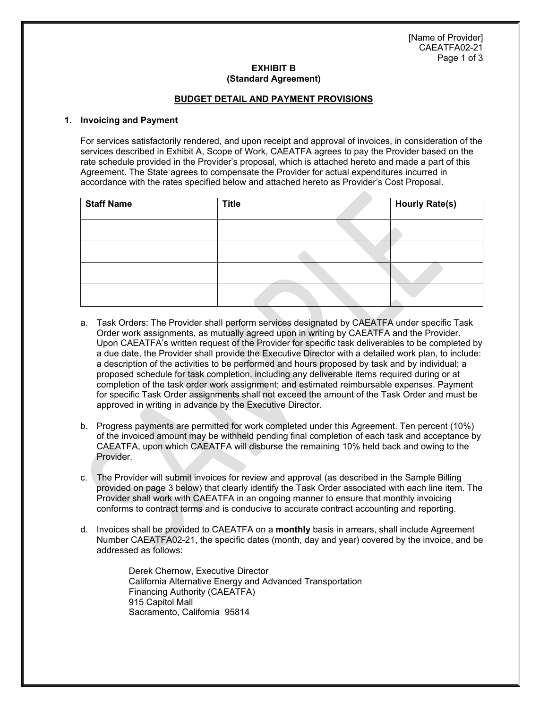[Name of Provider] CAEATFA02-21 Page 1 of 3

### **EXHIBIT B (Standard Agreement)**

### **BUDGET DETAIL AND PAYMENT PROVISIONS**

#### **1. Invoicing and Payment**

For services satisfactorily rendered, and upon receipt and approval of invoices, in consideration of the services described in Exhibit A, Scope of Work, CAEATFA agrees to pay the Provider based on the rate schedule provided in the Provider's proposal, which is attached hereto and made a part of this Agreement. The State agrees to compensate the Provider for actual expenditures incurred in accordance with the rates specified below and attached hereto as Provider's Cost Proposal.

| <b>Staff Name</b> | <b>Title</b> | <b>Hourly Rate(s)</b> |
|-------------------|--------------|-----------------------|
|                   |              |                       |
|                   |              |                       |
|                   |              |                       |
|                   |              |                       |

- a. Task Orders: The Provider shall perform services designated by CAEATFA under specific Task Order work assignments, as mutually agreed upon in writing by CAEATFA and the Provider. Upon CAEATFA's written request of the Provider for specific task deliverables to be completed by a due date, the Provider shall provide the Executive Director with a detailed work plan, to include: a description of the activities to be performed and hours proposed by task and by individual; a proposed schedule for task completion, including any deliverable items required during or at completion of the task order work assignment; and estimated reimbursable expenses. Payment for specific Task Order assignments shall not exceed the amount of the Task Order and must be approved in writing in advance by the Executive Director.
- b. Progress payments are permitted for work completed under this Agreement. Ten percent (10%) of the invoiced amount may be withheld pending final completion of each task and acceptance by CAEATFA, upon which CAEATFA will disburse the remaining 10% held back and owing to the Provider.
- c. The Provider will submit invoices for review and approval (as described in the Sample Billing provided on page 3 below) that clearly identify the Task Order associated with each line item. The Provider shall work with CAEATFA in an ongoing manner to ensure that monthly invoicing conforms to contract terms and is conducive to accurate contract accounting and reporting.
- d. Invoices shall be provided to CAEATFA on a **monthly** basis in arrears, shall include Agreement Number CAEATFA02-21, the specific dates (month, day and year) covered by the invoice, and be addressed as follows:

Derek Chernow, Executive Director California Alternative Energy and Advanced Transportation Financing Authority (CAEATFA) 915 Capitol Mall Sacramento, California 95814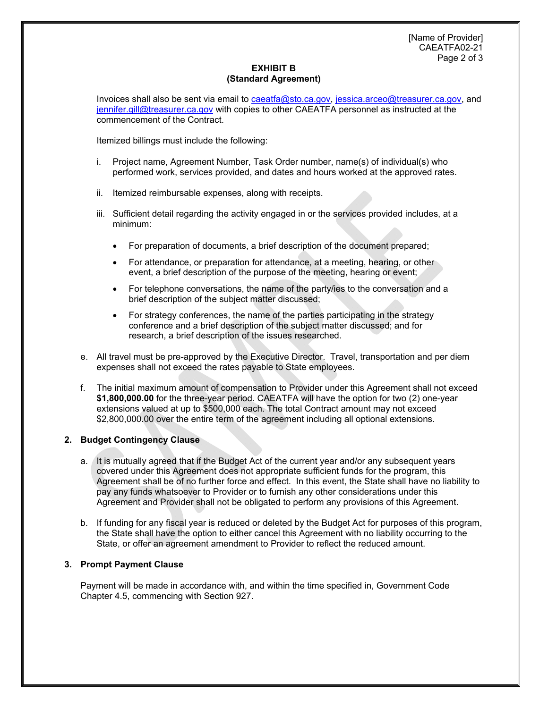Invoices shall also be sent via email to caeatfa@sto.ca.gov, jessica.arceo@treasurer.ca.gov, and jennifer.gill@treasurer.ca.gov with copies to other CAEATFA personnel as instructed at the commencement of the Contract.

Itemized billings must include the following:

- i. Project name, Agreement Number, Task Order number, name(s) of individual(s) who performed work, services provided, and dates and hours worked at the approved rates.
- ii. Itemized reimbursable expenses, along with receipts.
- iii. Sufficient detail regarding the activity engaged in or the services provided includes, at a minimum:
	- For preparation of documents, a brief description of the document prepared;
	- For attendance, or preparation for attendance, at a meeting, hearing, or other event, a brief description of the purpose of the meeting, hearing or event;
	- For telephone conversations, the name of the party/ies to the conversation and a brief description of the subject matter discussed;
	- For strategy conferences, the name of the parties participating in the strategy conference and a brief description of the subject matter discussed; and for research, a brief description of the issues researched.
- e. All travel must be pre-approved by the Executive Director. Travel, transportation and per diem expenses shall not exceed the rates payable to State employees.
- f. The initial maximum amount of compensation to Provider under this Agreement shall not exceed **\$1,800,000.00** for the three-year period. CAEATFA will have the option for two (2) one-year extensions valued at up to \$500,000 each. The total Contract amount may not exceed \$2,800,000.00 over the entire term of the agreement including all optional extensions.

## **2. Budget Contingency Clause**

- a. It is mutually agreed that if the Budget Act of the current year and/or any subsequent years covered under this Agreement does not appropriate sufficient funds for the program, this Agreement shall be of no further force and effect. In this event, the State shall have no liability to pay any funds whatsoever to Provider or to furnish any other considerations under this Agreement and Provider shall not be obligated to perform any provisions of this Agreement.
- b. If funding for any fiscal year is reduced or deleted by the Budget Act for purposes of this program, the State shall have the option to either cancel this Agreement with no liability occurring to the State, or offer an agreement amendment to Provider to reflect the reduced amount.

## **3. Prompt Payment Clause**

Payment will be made in accordance with, and within the time specified in, Government Code Chapter 4.5, commencing with Section 927.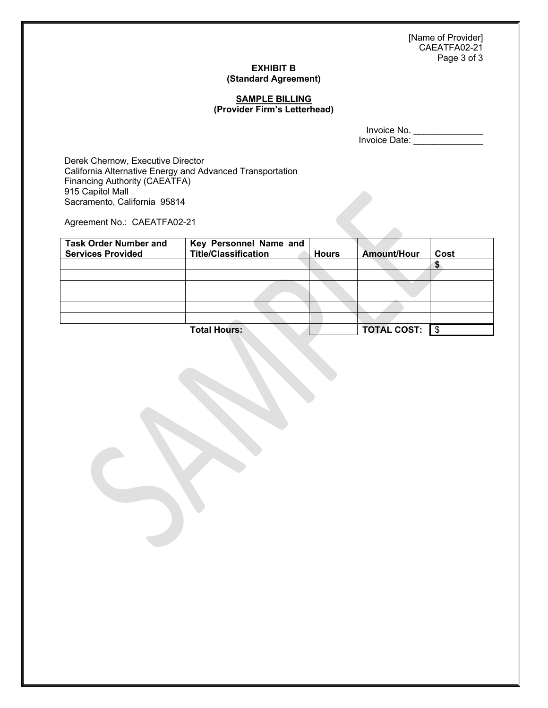[Name of Provider] CAEATFA02-21 Page 3 of 3

# **EXHIBIT B (Standard Agreement)**

## **SAMPLE BILLING (Provider Firm's Letterhead)**

Invoice No. \_\_\_\_\_\_\_\_\_\_\_\_\_\_ Invoice Date: \_\_\_\_\_\_\_\_\_\_\_\_\_\_\_

Derek Chernow, Executive Director California Alternative Energy and Advanced Transportation Financing Authority (CAEATFA) 915 Capitol Mall Sacramento, California 95814

Agreement No.: CAEATFA02-21

| <b>Task Order Number and</b><br><b>Services Provided</b> | Key Personnel Name and<br><b>Title/Classification</b> | <b>Hours</b> | <b>Amount/Hour</b> | Cost |
|----------------------------------------------------------|-------------------------------------------------------|--------------|--------------------|------|
|                                                          |                                                       |              |                    |      |
|                                                          |                                                       |              |                    |      |
|                                                          |                                                       |              |                    |      |
|                                                          |                                                       |              |                    |      |
|                                                          |                                                       |              |                    |      |
|                                                          |                                                       |              |                    |      |
|                                                          | <b>Total Hours:</b>                                   |              | <b>TOTAL COST:</b> |      |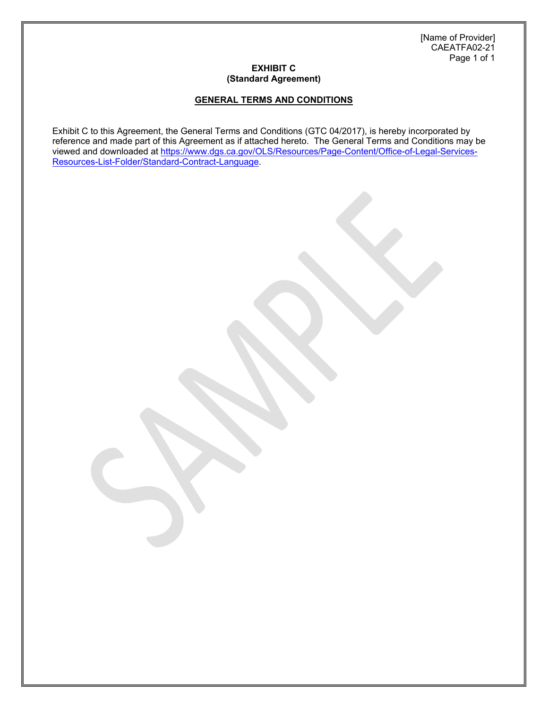[Name of Provider] CAEATFA02-21 Page 1 of 1

# **EXHIBIT C (Standard Agreement)**

# **GENERAL TERMS AND CONDITIONS**

Exhibit C to this Agreement, the General Terms and Conditions (GTC 04/2017), is hereby incorporated by reference and made part of this Agreement as if attached hereto. The General Terms and Conditions may be viewed and downloaded at https://www.dgs.ca.gov/OLS/Resources/Page-Content/Office-of-Legal-Services-Resources-List-Folder/Standard-Contract-Language.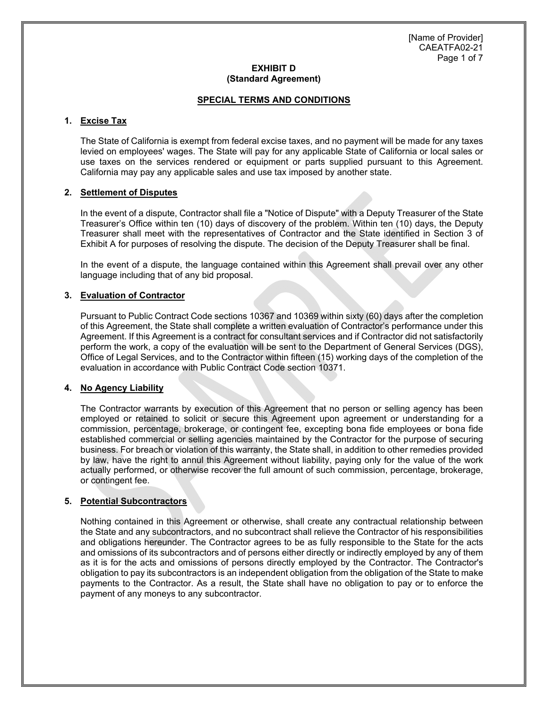## **SPECIAL TERMS AND CONDITIONS**

# **1. Excise Tax**

The State of California is exempt from federal excise taxes, and no payment will be made for any taxes levied on employees' wages. The State will pay for any applicable State of California or local sales or use taxes on the services rendered or equipment or parts supplied pursuant to this Agreement. California may pay any applicable sales and use tax imposed by another state.

## **2. Settlement of Disputes**

In the event of a dispute, Contractor shall file a "Notice of Dispute" with a Deputy Treasurer of the State Treasurer's Office within ten (10) days of discovery of the problem. Within ten (10) days, the Deputy Treasurer shall meet with the representatives of Contractor and the State identified in Section 3 of Exhibit A for purposes of resolving the dispute. The decision of the Deputy Treasurer shall be final.

In the event of a dispute, the language contained within this Agreement shall prevail over any other language including that of any bid proposal.

## **3. Evaluation of Contractor**

Pursuant to Public Contract Code sections 10367 and 10369 within sixty (60) days after the completion of this Agreement, the State shall complete a written evaluation of Contractor's performance under this Agreement. If this Agreement is a contract for consultant services and if Contractor did not satisfactorily perform the work, a copy of the evaluation will be sent to the Department of General Services (DGS), Office of Legal Services, and to the Contractor within fifteen (15) working days of the completion of the evaluation in accordance with Public Contract Code section 10371.

## **4. No Agency Liability**

The Contractor warrants by execution of this Agreement that no person or selling agency has been employed or retained to solicit or secure this Agreement upon agreement or understanding for a commission, percentage, brokerage, or contingent fee, excepting bona fide employees or bona fide established commercial or selling agencies maintained by the Contractor for the purpose of securing business. For breach or violation of this warranty, the State shall, in addition to other remedies provided by law, have the right to annul this Agreement without liability, paying only for the value of the work actually performed, or otherwise recover the full amount of such commission, percentage, brokerage, or contingent fee.

# **5. Potential Subcontractors**

Nothing contained in this Agreement or otherwise, shall create any contractual relationship between the State and any subcontractors, and no subcontract shall relieve the Contractor of his responsibilities and obligations hereunder. The Contractor agrees to be as fully responsible to the State for the acts and omissions of its subcontractors and of persons either directly or indirectly employed by any of them as it is for the acts and omissions of persons directly employed by the Contractor. The Contractor's obligation to pay its subcontractors is an independent obligation from the obligation of the State to make payments to the Contractor. As a result, the State shall have no obligation to pay or to enforce the payment of any moneys to any subcontractor.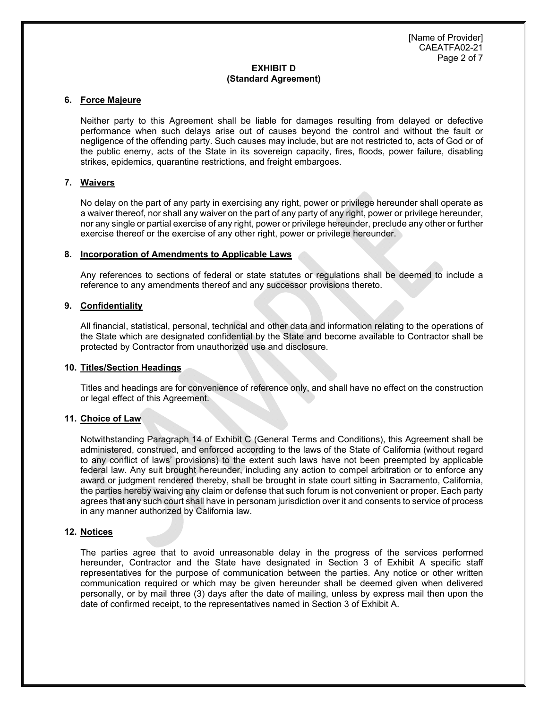### **6. Force Majeure**

Neither party to this Agreement shall be liable for damages resulting from delayed or defective performance when such delays arise out of causes beyond the control and without the fault or negligence of the offending party. Such causes may include, but are not restricted to, acts of God or of the public enemy, acts of the State in its sovereign capacity, fires, floods, power failure, disabling strikes, epidemics, quarantine restrictions, and freight embargoes.

### **7. Waivers**

No delay on the part of any party in exercising any right, power or privilege hereunder shall operate as a waiver thereof, nor shall any waiver on the part of any party of any right, power or privilege hereunder, nor any single or partial exercise of any right, power or privilege hereunder, preclude any other or further exercise thereof or the exercise of any other right, power or privilege hereunder.

#### **8. Incorporation of Amendments to Applicable Laws**

Any references to sections of federal or state statutes or regulations shall be deemed to include a reference to any amendments thereof and any successor provisions thereto.

### **9. Confidentiality**

All financial, statistical, personal, technical and other data and information relating to the operations of the State which are designated confidential by the State and become available to Contractor shall be protected by Contractor from unauthorized use and disclosure.

#### **10. Titles/Section Headings**

Titles and headings are for convenience of reference only, and shall have no effect on the construction or legal effect of this Agreement.

## **11. Choice of Law**

Notwithstanding Paragraph 14 of Exhibit C (General Terms and Conditions), this Agreement shall be administered, construed, and enforced according to the laws of the State of California (without regard to any conflict of laws' provisions) to the extent such laws have not been preempted by applicable federal law. Any suit brought hereunder, including any action to compel arbitration or to enforce any award or judgment rendered thereby, shall be brought in state court sitting in Sacramento, California, the parties hereby waiving any claim or defense that such forum is not convenient or proper. Each party agrees that any such court shall have in personam jurisdiction over it and consents to service of process in any manner authorized by California law.

### **12. Notices**

The parties agree that to avoid unreasonable delay in the progress of the services performed hereunder, Contractor and the State have designated in Section 3 of Exhibit A specific staff representatives for the purpose of communication between the parties. Any notice or other written communication required or which may be given hereunder shall be deemed given when delivered personally, or by mail three (3) days after the date of mailing, unless by express mail then upon the date of confirmed receipt, to the representatives named in Section 3 of Exhibit A.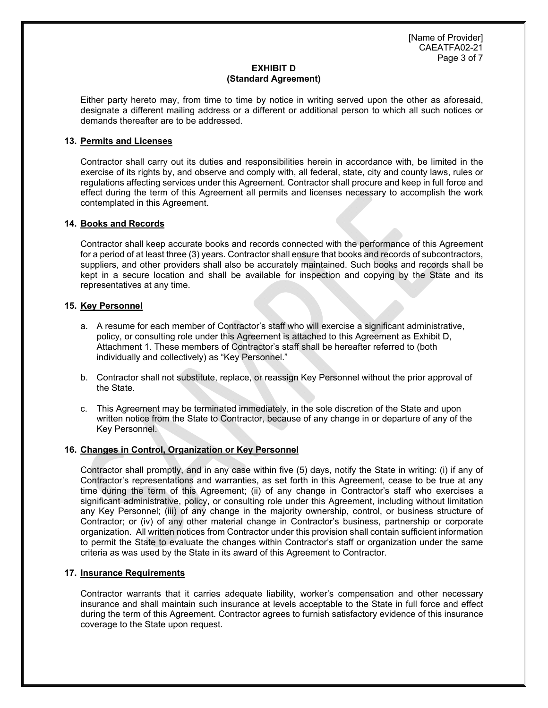[Name of Provider] CAEATFA02-21 Page 3 of 7

# **EXHIBIT D (Standard Agreement)**

Either party hereto may, from time to time by notice in writing served upon the other as aforesaid, designate a different mailing address or a different or additional person to which all such notices or demands thereafter are to be addressed.

# **13. Permits and Licenses**

Contractor shall carry out its duties and responsibilities herein in accordance with, be limited in the exercise of its rights by, and observe and comply with, all federal, state, city and county laws, rules or regulations affecting services under this Agreement. Contractor shall procure and keep in full force and effect during the term of this Agreement all permits and licenses necessary to accomplish the work contemplated in this Agreement.

# **14. Books and Records**

Contractor shall keep accurate books and records connected with the performance of this Agreement for a period of at least three (3) years. Contractor shall ensure that books and records of subcontractors, suppliers, and other providers shall also be accurately maintained. Such books and records shall be kept in a secure location and shall be available for inspection and copying by the State and its representatives at any time.

## **15. Key Personnel**

- a. A resume for each member of Contractor's staff who will exercise a significant administrative, policy, or consulting role under this Agreement is attached to this Agreement as Exhibit D, Attachment 1. These members of Contractor's staff shall be hereafter referred to (both individually and collectively) as "Key Personnel."
- b. Contractor shall not substitute, replace, or reassign Key Personnel without the prior approval of the State.
- c. This Agreement may be terminated immediately, in the sole discretion of the State and upon written notice from the State to Contractor, because of any change in or departure of any of the Key Personnel.

## **16. Changes in Control, Organization or Key Personnel**

Contractor shall promptly, and in any case within five (5) days, notify the State in writing: (i) if any of Contractor's representations and warranties, as set forth in this Agreement, cease to be true at any time during the term of this Agreement; (ii) of any change in Contractor's staff who exercises a significant administrative, policy, or consulting role under this Agreement, including without limitation any Key Personnel; (iii) of any change in the majority ownership, control, or business structure of Contractor; or (iv) of any other material change in Contractor's business, partnership or corporate organization. All written notices from Contractor under this provision shall contain sufficient information to permit the State to evaluate the changes within Contractor's staff or organization under the same criteria as was used by the State in its award of this Agreement to Contractor.

## **17. Insurance Requirements**

Contractor warrants that it carries adequate liability, worker's compensation and other necessary insurance and shall maintain such insurance at levels acceptable to the State in full force and effect during the term of this Agreement. Contractor agrees to furnish satisfactory evidence of this insurance coverage to the State upon request.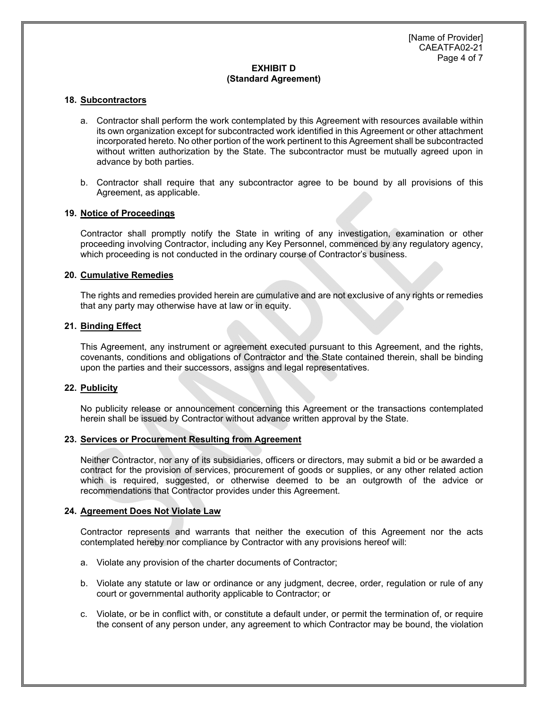#### **18. Subcontractors**

- a. Contractor shall perform the work contemplated by this Agreement with resources available within its own organization except for subcontracted work identified in this Agreement or other attachment incorporated hereto. No other portion of the work pertinent to this Agreement shall be subcontracted without written authorization by the State. The subcontractor must be mutually agreed upon in advance by both parties.
- b. Contractor shall require that any subcontractor agree to be bound by all provisions of this Agreement, as applicable.

### **19. Notice of Proceedings**

Contractor shall promptly notify the State in writing of any investigation, examination or other proceeding involving Contractor, including any Key Personnel, commenced by any regulatory agency, which proceeding is not conducted in the ordinary course of Contractor's business.

### **20. Cumulative Remedies**

The rights and remedies provided herein are cumulative and are not exclusive of any rights or remedies that any party may otherwise have at law or in equity.

### **21. Binding Effect**

This Agreement, any instrument or agreement executed pursuant to this Agreement, and the rights, covenants, conditions and obligations of Contractor and the State contained therein, shall be binding upon the parties and their successors, assigns and legal representatives.

# **22. Publicity**

No publicity release or announcement concerning this Agreement or the transactions contemplated herein shall be issued by Contractor without advance written approval by the State.

#### **23. Services or Procurement Resulting from Agreement**

Neither Contractor, nor any of its subsidiaries, officers or directors, may submit a bid or be awarded a contract for the provision of services, procurement of goods or supplies, or any other related action which is required, suggested, or otherwise deemed to be an outgrowth of the advice or recommendations that Contractor provides under this Agreement.

## **24. Agreement Does Not Violate Law**

Contractor represents and warrants that neither the execution of this Agreement nor the acts contemplated hereby nor compliance by Contractor with any provisions hereof will:

- a. Violate any provision of the charter documents of Contractor;
- b. Violate any statute or law or ordinance or any judgment, decree, order, regulation or rule of any court or governmental authority applicable to Contractor; or
- c. Violate, or be in conflict with, or constitute a default under, or permit the termination of, or require the consent of any person under, any agreement to which Contractor may be bound, the violation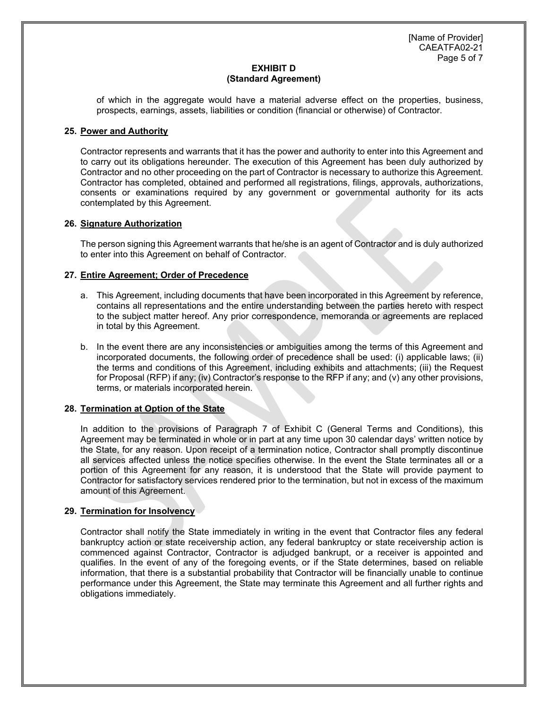[Name of Provider] CAEATFA02-21 Page 5 of 7

# **EXHIBIT D (Standard Agreement)**

of which in the aggregate would have a material adverse effect on the properties, business, prospects, earnings, assets, liabilities or condition (financial or otherwise) of Contractor.

# **25. Power and Authority**

Contractor represents and warrants that it has the power and authority to enter into this Agreement and to carry out its obligations hereunder. The execution of this Agreement has been duly authorized by Contractor and no other proceeding on the part of Contractor is necessary to authorize this Agreement. Contractor has completed, obtained and performed all registrations, filings, approvals, authorizations, consents or examinations required by any government or governmental authority for its acts contemplated by this Agreement.

# **26. Signature Authorization**

The person signing this Agreement warrants that he/she is an agent of Contractor and is duly authorized to enter into this Agreement on behalf of Contractor.

# **27. Entire Agreement; Order of Precedence**

- a. This Agreement, including documents that have been incorporated in this Agreement by reference, contains all representations and the entire understanding between the parties hereto with respect to the subject matter hereof. Any prior correspondence, memoranda or agreements are replaced in total by this Agreement.
- b. In the event there are any inconsistencies or ambiguities among the terms of this Agreement and incorporated documents, the following order of precedence shall be used: (i) applicable laws; (ii) the terms and conditions of this Agreement, including exhibits and attachments; (iii) the Request for Proposal (RFP) if any; (iv) Contractor's response to the RFP if any; and (v) any other provisions, terms, or materials incorporated herein.

# **28. Termination at Option of the State**

In addition to the provisions of Paragraph 7 of Exhibit C (General Terms and Conditions), this Agreement may be terminated in whole or in part at any time upon 30 calendar days' written notice by the State, for any reason. Upon receipt of a termination notice, Contractor shall promptly discontinue all services affected unless the notice specifies otherwise. In the event the State terminates all or a portion of this Agreement for any reason, it is understood that the State will provide payment to Contractor for satisfactory services rendered prior to the termination, but not in excess of the maximum amount of this Agreement.

## **29. Termination for Insolvency**

Contractor shall notify the State immediately in writing in the event that Contractor files any federal bankruptcy action or state receivership action, any federal bankruptcy or state receivership action is commenced against Contractor, Contractor is adjudged bankrupt, or a receiver is appointed and qualifies. In the event of any of the foregoing events, or if the State determines, based on reliable information, that there is a substantial probability that Contractor will be financially unable to continue performance under this Agreement, the State may terminate this Agreement and all further rights and obligations immediately.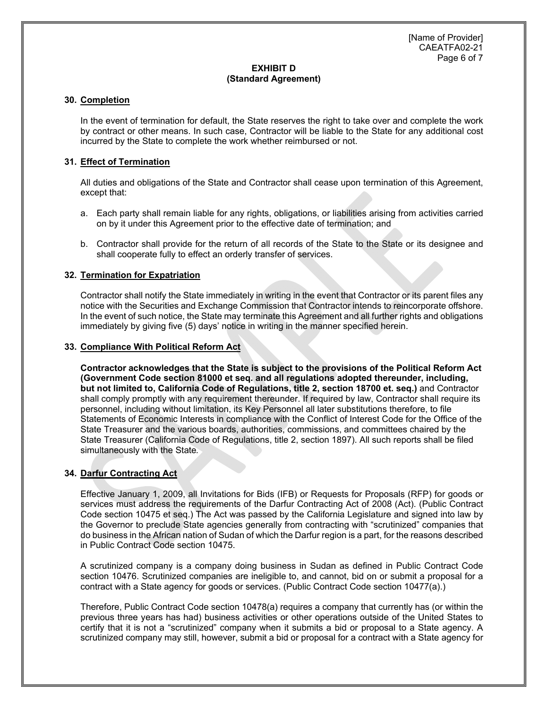### **30. Completion**

In the event of termination for default, the State reserves the right to take over and complete the work by contract or other means. In such case, Contractor will be liable to the State for any additional cost incurred by the State to complete the work whether reimbursed or not.

# **31. Effect of Termination**

All duties and obligations of the State and Contractor shall cease upon termination of this Agreement, except that:

- a. Each party shall remain liable for any rights, obligations, or liabilities arising from activities carried on by it under this Agreement prior to the effective date of termination; and
- b. Contractor shall provide for the return of all records of the State to the State or its designee and shall cooperate fully to effect an orderly transfer of services.

# **32. Termination for Expatriation**

Contractor shall notify the State immediately in writing in the event that Contractor or its parent files any notice with the Securities and Exchange Commission that Contractor intends to reincorporate offshore. In the event of such notice, the State may terminate this Agreement and all further rights and obligations immediately by giving five (5) days' notice in writing in the manner specified herein.

## **33. Compliance With Political Reform Act**

**Contractor acknowledges that the State is subject to the provisions of the Political Reform Act (Government Code section 81000 et seq. and all regulations adopted thereunder, including, but not limited to, California Code of Regulations, title 2, section 18700 et. seq.)** and Contractor shall comply promptly with any requirement thereunder. If required by law, Contractor shall require its personnel, including without limitation, its Key Personnel all later substitutions therefore, to file Statements of Economic Interests in compliance with the Conflict of Interest Code for the Office of the State Treasurer and the various boards, authorities, commissions, and committees chaired by the State Treasurer (California Code of Regulations, title 2, section 1897). All such reports shall be filed simultaneously with the State*.* 

## **34. Darfur Contracting Act**

Effective January 1, 2009, all Invitations for Bids (IFB) or Requests for Proposals (RFP) for goods or services must address the requirements of the Darfur Contracting Act of 2008 (Act). (Public Contract Code section 10475 et seq.) The Act was passed by the California Legislature and signed into law by the Governor to preclude State agencies generally from contracting with "scrutinized" companies that do business in the African nation of Sudan of which the Darfur region is a part, for the reasons described in Public Contract Code section 10475.

A scrutinized company is a company doing business in Sudan as defined in Public Contract Code section 10476. Scrutinized companies are ineligible to, and cannot, bid on or submit a proposal for a contract with a State agency for goods or services. (Public Contract Code section 10477(a).)

Therefore, Public Contract Code section 10478(a) requires a company that currently has (or within the previous three years has had) business activities or other operations outside of the United States to certify that it is not a "scrutinized" company when it submits a bid or proposal to a State agency. A scrutinized company may still, however, submit a bid or proposal for a contract with a State agency for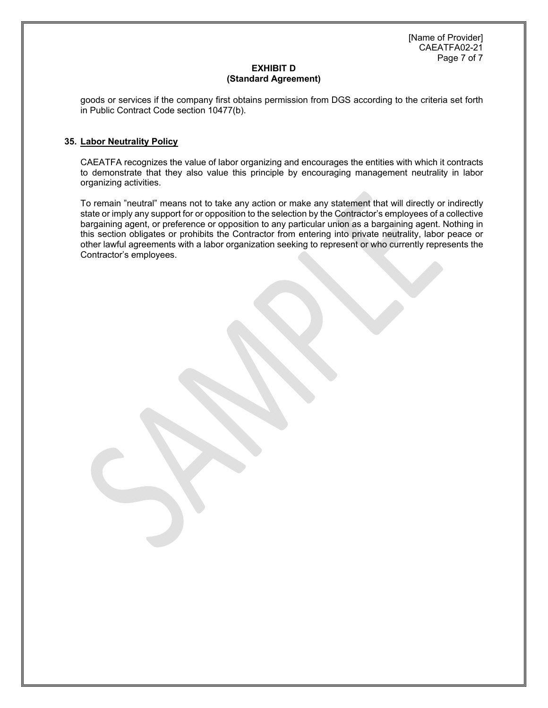[Name of Provider] CAEATFA02-21 Page 7 of 7

# **EXHIBIT D (Standard Agreement)**

goods or services if the company first obtains permission from DGS according to the criteria set forth in Public Contract Code section 10477(b).

# **35. Labor Neutrality Policy**

CAEATFA recognizes the value of labor organizing and encourages the entities with which it contracts to demonstrate that they also value this principle by encouraging management neutrality in labor organizing activities.

To remain "neutral" means not to take any action or make any statement that will directly or indirectly state or imply any support for or opposition to the selection by the Contractor's employees of a collective bargaining agent, or preference or opposition to any particular union as a bargaining agent. Nothing in this section obligates or prohibits the Contractor from entering into private neutrality, labor peace or other lawful agreements with a labor organization seeking to represent or who currently represents the Contractor's employees.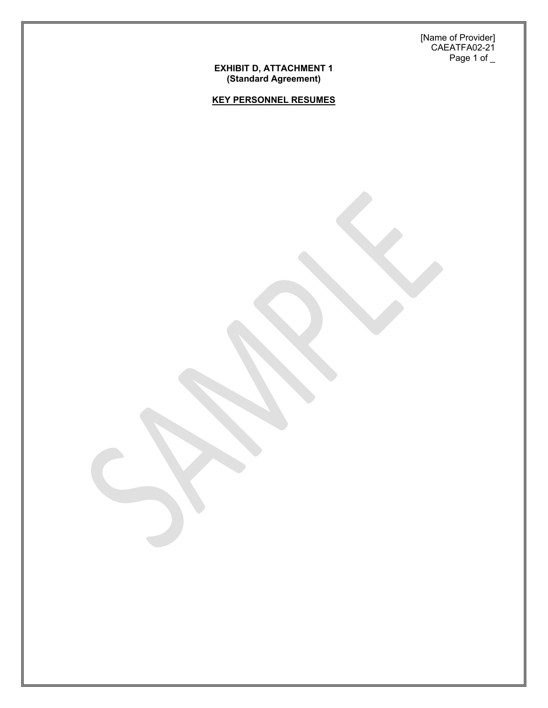[Name of Provider] CAEATFA02-21 Page 1 of \_

#### **EXHIBIT D, ATTACHMENT 1 (Standard Agreement)**

**KEY PERSONNEL RESUMES**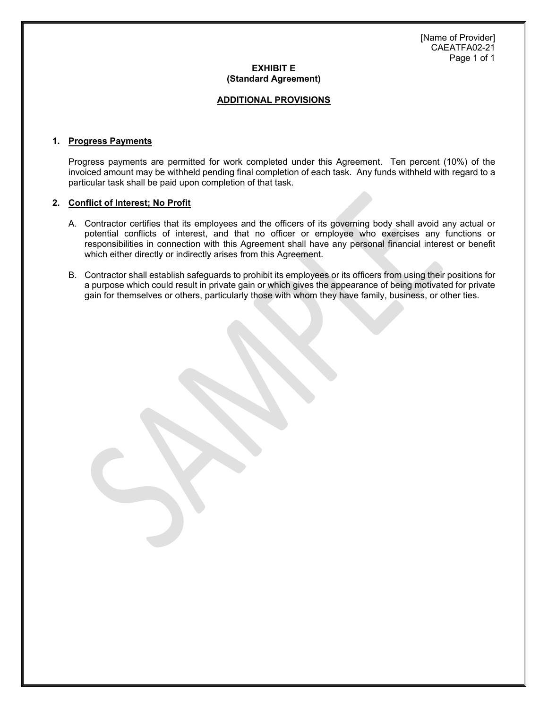### **ADDITIONAL PROVISIONS**

### **1. Progress Payments**

 Progress payments are permitted for work completed under this Agreement. Ten percent (10%) of the invoiced amount may be withheld pending final completion of each task. Any funds withheld with regard to a particular task shall be paid upon completion of that task.

### **2. Conflict of Interest; No Profit**

- A. Contractor certifies that its employees and the officers of its governing body shall avoid any actual or potential conflicts of interest, and that no officer or employee who exercises any functions or responsibilities in connection with this Agreement shall have any personal financial interest or benefit which either directly or indirectly arises from this Agreement.
- B. Contractor shall establish safeguards to prohibit its employees or its officers from using their positions for a purpose which could result in private gain or which gives the appearance of being motivated for private gain for themselves or others, particularly those with whom they have family, business, or other ties.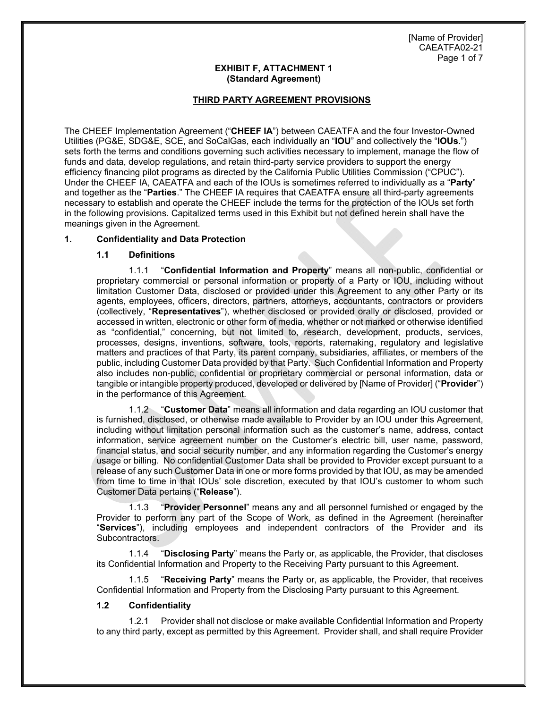# **THIRD PARTY AGREEMENT PROVISIONS**

The CHEEF Implementation Agreement ("**CHEEF IA**") between CAEATFA and the four Investor-Owned Utilities (PG&E, SDG&E, SCE, and SoCalGas, each individually an "**IOU**" and collectively the "**IOUs**.") sets forth the terms and conditions governing such activities necessary to implement, manage the flow of funds and data, develop regulations, and retain third-party service providers to support the energy efficiency financing pilot programs as directed by the California Public Utilities Commission ("CPUC"). Under the CHEEF IA, CAEATFA and each of the IOUs is sometimes referred to individually as a "**Party**" and together as the "**Parties**." The CHEEF IA requires that CAEATFA ensure all third-party agreements necessary to establish and operate the CHEEF include the terms for the protection of the IOUs set forth in the following provisions. Capitalized terms used in this Exhibit but not defined herein shall have the meanings given in the Agreement.

# **1. Confidentiality and Data Protection**

## **1.1 Definitions**

1.1.1 "**Confidential Information and Property**" means all non-public, confidential or proprietary commercial or personal information or property of a Party or IOU, including without limitation Customer Data, disclosed or provided under this Agreement to any other Party or its agents, employees, officers, directors, partners, attorneys, accountants, contractors or providers (collectively, "**Representatives**"), whether disclosed or provided orally or disclosed, provided or accessed in written, electronic or other form of media, whether or not marked or otherwise identified as "confidential," concerning, but not limited to, research, development, products, services, processes, designs, inventions, software, tools, reports, ratemaking, regulatory and legislative matters and practices of that Party, its parent company, subsidiaries, affiliates, or members of the public, including Customer Data provided by that Party. Such Confidential Information and Property also includes non-public, confidential or proprietary commercial or personal information, data or tangible or intangible property produced, developed or delivered by [Name of Provider] ("**Provider**") in the performance of this Agreement.

1.1.2 "**Customer Data**" means all information and data regarding an IOU customer that is furnished, disclosed, or otherwise made available to Provider by an IOU under this Agreement, including without limitation personal information such as the customer's name, address, contact information, service agreement number on the Customer's electric bill, user name, password, financial status, and social security number, and any information regarding the Customer's energy usage or billing. No confidential Customer Data shall be provided to Provider except pursuant to a release of any such Customer Data in one or more forms provided by that IOU, as may be amended from time to time in that IOUs' sole discretion, executed by that IOU's customer to whom such Customer Data pertains ("**Release**").

1.1.3 "**Provider Personnel**" means any and all personnel furnished or engaged by the Provider to perform any part of the Scope of Work, as defined in the Agreement (hereinafter "**Services**"), including employees and independent contractors of the Provider and its Subcontractors.

1.1.4 "**Disclosing Party**" means the Party or, as applicable, the Provider, that discloses its Confidential Information and Property to the Receiving Party pursuant to this Agreement.

1.1.5 "**Receiving Party**" means the Party or, as applicable, the Provider, that receives Confidential Information and Property from the Disclosing Party pursuant to this Agreement.

## **1.2 Confidentiality**

1.2.1 Provider shall not disclose or make available Confidential Information and Property to any third party, except as permitted by this Agreement. Provider shall, and shall require Provider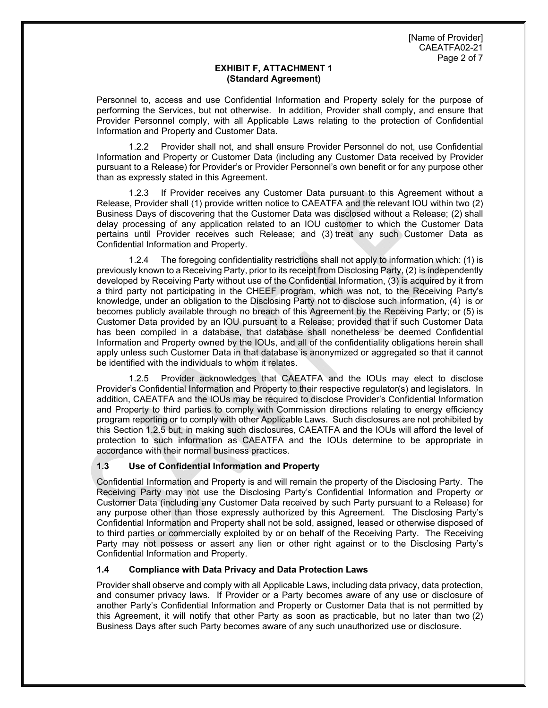Personnel to, access and use Confidential Information and Property solely for the purpose of performing the Services, but not otherwise. In addition, Provider shall comply, and ensure that Provider Personnel comply, with all Applicable Laws relating to the protection of Confidential Information and Property and Customer Data.

1.2.2 Provider shall not, and shall ensure Provider Personnel do not, use Confidential Information and Property or Customer Data (including any Customer Data received by Provider pursuant to a Release) for Provider's or Provider Personnel's own benefit or for any purpose other than as expressly stated in this Agreement.

1.2.3 If Provider receives any Customer Data pursuant to this Agreement without a Release, Provider shall (1) provide written notice to CAEATFA and the relevant IOU within two (2) Business Days of discovering that the Customer Data was disclosed without a Release; (2) shall delay processing of any application related to an IOU customer to which the Customer Data pertains until Provider receives such Release; and (3) treat any such Customer Data as Confidential Information and Property.

1.2.4 The foregoing confidentiality restrictions shall not apply to information which: (1) is previously known to a Receiving Party, prior to its receipt from Disclosing Party, (2) is independently developed by Receiving Party without use of the Confidential Information, (3) is acquired by it from a third party not participating in the CHEEF program, which was not, to the Receiving Party's knowledge, under an obligation to the Disclosing Party not to disclose such information, (4) is or becomes publicly available through no breach of this Agreement by the Receiving Party; or (5) is Customer Data provided by an IOU pursuant to a Release; provided that if such Customer Data has been compiled in a database, that database shall nonetheless be deemed Confidential Information and Property owned by the IOUs, and all of the confidentiality obligations herein shall apply unless such Customer Data in that database is anonymized or aggregated so that it cannot be identified with the individuals to whom it relates.

1.2.5 Provider acknowledges that CAEATFA and the IOUs may elect to disclose Provider's Confidential Information and Property to their respective regulator(s) and legislators. In addition, CAEATFA and the IOUs may be required to disclose Provider's Confidential Information and Property to third parties to comply with Commission directions relating to energy efficiency program reporting or to comply with other Applicable Laws. Such disclosures are not prohibited by this Section 1.2.5 but, in making such disclosures, CAEATFA and the IOUs will afford the level of protection to such information as CAEATFA and the IOUs determine to be appropriate in accordance with their normal business practices.

# **1.3 Use of Confidential Information and Property**

Confidential Information and Property is and will remain the property of the Disclosing Party. The Receiving Party may not use the Disclosing Party's Confidential Information and Property or Customer Data (including any Customer Data received by such Party pursuant to a Release) for any purpose other than those expressly authorized by this Agreement. The Disclosing Party's Confidential Information and Property shall not be sold, assigned, leased or otherwise disposed of to third parties or commercially exploited by or on behalf of the Receiving Party. The Receiving Party may not possess or assert any lien or other right against or to the Disclosing Party's Confidential Information and Property.

## **1.4 Compliance with Data Privacy and Data Protection Laws**

Provider shall observe and comply with all Applicable Laws, including data privacy, data protection, and consumer privacy laws. If Provider or a Party becomes aware of any use or disclosure of another Party's Confidential Information and Property or Customer Data that is not permitted by this Agreement, it will notify that other Party as soon as practicable, but no later than two (2) Business Days after such Party becomes aware of any such unauthorized use or disclosure.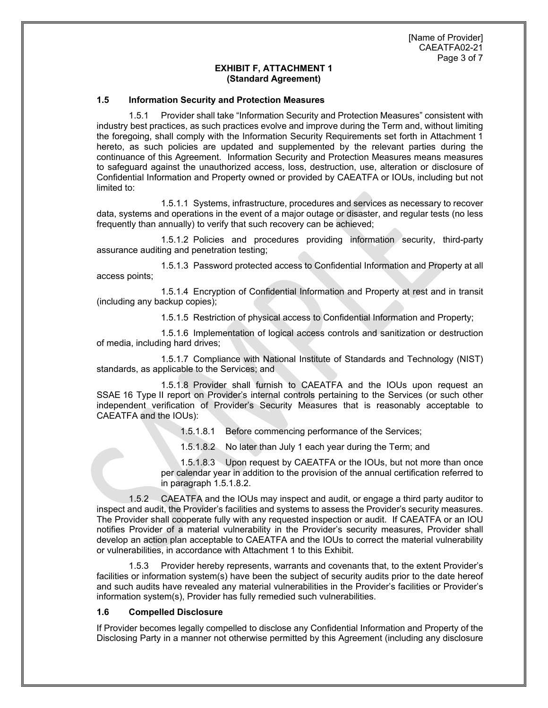### **1.5 Information Security and Protection Measures**

1.5.1 Provider shall take "Information Security and Protection Measures" consistent with industry best practices, as such practices evolve and improve during the Term and, without limiting the foregoing, shall comply with the Information Security Requirements set forth in Attachment 1 hereto, as such policies are updated and supplemented by the relevant parties during the continuance of this Agreement. Information Security and Protection Measures means measures to safeguard against the unauthorized access, loss, destruction, use, alteration or disclosure of Confidential Information and Property owned or provided by CAEATFA or IOUs, including but not limited to:

1.5.1.1 Systems, infrastructure, procedures and services as necessary to recover data, systems and operations in the event of a major outage or disaster, and regular tests (no less frequently than annually) to verify that such recovery can be achieved;

1.5.1.2 Policies and procedures providing information security, third-party assurance auditing and penetration testing;

1.5.1.3 Password protected access to Confidential Information and Property at all access points;

1.5.1.4 Encryption of Confidential Information and Property at rest and in transit (including any backup copies);

1.5.1.5 Restriction of physical access to Confidential Information and Property;

1.5.1.6 Implementation of logical access controls and sanitization or destruction of media, including hard drives;

1.5.1.7 Compliance with National Institute of Standards and Technology (NIST) standards, as applicable to the Services; and

1.5.1.8 Provider shall furnish to CAEATFA and the IOUs upon request an SSAE 16 Type II report on Provider's internal controls pertaining to the Services (or such other independent verification of Provider's Security Measures that is reasonably acceptable to CAEATFA and the IOUs):

1.5.1.8.1 Before commencing performance of the Services;

1.5.1.8.2 No later than July 1 each year during the Term; and

1.5.1.8.3 Upon request by CAEATFA or the IOUs, but not more than once per calendar year in addition to the provision of the annual certification referred to in paragraph 1.5.1.8.2.

1.5.2 CAEATFA and the IOUs may inspect and audit, or engage a third party auditor to inspect and audit, the Provider's facilities and systems to assess the Provider's security measures. The Provider shall cooperate fully with any requested inspection or audit. If CAEATFA or an IOU notifies Provider of a material vulnerability in the Provider's security measures, Provider shall develop an action plan acceptable to CAEATFA and the IOUs to correct the material vulnerability or vulnerabilities, in accordance with Attachment 1 to this Exhibit.

1.5.3 Provider hereby represents, warrants and covenants that, to the extent Provider's facilities or information system(s) have been the subject of security audits prior to the date hereof and such audits have revealed any material vulnerabilities in the Provider's facilities or Provider's information system(s), Provider has fully remedied such vulnerabilities.

## **1.6 Compelled Disclosure**

If Provider becomes legally compelled to disclose any Confidential Information and Property of the Disclosing Party in a manner not otherwise permitted by this Agreement (including any disclosure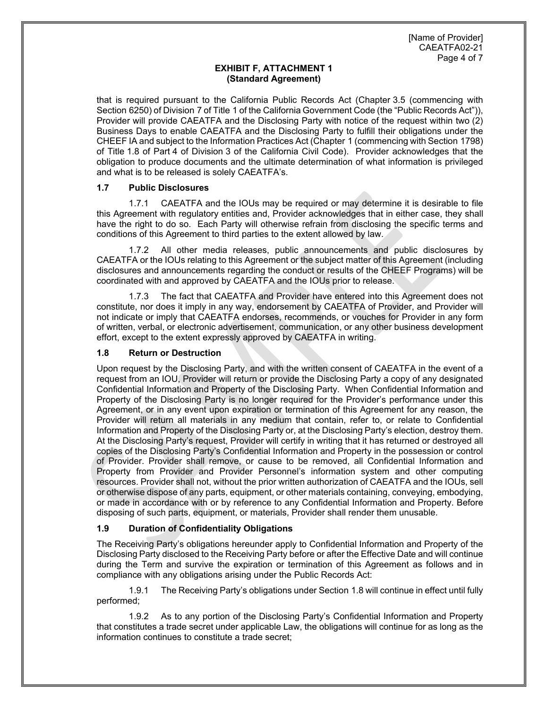that is required pursuant to the California Public Records Act (Chapter 3.5 (commencing with Section 6250) of Division 7 of Title 1 of the California Government Code (the "Public Records Act")), Provider will provide CAEATFA and the Disclosing Party with notice of the request within two (2) Business Days to enable CAEATFA and the Disclosing Party to fulfill their obligations under the CHEEF IA and subject to the Information Practices Act (Chapter 1 (commencing with Section 1798) of Title 1.8 of Part 4 of Division 3 of the California Civil Code). Provider acknowledges that the obligation to produce documents and the ultimate determination of what information is privileged and what is to be released is solely CAEATFA's.

# **1.7 Public Disclosures**

1.7.1 CAEATFA and the IOUs may be required or may determine it is desirable to file this Agreement with regulatory entities and, Provider acknowledges that in either case, they shall have the right to do so. Each Party will otherwise refrain from disclosing the specific terms and conditions of this Agreement to third parties to the extent allowed by law.

1.7.2 All other media releases, public announcements and public disclosures by CAEATFA or the IOUs relating to this Agreement or the subject matter of this Agreement (including disclosures and announcements regarding the conduct or results of the CHEEF Programs) will be coordinated with and approved by CAEATFA and the IOUs prior to release.

1.7.3 The fact that CAEATFA and Provider have entered into this Agreement does not constitute, nor does it imply in any way, endorsement by CAEATFA of Provider, and Provider will not indicate or imply that CAEATFA endorses, recommends, or vouches for Provider in any form of written, verbal, or electronic advertisement, communication, or any other business development effort, except to the extent expressly approved by CAEATFA in writing.

# **1.8 Return or Destruction**

Upon request by the Disclosing Party, and with the written consent of CAEATFA in the event of a request from an IOU, Provider will return or provide the Disclosing Party a copy of any designated Confidential Information and Property of the Disclosing Party. When Confidential Information and Property of the Disclosing Party is no longer required for the Provider's performance under this Agreement, or in any event upon expiration or termination of this Agreement for any reason, the Provider will return all materials in any medium that contain, refer to, or relate to Confidential Information and Property of the Disclosing Party or, at the Disclosing Party's election, destroy them. At the Disclosing Party's request, Provider will certify in writing that it has returned or destroyed all copies of the Disclosing Party's Confidential Information and Property in the possession or control of Provider. Provider shall remove, or cause to be removed, all Confidential Information and Property from Provider and Provider Personnel's information system and other computing resources. Provider shall not, without the prior written authorization of CAEATFA and the IOUs, sell or otherwise dispose of any parts, equipment, or other materials containing, conveying, embodying, or made in accordance with or by reference to any Confidential Information and Property. Before disposing of such parts, equipment, or materials, Provider shall render them unusable.

# **1.9 Duration of Confidentiality Obligations**

The Receiving Party's obligations hereunder apply to Confidential Information and Property of the Disclosing Party disclosed to the Receiving Party before or after the Effective Date and will continue during the Term and survive the expiration or termination of this Agreement as follows and in compliance with any obligations arising under the Public Records Act:

1.9.1 The Receiving Party's obligations under Section 1.8 will continue in effect until fully performed;

1.9.2 As to any portion of the Disclosing Party's Confidential Information and Property that constitutes a trade secret under applicable Law, the obligations will continue for as long as the information continues to constitute a trade secret;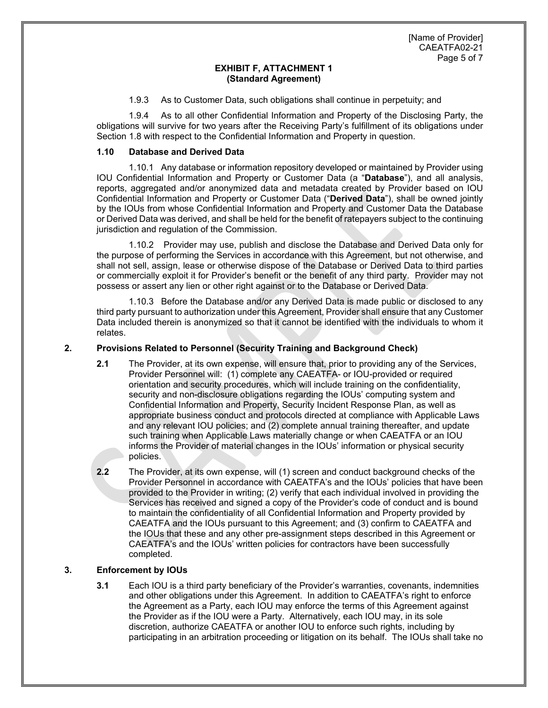1.9.3 As to Customer Data, such obligations shall continue in perpetuity; and

1.9.4 As to all other Confidential Information and Property of the Disclosing Party, the obligations will survive for two years after the Receiving Party's fulfillment of its obligations under Section 1.8 with respect to the Confidential Information and Property in question.

# **1.10 Database and Derived Data**

1.10.1 Any database or information repository developed or maintained by Provider using IOU Confidential Information and Property or Customer Data (a "**Database**"), and all analysis, reports, aggregated and/or anonymized data and metadata created by Provider based on IOU Confidential Information and Property or Customer Data ("**Derived Data**"), shall be owned jointly by the IOUs from whose Confidential Information and Property and Customer Data the Database or Derived Data was derived, and shall be held for the benefit of ratepayers subject to the continuing jurisdiction and regulation of the Commission.

1.10.2 Provider may use, publish and disclose the Database and Derived Data only for the purpose of performing the Services in accordance with this Agreement, but not otherwise, and shall not sell, assign, lease or otherwise dispose of the Database or Derived Data to third parties or commercially exploit it for Provider's benefit or the benefit of any third party. Provider may not possess or assert any lien or other right against or to the Database or Derived Data.

1.10.3 Before the Database and/or any Derived Data is made public or disclosed to any third party pursuant to authorization under this Agreement, Provider shall ensure that any Customer Data included therein is anonymized so that it cannot be identified with the individuals to whom it relates.

# **2. Provisions Related to Personnel (Security Training and Background Check)**

- **2.1** The Provider, at its own expense, will ensure that, prior to providing any of the Services, Provider Personnel will: (1) complete any CAEATFA- or IOU-provided or required orientation and security procedures, which will include training on the confidentiality, security and non-disclosure obligations regarding the IOUs' computing system and Confidential Information and Property, Security Incident Response Plan, as well as appropriate business conduct and protocols directed at compliance with Applicable Laws and any relevant IOU policies; and (2) complete annual training thereafter, and update such training when Applicable Laws materially change or when CAEATFA or an IOU informs the Provider of material changes in the IOUs' information or physical security policies.
- **2.2** The Provider, at its own expense, will (1) screen and conduct background checks of the Provider Personnel in accordance with CAEATFA's and the IOUs' policies that have been provided to the Provider in writing; (2) verify that each individual involved in providing the Services has received and signed a copy of the Provider's code of conduct and is bound to maintain the confidentiality of all Confidential Information and Property provided by CAEATFA and the IOUs pursuant to this Agreement; and (3) confirm to CAEATFA and the IOUs that these and any other pre-assignment steps described in this Agreement or CAEATFA's and the IOUs' written policies for contractors have been successfully completed.

# **3. Enforcement by IOUs**

**3.1** Each IOU is a third party beneficiary of the Provider's warranties, covenants, indemnities and other obligations under this Agreement. In addition to CAEATFA's right to enforce the Agreement as a Party, each IOU may enforce the terms of this Agreement against the Provider as if the IOU were a Party. Alternatively, each IOU may, in its sole discretion, authorize CAEATFA or another IOU to enforce such rights, including by participating in an arbitration proceeding or litigation on its behalf. The IOUs shall take no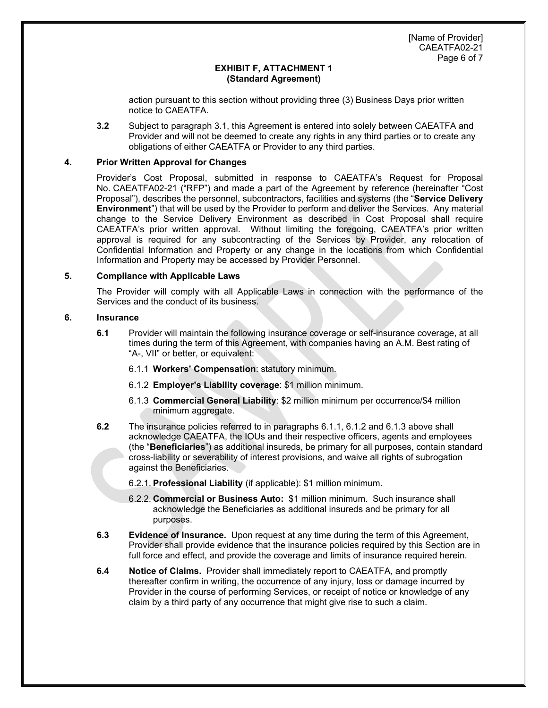action pursuant to this section without providing three (3) Business Days prior written notice to CAEATFA.

**3.2** Subject to paragraph 3.1, this Agreement is entered into solely between CAEATFA and Provider and will not be deemed to create any rights in any third parties or to create any obligations of either CAEATFA or Provider to any third parties.

## **4. Prior Written Approval for Changes**

Provider's Cost Proposal, submitted in response to CAEATFA's Request for Proposal No. CAEATFA02-21 ("RFP") and made a part of the Agreement by reference (hereinafter "Cost Proposal"), describes the personnel, subcontractors, facilities and systems (the "**Service Delivery Environment**") that will be used by the Provider to perform and deliver the Services. Any material change to the Service Delivery Environment as described in Cost Proposal shall require CAEATFA's prior written approval. Without limiting the foregoing, CAEATFA's prior written approval is required for any subcontracting of the Services by Provider, any relocation of Confidential Information and Property or any change in the locations from which Confidential Information and Property may be accessed by Provider Personnel.

# **5. Compliance with Applicable Laws**

The Provider will comply with all Applicable Laws in connection with the performance of the Services and the conduct of its business.

# **6. Insurance**

- **6.1** Provider will maintain the following insurance coverage or self-insurance coverage, at all times during the term of this Agreement, with companies having an A.M. Best rating of "A-, VII" or better, or equivalent:
	- 6.1.1 **Workers' Compensation**: statutory minimum.
	- 6.1.2 **Employer's Liability coverage**: \$1 million minimum.
	- 6.1.3 **Commercial General Liability**: \$2 million minimum per occurrence/\$4 million minimum aggregate.
- **6.2** The insurance policies referred to in paragraphs 6.1.1, 6.1.2 and 6.1.3 above shall acknowledge CAEATFA, the IOUs and their respective officers, agents and employees (the "**Beneficiaries**") as additional insureds, be primary for all purposes, contain standard cross-liability or severability of interest provisions, and waive all rights of subrogation against the Beneficiaries.
	- 6.2.1. **Professional Liability** (if applicable): \$1 million minimum.
	- 6.2.2. **Commercial or Business Auto:** \$1 million minimum. Such insurance shall acknowledge the Beneficiaries as additional insureds and be primary for all purposes.
- **6.3** Evidence of Insurance. Upon request at any time during the term of this Agreement, Provider shall provide evidence that the insurance policies required by this Section are in full force and effect, and provide the coverage and limits of insurance required herein.
- **6.4 Notice of Claims.** Provider shall immediately report to CAEATFA, and promptly thereafter confirm in writing, the occurrence of any injury, loss or damage incurred by Provider in the course of performing Services, or receipt of notice or knowledge of any claim by a third party of any occurrence that might give rise to such a claim.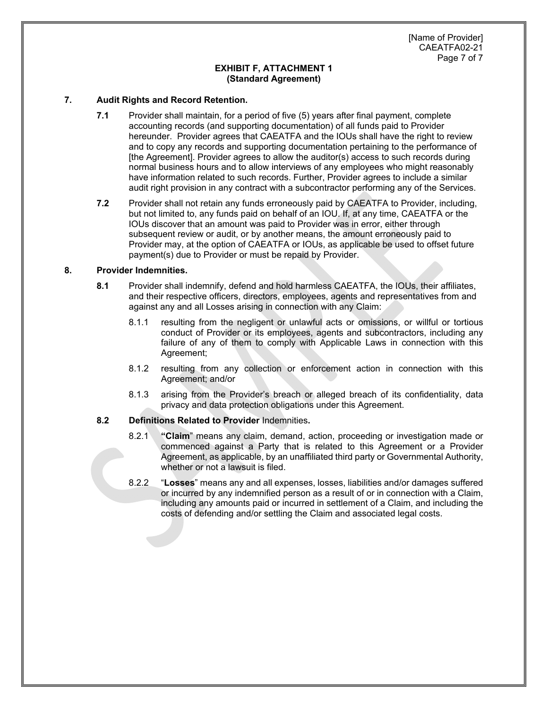[Name of Provider] CAEATFA02-21 Page 7 of 7

#### **EXHIBIT F, ATTACHMENT 1 (Standard Agreement)**

## **7. Audit Rights and Record Retention.**

- **7.1** Provider shall maintain, for a period of five (5) years after final payment, complete accounting records (and supporting documentation) of all funds paid to Provider hereunder. Provider agrees that CAEATFA and the IOUs shall have the right to review and to copy any records and supporting documentation pertaining to the performance of [the Agreement]. Provider agrees to allow the auditor(s) access to such records during normal business hours and to allow interviews of any employees who might reasonably have information related to such records. Further, Provider agrees to include a similar audit right provision in any contract with a subcontractor performing any of the Services.
- **7.2** Provider shall not retain any funds erroneously paid by CAEATFA to Provider, including, but not limited to, any funds paid on behalf of an IOU. If, at any time, CAEATFA or the IOUs discover that an amount was paid to Provider was in error, either through subsequent review or audit, or by another means, the amount erroneously paid to Provider may, at the option of CAEATFA or IOUs, as applicable be used to offset future payment(s) due to Provider or must be repaid by Provider.

# **8. Provider Indemnities.**

- **8.1** Provider shall indemnify, defend and hold harmless CAEATFA, the IOUs, their affiliates, and their respective officers, directors, employees, agents and representatives from and against any and all Losses arising in connection with any Claim:
	- 8.1.1 resulting from the negligent or unlawful acts or omissions, or willful or tortious conduct of Provider or its employees, agents and subcontractors, including any failure of any of them to comply with Applicable Laws in connection with this Agreement;
	- 8.1.2 resulting from any collection or enforcement action in connection with this Agreement; and/or
	- 8.1.3 arising from the Provider's breach or alleged breach of its confidentiality, data privacy and data protection obligations under this Agreement.

## **8.2 Definitions Related to Provider** Indemnities**.**

- 8.2.1 **"Claim**" means any claim, demand, action, proceeding or investigation made or commenced against a Party that is related to this Agreement or a Provider Agreement, as applicable, by an unaffiliated third party or Governmental Authority, whether or not a lawsuit is filed.
- 8.2.2 "**Losses**" means any and all expenses, losses, liabilities and/or damages suffered or incurred by any indemnified person as a result of or in connection with a Claim, including any amounts paid or incurred in settlement of a Claim, and including the costs of defending and/or settling the Claim and associated legal costs.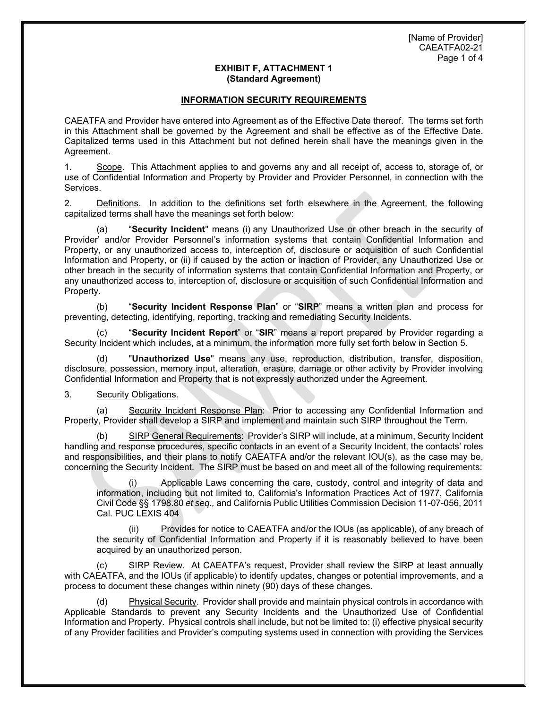# **INFORMATION SECURITY REQUIREMENTS**

CAEATFA and Provider have entered into Agreement as of the Effective Date thereof. The terms set forth in this Attachment shall be governed by the Agreement and shall be effective as of the Effective Date. Capitalized terms used in this Attachment but not defined herein shall have the meanings given in the Agreement.

1. Scope. This Attachment applies to and governs any and all receipt of, access to, storage of, or use of Confidential Information and Property by Provider and Provider Personnel, in connection with the Services.

2. Definitions. In addition to the definitions set forth elsewhere in the Agreement, the following capitalized terms shall have the meanings set forth below:

(a) "**Security Incident**" means (i) any Unauthorized Use or other breach in the security of Provider' and/or Provider Personnel's information systems that contain Confidential Information and Property, or any unauthorized access to, interception of, disclosure or acquisition of such Confidential Information and Property, or (ii) if caused by the action or inaction of Provider, any Unauthorized Use or other breach in the security of information systems that contain Confidential Information and Property, or any unauthorized access to, interception of, disclosure or acquisition of such Confidential Information and Property.

(b) "**Security Incident Response Plan**" or "**SIRP**" means a written plan and process for preventing, detecting, identifying, reporting, tracking and remediating Security Incidents.

(c) "**Security Incident Report**" or "**SIR**" means a report prepared by Provider regarding a Security Incident which includes, at a minimum, the information more fully set forth below in Section 5.

(d) "**Unauthorized Use**" means any use, reproduction, distribution, transfer, disposition, disclosure, possession, memory input, alteration, erasure, damage or other activity by Provider involving Confidential Information and Property that is not expressly authorized under the Agreement.

## 3. Security Obligations.

(a) Security Incident Response Plan: Prior to accessing any Confidential Information and Property, Provider shall develop a SIRP and implement and maintain such SIRP throughout the Term.

(b) SIRP General Requirements: Provider's SIRP will include, at a minimum, Security Incident handling and response procedures, specific contacts in an event of a Security Incident, the contacts' roles and responsibilities, and their plans to notify CAEATFA and/or the relevant IOU(s), as the case may be, concerning the Security Incident. The SIRP must be based on and meet all of the following requirements:

Applicable Laws concerning the care, custody, control and integrity of data and information, including but not limited to, California's Information Practices Act of 1977, California Civil Code §§ 1798.80 *et seq.,* and California Public Utilities Commission Decision 11-07-056, 2011 Cal. PUC LEXIS 404

(ii) Provides for notice to CAEATFA and/or the IOUs (as applicable), of any breach of the security of Confidential Information and Property if it is reasonably believed to have been acquired by an unauthorized person.

(c) SIRP Review. At CAEATFA's request, Provider shall review the SlRP at least annually with CAEATFA, and the IOUs (if applicable) to identify updates, changes or potential improvements, and a process to document these changes within ninety (90) days of these changes.

(d) Physical Security. Provider shall provide and maintain physical controls in accordance with Applicable Standards to prevent any Security Incidents and the Unauthorized Use of Confidential Information and Property. Physical controls shall include, but not be limited to: (i) effective physical security of any Provider facilities and Provider's computing systems used in connection with providing the Services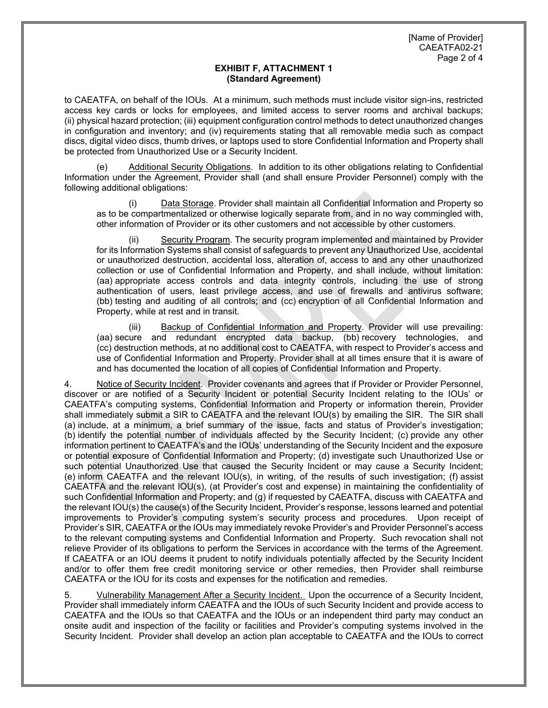to CAEATFA, on behalf of the IOUs. At a minimum, such methods must include visitor sign-ins, restricted access key cards or locks for employees, and limited access to server rooms and archival backups; (ii) physical hazard protection; (iii) equipment configuration control methods to detect unauthorized changes in configuration and inventory; and (iv) requirements stating that all removable media such as compact discs, digital video discs, thumb drives, or laptops used to store Confidential Information and Property shall be protected from Unauthorized Use or a Security Incident.

Additional Security Obligations. In addition to its other obligations relating to Confidential Information under the Agreement, Provider shall (and shall ensure Provider Personnel) comply with the following additional obligations:

Data Storage. Provider shall maintain all Confidential Information and Property so as to be compartmentalized or otherwise logically separate from, and in no way commingled with, other information of Provider or its other customers and not accessible by other customers.

Security Program. The security program implemented and maintained by Provider for its Information Systems shall consist of safeguards to prevent any Unauthorized Use, accidental or unauthorized destruction, accidental loss, alteration of, access to and any other unauthorized collection or use of Confidential Information and Property, and shall include, without limitation: (aa) appropriate access controls and data integrity controls, including the use of strong authentication of users, least privilege access, and use of firewalls and antivirus software; (bb) testing and auditing of all controls; and (cc) encryption of all Confidential Information and Property, while at rest and in transit.

(iii) Backup of Confidential Information and Property. Provider will use prevailing: (aa) secure and redundant encrypted data backup, (bb) recovery technologies, and (cc) destruction methods, at no additional cost to CAEATFA, with respect to Provider's access and use of Confidential Information and Property. Provider shall at all times ensure that it is aware of and has documented the location of all copies of Confidential Information and Property.

4. Notice of Security Incident. Provider covenants and agrees that if Provider or Provider Personnel, discover or are notified of a Security Incident or potential Security Incident relating to the IOUs' or CAEATFA's computing systems, Confidential Information and Property or information therein, Provider shall immediately submit a SIR to CAEATFA and the relevant IOU(s) by emailing the SIR. The SIR shall (a) include, at a minimum, a brief summary of the issue, facts and status of Provider's investigation; (b) identify the potential number of individuals affected by the Security Incident; (c) provide any other information pertinent to CAEATFA's and the IOUs' understanding of the Security Incident and the exposure or potential exposure of Confidential Information and Property; (d) investigate such Unauthorized Use or such potential Unauthorized Use that caused the Security Incident or may cause a Security Incident; (e) inform CAEATFA and the relevant IOU(s), in writing, of the results of such investigation; (f) assist CAEATFA and the relevant IOU(s), (at Provider's cost and expense) in maintaining the confidentiality of such Confidential Information and Property; and (g) if requested by CAEATFA, discuss with CAEATFA and the relevant IOU(s) the cause(s) of the Security Incident, Provider's response, lessons learned and potential improvements to Provider's computing system's security process and procedures. Upon receipt of Provider's SIR, CAEATFA or the IOUs may immediately revoke Provider's and Provider Personnel's access to the relevant computing systems and Confidential Information and Property. Such revocation shall not relieve Provider of its obligations to perform the Services in accordance with the terms of the Agreement. If CAEATFA or an IOU deems it prudent to notify individuals potentially affected by the Security Incident and/or to offer them free credit monitoring service or other remedies, then Provider shall reimburse CAEATFA or the IOU for its costs and expenses for the notification and remedies.

5. Vulnerability Management After a Security Incident. Upon the occurrence of a Security Incident, Provider shall immediately inform CAEATFA and the IOUs of such Security Incident and provide access to CAEATFA and the IOUs so that CAEATFA and the IOUs or an independent third party may conduct an onsite audit and inspection of the facility or facilities and Provider's computing systems involved in the Security Incident. Provider shall develop an action plan acceptable to CAEATFA and the IOUs to correct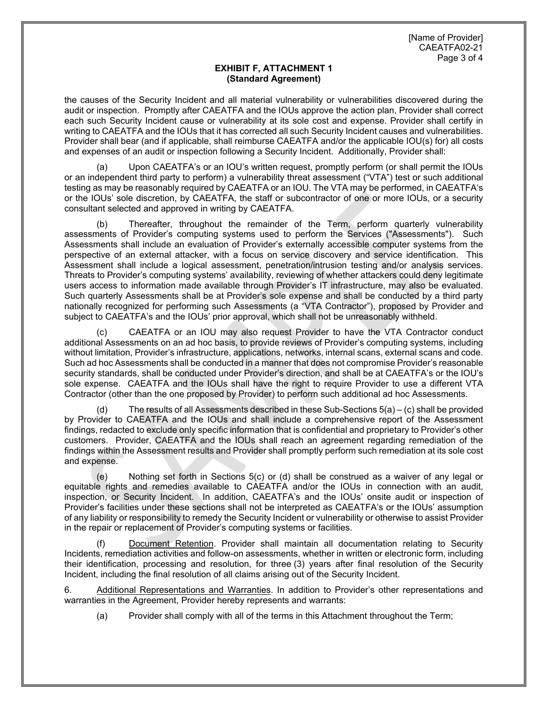the causes of the Security Incident and all material vulnerability or vulnerabilities discovered during the audit or inspection. Promptly after CAEATFA and the IOUs approve the action plan, Provider shall correct each such Security Incident cause or vulnerability at its sole cost and expense. Provider shall certify in writing to CAEATFA and the IOUs that it has corrected all such Security Incident causes and vulnerabilities. Provider shall bear (and if applicable, shall reimburse CAEATFA and/or the applicable IOU(s) for) all costs and expenses of an audit or inspection following a Security Incident. Additionally, Provider shall:

Upon CAEATFA's or an IOU's written request, promptly perform (or shall permit the IOUs or an independent third party to perform) a vulnerability threat assessment ("VTA") test or such additional testing as may be reasonably required by CAEATFA or an IOU. The VTA may be performed, in CAEATFA's or the IOUs' sole discretion, by CAEATFA, the staff or subcontractor of one or more IOUs, or a security consultant selected and approved in writing by CAEATFA.

(b) Thereafter, throughout the remainder of the Term, perform quarterly vulnerability assessments of Provider's computing systems used to perform the Services ("Assessments"). Such Assessments shall include an evaluation of Provider's externally accessible computer systems from the perspective of an external attacker, with a focus on service discovery and service identification. This Assessment shall include a logical assessment, penetration/intrusion testing and/or analysis services. Threats to Provider's computing systems' availability, reviewing of whether attackers could deny legitimate users access to information made available through Provider's IT infrastructure, may also be evaluated. Such quarterly Assessments shall be at Provider's sole expense and shall be conducted by a third party nationally recognized for performing such Assessments (a "VTA Contractor"), proposed by Provider and subject to CAEATFA's and the IOUs' prior approval, which shall not be unreasonably withheld.

(c) CAEATFA or an IOU may also request Provider to have the VTA Contractor conduct additional Assessments on an ad hoc basis, to provide reviews of Provider's computing systems, including without limitation, Provider's infrastructure, applications, networks, internal scans, external scans and code. Such ad hoc Assessments shall be conducted in a manner that does not compromise Provider's reasonable security standards, shall be conducted under Provider's direction, and shall be at CAEATFA's or the IOU's sole expense. CAEATFA and the IOUs shall have the right to require Provider to use a different VTA Contractor (other than the one proposed by Provider) to perform such additional ad hoc Assessments.

(d) The results of all Assessments described in these Sub-Sections 5(a) – (c) shall be provided by Provider to CAEATFA and the IOUs and shall include a comprehensive report of the Assessment findings, redacted to exclude only specific information that is confidential and proprietary to Provider's other customers. Provider, CAEATFA and the IOUs shall reach an agreement regarding remediation of the findings within the Assessment results and Provider shall promptly perform such remediation at its sole cost and expense.

(e) Nothing set forth in Sections 5(c) or (d) shall be construed as a waiver of any legal or equitable rights and remedies available to CAEATFA and/or the IOUs in connection with an audit, inspection, or Security Incident. In addition, CAEATFA's and the IOUs' onsite audit or inspection of Provider's facilities under these sections shall not be interpreted as CAEATFA's or the IOUs' assumption of any liability or responsibility to remedy the Security Incident or vulnerability or otherwise to assist Provider in the repair or replacement of Provider's computing systems or facilities.

(f) Document Retention. Provider shall maintain all documentation relating to Security Incidents, remediation activities and follow-on assessments, whether in written or electronic form, including their identification, processing and resolution, for three (3) years after final resolution of the Security Incident, including the final resolution of all claims arising out of the Security Incident.

6. Additional Representations and Warranties. In addition to Provider's other representations and warranties in the Agreement, Provider hereby represents and warrants:

(a) Provider shall comply with all of the terms in this Attachment throughout the Term;